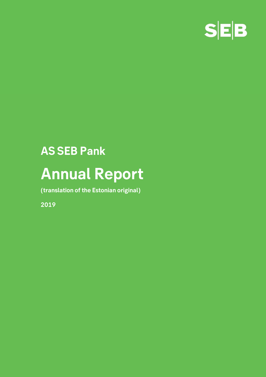

**(translation of the Estonian original)** 

**2019**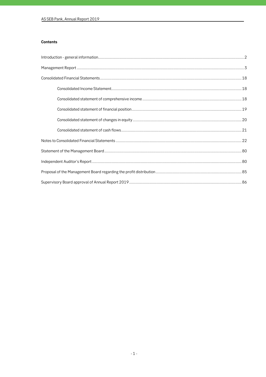# **Contents**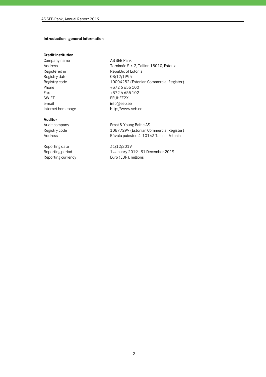# **Introduction - general information**

# **Credit institution**

Company name AS SEB Pank Registry date 08/12/1995 Fax +372 6 655 102<br>SWIFT EEUHEE2X e-mail info@seb.ee

Address<br>
Registered in Tornimäe Str. 2, Tallinn 15010, Estonia<br>
Republic of Estonia Republic of Estonia Registry code 10004252 (Estonian Commercial Register)<br>Phone +372 6 655 100  $+3726655100$ EEUHEE2X Internet homepage http://www.seb.ee

**Auditor** 

Reporting date 31/12/2019 Reporting currency Euro (EUR), millions

Audit company Ernst & Young Baltic AS<br>Registry code 10877299 (Estonian Co 10877299 (Estonian Commercial Register) Address **Address** Rävala puiestee 4, 10143 Tallinn, Estonia

Reporting period 1 January 2019 - 31 December 2019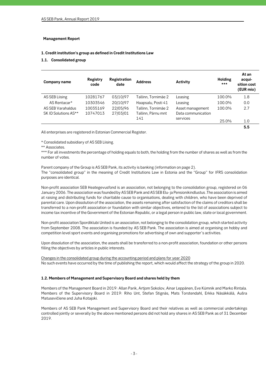### **Management Report**

# **1. Credit institution's group as defined in Credit Institutions Law**

# **1.1. Consolidated group**

| Company name         | Registry<br>code | <b>Registration</b><br>date | <b>Address</b>      | Activity           | <b>Holding</b><br>$***$ | At an<br>acqui-<br>sition cost<br>(EUR mio) |
|----------------------|------------------|-----------------------------|---------------------|--------------------|-------------------------|---------------------------------------------|
| AS SEB Liising       | 10281767         | 03/10/97                    | Tallinn, Tornimäe 2 | Leasing            | 100.0%                  | 1.8                                         |
| AS Rentacar*         | 10303546         | 20/10/97                    | Haapsalu, Posti 41  | Leasing            | 100.0%                  | 0.0                                         |
| AS SEB Varahaldus    | 10035169         | 22/05/96                    | Tallinn, Tornimäe 2 | Asset management   | 100.0%                  | 2.7                                         |
| SK ID Solutions AS** | 10747013         | 27/03/01                    | Tallinn, Pärnu mnt  | Data communication |                         |                                             |
|                      |                  |                             | 141                 | services           | 25.0%                   | 1.0                                         |
|                      |                  |                             |                     |                    |                         | 5.5                                         |

All enterprises are registered in Estonian Commercial Register.

\* Consolidated subsidiary of AS SEB Liising.

\*\* Associates.

\*\*\* For all investments the percentage of holding equals to both, the holding from the number of shares as well as from the number of votes.

Parent company of the Group is AS SEB Pank, its activity is banking (information on page 2). The "consolidated group" in the meaning of Credit Institutions Law in Estonia and the "Group" for IFRS consolidation purposes are identical.

Non-profit association SEB Heategevusfond is an association, not belonging to the consolidation group, registered on 06 January 2006. The association was founded by AS SEB Pank and AS SEB Elu- ja Pensionikindlustus .The association is aimed at raising and distributing funds for charitable cause to organisations, dealing with children, who have been deprived of parental care. Upon dissolution of the association, the assets remaining after satisfaction of the claims of creditors shall be transferred to a non-profit association or foundation with similar objectives, entered to the list of associations subject to income tax incentive of the Government of the Estonian Republic, or a legal person in public law, state or local government.

Non-profit association Spordiklubi United is an association, not belonging to the consolidation group, which started activity from September 2008. The association is founded by AS SEB Pank. The association is aimed at organising on hobby and competition level sport events and organising promotions for advertising of own and supporter´s activities.

Upon dissolution of the association, the assets shall be transferred to a non-profit association, foundation or other persons filling the objectives by articles in public interests.

Changes in the consolidated group during the accounting period and plans for year 2020 No such events have occurred by the time of publishing the report, which would affect the strategy of the group in 2020.

# **1.2. Members of Management and Supervisory Board and shares held by them**

Members of the Management Board in 2019: Allan Parik, Artjom Sokolov, Ainar Leppänen, Eve Kümnik and Marko Rintala. Members of the Supervisory Board in 2019: Riho Unt, Stefan Stignäs, Mats Torstendahl, Erkka Näsäkkälä, Aušra Matusevičiene and Juha Kotajoki.

Members of AS SEB Pank Management and Supervisory Board and their relatives as well as commercial undertakings controlled jointly or severally by the above mentioned persons did not hold any shares in AS SEB Pank as of 31 December 2019.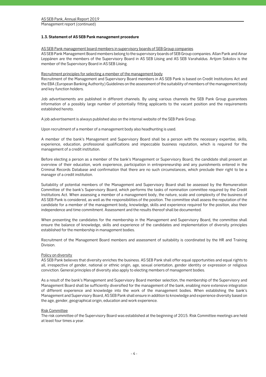#### **1.3. Statement of AS SEB Pank management procedure**

#### AS SEB Pank management board members in supervisory boards of SEB Group companies

AS SEB Pank Management Board members belong to the supervisory boards of SEB Group companies. Allan Parik and Ainar Leppänen are the members of the Supervisory Board in AS SEB Liising and AS SEB Varahaldus. Artjom Sokolov is the member of the Supervisory Board in AS SEB Liising.

#### Recruitment principles for selecting a member of the management body

Recruitment of the Management and Supervisory Board members in AS SEB Pank is based on Credit Institutions Act and the EBA (European Banking Authority) Guidelines on the assessment of the suitability of members of the management body and key function holders.

Job advertisements are published in different channels. By using various channels the SEB Pank Group guarantees information of a possibly large number of potentially fitting applicants to the vacant position and the requirements established hereto.

A job advertisement is always published also on the internal website of the SEB Pank Group.

Upon recruitment of a member of a management body also headhunting is used.

A member of the bank's Management and Supervisory Board shall be a person with the necessary expertise, skills, experience, education, professional qualifications and impeccable business reputation, which is required for the management of a credit institution.

Before electing a person as a member of the bank's Management or Supervisory Board, the candidate shall present an overview of their education, work experience, participation in entrepreneurship and any punishments entered in the Criminal Records Database and confirmation that there are no such circumstances, which preclude their right to be a manager of a credit institution.

Suitability of potential members of the Management and Supervisory Board shall be assessed by the Remuneration Committee of the bank's Supervisory Board, which performs the tasks of nomination committee required by the Credit Institutions Act. When assessing a member of a management body, the nature, scale and complexity of the business of AS SEB Pank is considered, as well as the responsibilities of the position. The committee shall assess the reputation of the candidate for a member of the management body, knowledge, skills and experience required for the position, also their independence and time commitment. Assessment and the results thereof shall be documented.

When presenting the candidates for the membership in the Management and Supervisory Board, the committee shall ensure the balance of knowledge, skills and experience of the candidates and implementation of diversity principles established for the membership in management bodies.

Recruitment of the Management Board members and assessment of suitability is coordinated by the HR and Training Division.

#### Policy on diversity

AS SEB Pank believes that diversity enriches the business. AS SEB Pank shall offer equal opportunities and equal rights to all, irrespective of gender, national or ethnic origin, age, sexual orientation, gender identity or expression or religious conviction. General principles of diversity also apply to electing members of management bodies.

As a result of the bank's Management and Supervisory Board member selection, the membership of the Supervisory and Management Board shall be sufficiently diversified for the management of the bank, enabling more extensive integration of different experience and knowledge into the work of the management bodies. When establishing the bank's Management and Supervisory Board, AS SEB Pank shall ensure in addition to knowledge and experience diversity based on the age, gender, geographical origin, education and work experience.

#### Risk Committee

The risk committee of the Supervisory Board was established at the beginning of 2015. Risk Committee meetings are held at least four times a year.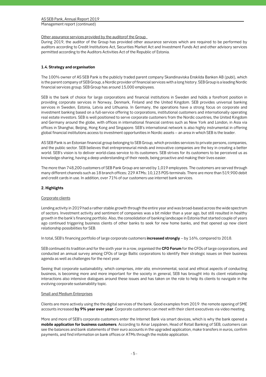Other assurance services provided by the auditorof the Group

During 2019, the auditor of the Group has provided other assurance services which are required to be performed by auditors according to Credit Institutions Act, Securities Market Act and Investment Funds Act and other advisory services permitted according to the Auditors Activities Act of the Republic of Estonia.

# **1.4. Strategy and organisation**

The 100% owner of AS SEB Pank is the publicly traded parent company Skandinaviska Enskilda Banken AB (publ), which is the parent company of SEB Group, a Nordic provider of financial services with a long history. SEB Group is a leading Nordic financial services group. SEB Group has around 15,000 employees.

SEB is the bank of choice for large corporations and financial institutions in Sweden and holds a forefront position in providing corporate services in Norway, Denmark, Finland and the United Kingdom. SEB provides universal banking services in Sweden, Estonia, Latvia and Lithuania. In Germany, the operations have a strong focus on corporate and investment banking based on a full-service offering to corporations, institutional customers and internationally operating real estate investors. SEB is well positioned to serve corporate customers from the Nordic countries, the United Kingdom and Germany around the globe, with offices in international financial centres such as New York and London, in Asia via offices in Shanghai, Beijing, Hong Kong and Singapore. SEB's international network is also highly instrumental in offering global financial institutions access to investment opportunities in Nordic assets – an area in which SEB is the leader.

AS SEB Pank is an Estonian financial group belonging to SEB Group, which provides services to private persons, companies, and the public sector. SEB believes that entrepreneurial minds and innovative companies are the key in creating a better world. SEB's vision is to deliver world-class service to its customers. SEB strives for its customers to be perceived us as knowledge-sharing, having a deep understanding of their needs, being proactive and making their lives easier.

The more than 748,200 customers of SEB Pank Group are served by 1,019 employees. The customers are served through many different channels such as 18 branch offices; 229 ATMs; 10,123 POS-terminals. There are more than 519,900 debit and credit cards in use. In addition, over 71% of our customers use internet bank services.

# **2. Highlights**

#### Corporate clients

Lending activity in 2019 had a rather stable growth through the entire year and was broad-based across the wide spectrum of sectors. Investment activity and sentiment of companies was a bit milder than a year ago, but still resulted in healthy growth in the bank's financing portfolio. Also, the consolidation of banking landscape in Estonia that started couple of years ago continued triggering business clients of other banks to seek for new home banks, and that opened up new client relationship possibilities for SEB.

In total, SEB's financing portfolio of large corporate customers **increased strongly** – by 16%, compared to 2018.

SEB continued its tradition and for the sixth year in a row, organised the **CFO Forum** for the CFOs of large corporations, and conducted an annual survey among CFOs of large Baltic corporations to identify their strategic issues on their business agenda as well as challenges for the next year.

Seeing that corporate sustainability, which comprises, *inter alia,* environmental, social and ethical aspects of conducting business, is becoming more and more important for the society in general, SEB has brought into its client relationship interactions also intensive dialogues around these issues and has taken on the role to help its clients to navigate in the evolving corporate sustainability topic.

#### Small and Medium Enterprises

Clients are more actively using the the digital services of the bank. Good examples from 2019: the remote opening of SME accounts increased **by 9% year over year**. Corporate customers can meet with their client executives via video meeting.

More and more of SEB's corporate customers enter the Internet Bank via smart devices, which is why the bank opened a **mobile application for business customers**. According to Ainar Leppänen, Head of Retail Banking of SEB, customers can see the balances and bank statements of their euro accounts in the upgraded application, make transfers in euros, confirm payments, and find information on bank offices or ATMs through the mobile application.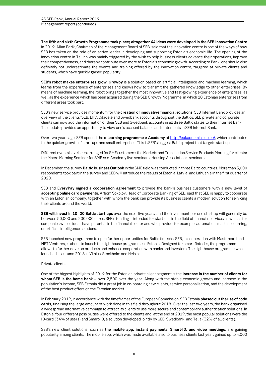**The fifth and sixth Growth Programme took place; altogether 44 ideas were developed in the SEB Innovation Centre** in 2019. Allan Parik, Chairman of the Management Board of SEB, said that the innovation centre is one of the ways of how SEB has taken on the role of an active leader in developing and supporting Estonia's economic life. The opening of the innovation centre in Tallinn was mainly triggered by the wish to help business clients advance their operations, improve their competitiveness, and thereby contribute even more to Estonia's economic growth. According to Parik, one should also definitely not underestimate the events and training offered by the innovation centre, targeted at private clients and students, which have quickly gained popularity.

**SEB's robot makes enterprises grow**. **Growby** is a solution based on artificial intelligence and machine learning, which learns from the experience of enterprises and knows how to transmit the gathered knowledge to other enterprises. By means of machine learning, the robot brings together the most innovative and fast-growing experience of enterprises, as well as the experience which has been acquired during the SEB Growth Programme, in which 20 Estonian enterprises from different areas took part.

SEB's new service provides momentum for the **creation of innovative financial solutions**. SEB Internet Bank provides an overview of the clients' SEB, LHV, Citadele and Swedbank accounts throughout the Baltics. SEB private and corporate clients can now add the information of their SEB and Swedbank accounts in all three Baltic states to their Internet Bank. The update provides an opportunity to view one's account balance and statements in SEB Internet Bank.

Over two years ago, SEB opened the **e-learning programme e-Academy** at http://eakadeemia.seb.ee/, which contributes to the quicker growth of start-ups and small enterprises. This is SEB's biggest Baltic project that targets start-ups.

Different events have been arranged for SME customers: the Markets and Transaction Service Products Morning for clients; the Macro Morning Seminar for SME-s; e-Academy live seminars; Housing Association's seminars.

In December, the survey **Baltic Business Outlook** in the SME field was conducted in three Baltic countries. More than 5,000 respondents took part in the survey and SEB will introduce the results of Estonia, Latvia, and Lithuania in the first quarter of 2020.

SEB and **EveryPay signed a cooperation agreement** to provide the bank's business customers with a new level of **accepting online card payments**. Artjom Sokolov, Head of Corporate Banking of SEB, said that SEB is happy to cooperate with an Estonian company, together with whom the bank can provide its business clients a modern solution for servicing their clients around the world.

**SEB will invest in 10–20 Baltic start-ups** over the next five years, and the investment per one start-up will generally be between 50,000 and 200,000 euros. SEB's funding is intended for start-ups in the field of financial services as well as for companies whose ideas have potential in the financial sector and who provide, for example, automation, machine learning, or artificial intelligence solutions.

SEB launched new programme to open further opportunities for Baltic fintechs. SEB, in cooperation with Mastercard and NFT Ventures, is about to launch the Lighthouse programme in Estonia. Designed for smart fintechs, the programme allows to further develop products and enhance cooperation with banks and investors. The Lighthouse programme was launched in autumn 2018 in Vilnius, Stockholm and Helsinki.

#### Private clients

One of the biggest highlights of 2019 for the Estonian private client segment is the **increase in the number of clients for whom SEB is the home bank** – over 2,500 over the year. Along with the stable economic growth and increase in the population's income, SEB Estonia did a great job in on-boarding new clients, service personalisation, and the development of the best product offers on the Estonian market.

In February 2019, in accordance with the timeframes of the European Commission, SEB Estonia **phased out the use of code cards**, finalising the large amount of work done in this field throughout 2018. Over the last two years, the bank organised a widespread informative campaign to attract its clients to use more secure and contemporary authentication solutions. In Estonia, four different possibilities were offered to the clients and, at the end of 2019, the most popular solutions were the ID-card (34% of users) and Smart-ID, a solution developed jointly by SEB, Swedbank, and Telia (32% of all clients).

SEB's new client solutions, such as **the mobile app, instant payments, Smart-ID, and video meetings**, are gaining popularity among clients. The mobile app, which was made available also to business clients last year, gained up to 4,000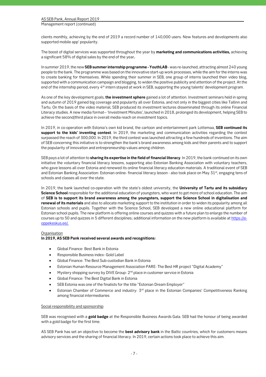clients monthly, achieving by the end of 2019 a record number of 140,000 users. New features and developments also supported mobile app' popularity.

The boost of digital services was supported throughout the year by **marketing and communications activities,** achieving a significant 58% of digital sales by the end of the year**.** 

In summer 2019, the new **SEB summer internship programme - YouthLAB** - was re-launched, attracting almost 240 young people to the bank. The programme was based on the innovative start-up work processes, while the aim for the interns was to create banking for themselves. While spending their summer in SEB, one group of interns launched their video blog, supported with a communication campaign and blogging, to widen the positive publicity and attention of the project. At the end of the internship period, every 4<sup>th</sup> intern stayed at work in SEB, supporting the young talents' development program.

As one of the key development goals, **the investment sphere** gained a lot of attention. Investment seminars held in spring and autumn of 2019 gained big coverage and popularity all over Estonia, and not only in the biggest cities like Tallinn and Tartu. On the basis of the video material, SEB produced its investment lectures disseminated through its online Financial Literacy studies. A new media format– 'Investment Minutes', launched in 2018, prolonged its development, helping SEB to achieve the second/third place in overall media reach on investment topics.

In 2019, in co-operation with Estonia's own kid brand, the cartoon and entertainment park Lottemaa, **SEB continued its support to the kids' inventing contest**. In 2019, the marketing and communication activities regarding the contest surpassed the reach of 300,000. In 2019, the third contest was launched attracting a few hundreds of inventions. The aim of SEB concerning this initiative is to strengthen the bank's brand awareness among kids and their parents and to support the popularity of innovation and entrepreneurship values among children.

SEB pays a lot of attention to **sharing its expertise in the field of financial literacy**. In 2019, the bank continued on its own initiative the voluntary financial literacy lessons, supporting also Estonian Banking Association with voluntary teachers, who gave lessons all over Estonia and renewed its online financial literacy education materials. A traditional event of SEB and Estonian Banking Association: Estonian online- financial literacy lesson - also took place on May 31<sup>st</sup>, engaging tens of schools and classes all over the state.

In 2019, the bank launched co-operation with the state's oldest university, the **University of Tartu and its subsidiary Science School** responsible for the additional education of youngsters, who want to get more of school education. The aim of **SEB is to support its brand awareness among the youngsters, support the Science School in digitalisation and renewal of its materials** and also to allocate marketing support to the institution in order to widen its popularity among all Estonian schools and pupils. Together with the Science School, SEB developed a new online educational platform for Estonian school pupils. The new platform is offering online courses and quizzes with a future plan to enlarge the number of courses up to 50 and quizzes in 5 different disciplines; additional information on the new platform is available at https://eoppekeskus.ee/.

#### **Organisation**

#### **In 2019, AS SEB Pank received several awards and recognitions:**

- Global Finance: Best Bank in Estonia
- Responsible Business index: Gold Label
- Global Finance: The Best Sub-custodian Bank in Estonia
- Estonian Human Resource Management Association PARE: The Best HR project "Digital Academy"
- Mystery shopping survey by DIVE Group: 2<sup>nd</sup> place in customer service in Estonia
- Global Finance: The Best Digital Bank in Estonia
- SEB Estonia was one of the finalists for the title "Estonian Dream Employer"
- Estonian Chamber of Commerce and industry:  $3<sup>rd</sup>$  place in the Estonian Companies' Competitiveness Ranking among financial intermediaries

#### Social responsibility and sponsorship

SEB was recognised with a **gold badge** at the Responsible Business Awards Gala. SEB had the honour of being awarded with a gold badge for the first time.

AS SEB Pank has set an objective to become the **best advisory bank** in the Baltic countries, which for customers means advisory services and the sharing of financial literacy. In 2019, certain actions took place to achieve this aim.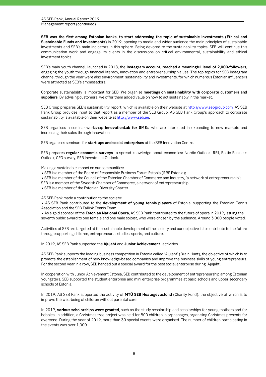**SEB was the first among Estonian banks, to start addressing the topic of sustainable investments (Ethical and Sustainable Funds and Investments)** in 2019, opening to media and wider audience the main principles of sustainable investments and SEB's main indicators in this sphere. Being devoted to the sustainability topics, SEB will continue this communication work and engage its clients in the discussions on critical environmental, sustainability and ethical investment topics.

SEB's main youth channel, launched in 2018, the **Instagram account, reached a meaningful level of 2,000-followers,** engaging the youth through financial literacy, innovation and entrepreneurship values. The top topics for SEB Instagram channel through the year were also environment, sustainability and investments, for which numerous Estonian influencers were attracted as SEB's ambassadors.

Corporate sustainability is important for SEB. We organise **meetings on sustainability with corporate customers and suppliers**. By advising customers, we offer them added value on how to act sustainably in the market.

SEB Group prepares SEB's sustainability report, which is available on their website at http://www.sebgroup.com. AS SEB Pank Group provides input to that report as a member of the SEB Group. AS SEB Pank Group's approach to corporate sustainability is available on their website at http://www.seb.ee.

SEB organises a seminar-workshop **InnovationLab for SMEs**, who are interested in expanding to new markets and increasing their sales through innovation.

SEB organises seminars for **start-ups and social enterprises** at the SEB Innovation Centre.

SEB prepares **regular economic surveys** to spread knowledge about economics: Nordic Outlook, RRI, Baltic Business Outlook, CFO survey, SEB Investment Outlook.

Making a sustainable impact on our communities:

- SEB is a member of the Board of Responsible Business Forum Estonia (RBF Estonia);
- SEB is a member of the Council of the Estonian Chamber of Commerce and Industry, 'a network of entrepreneurship';
- SEB is a member of the Swedish Chamber of Commerce, a network of entrepreneurship
- SEB is a member of the Estonian Diversity Charter.

AS SEB Pank made a contribution to the society:

• AS SEB Pank contributed to the **development of young tennis players** of Estonia, supporting the Estonian Tennis Association and the SEB Tallink Tennis Team.

• As a gold sponsor of the **Estonian National Opera**, AS SEB Pank contributed to the future of opera in 2019, issuing the seventh public award to one female and one male soloist, who were chosen by the audience. Around 3,000 people voted.

Activities of SEB are targeted at the sustainable development of the society and our objective is to contribute to the future through supporting children, entrepreneurial studies, sports, and culture.

In 2019, AS SEB Pank supported the **Ajujaht** and **Junior Achievement** activities.

AS SEB Pank supports the leading business competition in Estonia called 'Ajujaht' (Brain Hunt), the objective of which is to promote the establishment of new knowledge-based companies and improve the business skills of young entrepreneurs. For the second year in a row, SEB handed out a special award for the best social enterprise during 'Ajujaht'.

In cooperation with Junior Achievement Estonia, SEB contributed to the development of entrepreneurship among Estonian youngsters. SEB supported the student enterprise and mini enterprise programmes at basic schools and upper secondary schools of Estonia.

In 2019, AS SEB Pank supported the activity of **MTÜ SEB Heategevusfond** (Charity Fund), the objective of which is to improve the well-being of children without parental care.

In 2019, **various scholarships were granted**, such as the study scholarship and scholarships for young mothers and for hobbies. In addition, a Christmas tree project was held for 800 children in orphanages, organising Christmas presents for everyone. During the year of 2019, more than 30 special events were organised. The number of children participating in the events was over 1,000.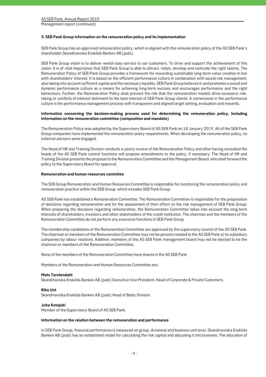#### **3. SEB Pank Group information on the remuneration policy and its implementation**

SEB Pank Group has an approved remuneration policy, which is aligned with the remuneration policy of the AS SEB Pank´s shareholder Skandinaviska Enskilda Banken AB (publ).

SEB Pank Group vision is to deliver world-class service to our customers. To drive and support the achievement of this vision, it is of vital importance that SEB Pank Group is able to attract, retain, develop and motivate the right talents. The Remuneration Policy of SEB Pank Group provides a framework for rewarding sustainable long-term value creation in line with shareholders' interest. It is based on the efficient performance culture in combination with sound risk management, also taking into account sufficient capital and the necessary liquidity. SEB Pank Group believes in and promotes a sound and dynamic performance culture as a means for achieving long-term success and encourages performance and the right behaviours. Further, the Remuneration Policy shall prevent the risk that the remuneration models drive excessive risktaking or conflicts of interest detriment to the best interest of SEB Pank Group clients. A cornerstone in the performance culture is the performance management process with transparent and aligned target setting, evaluation and rewards.

### **Information concerning the decision-making process used for determining the remuneration policy, including information on the remuneration committee (composition and mandate)**

The Remuneration Policy was adopted by the Supervisory Board of AS SEB Pank on 18 January 2019. All of the SEB Pank Group companies have implemented the remuneration policy requirements. When developing the remuneration policy, no external advisers were engaged.

The Head of HR and Training Division conducts a yearly review of the Remuneration Policy and after having consulted the heads of the AS SEB Pank control functions will propose amendments to the policy, if necessary. The Head of HR and Training Division presents the proposal to the Remuneration Committee and the Management Board, who shall forward the policy to the Supervisory Board for approval.

#### **Remuneration and human resources commitee**

The SEB Group Remuneration and Human Resources Committee is responsible for monitoring the remuneration policy and remuneration practice within the SEB Group, which includes SEB Pank Group.

AS SEB Pank has established a Remuneration Committee. The Remuneration Committee is responsible for the preparation of decisions regarding remuneration and for the assessment of their effect on the risk management of SEB Pank Group. When preparing the decisions regarding remuneration, the Remuneration Committee takes into account the long-term interests of shareholders, investors and other stakeholders of the credit institution. The chairman and the members of the Remuneration Committee do not perform any executive functions in SEB Pank Group.

The membership candidates of the Remuneration Committee are approved by the supervisory council of the AS SEB Pank. The chairman or members of the Remuneration Committee may not be persons related to the AS SEB Pank or its subsidiary companies by labour relations. Addition, members of the AS SEB Pank management board may not be elected to be the chairman or members of the Remuneration Committee.

None of the members of the Remuneration Committee have shares in the AS SEB Pank.

Members of the Remuneration and Human Resources Committee are:

#### **Mats Torstendahl**

Skandinaviska Enskilda Banken AB (publ) Executive Vice President, Head of Corporate & Private Customers.

#### **Riho Unt**

Skandinaviska Enskilda Banken AB (publ) Head of Baltic Division.

#### **Juha Kotajoki**

Member of the Supervisory Board of AS SEB Pank.

#### **Information on the relation between the remuneration and performance**

In SEB Pank Group, financial performance is measured on group, divisional and business unit level. Skandinaviska Enskilda Banken AB (publ) has an established model for calculating the risk capital and allocating it into business. The allocation of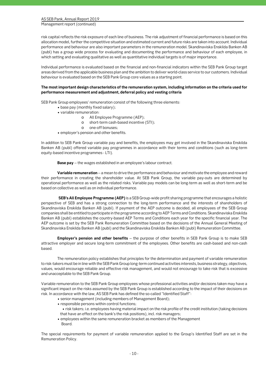Management report (continued)

risk capital reflects the risk exposure of each line of business. The risk adjustment of financial performance is based on this allocation model, further the competitive situation and estimated current and future risks are taken into account. Individual performance and behaviour are also important parameters in the remuneration model. Skandinaviska Enskilda Banken AB (publ) has a group wide process for evaluating and documenting the performance and behaviour of each employee, in which setting and evaluating qualitative as well as quantitative individual targets is of major importance.

Individual performance is evaluated based on the financial and non-financial indicators within the SEB Pank Group target areas derived from the applicable business plan and the ambition to deliver world-class service to our customers. Individual behaviour is evaluated based on the SEB Pank Group core values as a starting point.

#### **The most important design characteristics of the remuneration system, including information on the criteria used for performance measurement and adjustment, deferral policy and vesting criteria**

SEB Pank Group employees' remuneration consist of the following three elements:

- base pay (monthly fixed salary);
- variable remuneration:
	- o All Employee Programme (AEP);
	- o short-term cash-based incentive (STI);
	- o one-off bonuses;
- employer's pension and other benefits.

In addition to SEB Pank Group variable pay and benefits, the employees may get involved in the Skandinaviska Enskilda Banken AB (publ) offered variable pay programmes in accordance with their terms and conditions (such as long-term equity-based incentive programmes - LTI).

**Base pay** – the wages established in an employee's labour contract.

**Variable remuneration** – a mean to drive the performance and behaviour and motivate the employee and reward their performance in creating the shareholder value. At SEB Pank Group, the variable pay-outs are determined by operational performance as well as the related risks. Variable pay models can be long-term as well as short-term and be based on collective as well as on individual performance.

 **SEB's All Employee Programme (AEP)** is a SEB Group-wide profit sharing programme that encourages a holistic perspective of SEB and has a strong connection to the long-term performance and the interests of shareholders of Skandinaviska Enskilda Banken AB (publ). If payment of the AEP outcome is decided, all employees of the SEB Group companies shall be entitled to participate in the programme according to AEP Terms and Conditions. Skandinaviska Enskilda Banken AB (publ) establishes the country-based AEP Terms and Conditions each year for the specific financial year. The AEP outcome is set by the SEB Pank Remuneration Committee based on the decisions of the Annual General Meeting of Skandinaviska Enskilda Banken AB (publ) and the Skandinaviska Enskilda Banken AB (publ) Remuneration Committee.

**Employer's pension and other benefits** – the purpose of other benefits in SEB Pank Group is to make SEB attractive employer and secure long-term commitment of the employees. Other benefits are cash-based and non-cash based.

The remuneration policy establishes that principles for the determination and payment of variable remuneration to risk-takers must be in line with the SEB Pank Group long-term continued activities interests, business strategy, objectives, values, would encourage reliable and effective risk management, and would not encourage to take risk that is excessive and unacceptable to the SEB Pank Group.

Variable remuneration to the SEB Pank Group employees whose professional activities and/or decisions taken may have a significant impact on the risks assumed by the SEB Pank Group is established according to the impact of their decisions on risk. In accordance with the law, AS SEB Pank has defined the so-called "Identified Staff":

- senior management (including members of Management Board);
- responsible persons within control functions;
	- risk takers; i.e. employees having material impact on the risk profile of the credit institution (taking decisions that have an effect on the bank's the risk positions), incl. risk managers;
- employees within the same remuneration bracket as members of the Management Board.

The special requirements for payment of variable remuneration applied to the Group's Identified Staff are set in the Remuneration Policy.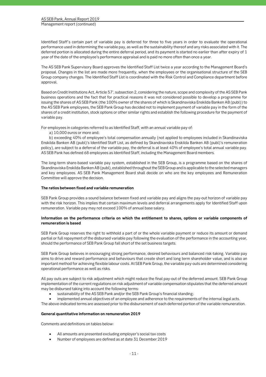Identified Staff´s certain part of variable pay is deferred for three to five years in order to evaluate the operational performance used in determining the variable pay, as well as the sustainability thereof and any risks associated with it. The deferred portion is allocated during the entire deferral period, and its payment is started no earlier than after expiry of 1 year of the date of the employee's performance appraisal and is paid no more often than once a year.

The AS SEB Pank Supervisory Board approves the Identified Staff List twice a year according to the Management Board's proposal. Changes in the list are made more frequently, when the employees or the organisational structure of the SEB Group company changes. The Identified Staff List is coordinated with the Risk Control and Compliance department before approval.

Based on Credit Institutions Act, Article 57', subsection 2, considering the nature, scope and complexity of the AS SEB Pank business operations and the fact that for practical reasons it was not considered possible to develop a programme for issuing the shares of AS SEB Pank (the 100% owner of the shares of which is Skandinaviska Enskilda Banken AB (publ)) to the AS SEB Pank employees, the SEB Pank Group has decided not to implement payment of variable pay in the form of the shares of a credit institution, stock options or other similar rights and establish the following procedure for the payment of variable pay.

For employees in categories referred to as Identified Staff, with an annual variable pay of:

a) 10,000 euros or more and;

b) exceeding 40% of employee's total compensation annually (not applied to employees included in Skandinaviska Enskilda Banken AB (publ)'s Identified Staff List, as defined by Skandinaviska Enskilda Banken AB (publ)'s remuneration policy), are subject to a deferral of the variable pay, the deferral is at least 40% of employee's total annual variable pay. AS SEB Pank has defined 68 employees as Identified Staff, including the Management Board members.

The long-term share-based variable pay system, established in the SEB Group, is a programme based on the shares of Skandinaviska Enskilda Banken AB (publ), established throughout the SEB Group and is applicable to the selected managers and key employees. AS SEB Pank Management Board shall decide on who are the key employees and Remuneration Committee will approve the decision.

# **The ratios between fixed and variable remuneration**

SEB Pank Group provides a sound balance between fixed and variable pay and aligns the pay-out horizon of variable pay with the risk horizon. This implies that certain maximum levels and deferral arrangements apply for Identified Staff upon remuneration. Variable pay may not exceed 100% of annual base salary.

# **Information on the performance criteria on which the entitlement to shares, options or variable components of remuneration is based**

SEB Pank Group reserves the right to withhold a part of or the whole variable payment or reduce its amount or demand partial or full repayment of the disbursed variable pay following the evaluation of the performance in the accounting year, should the performance of SEB Pank Group fall short of the set business targets.

SEB Pank Group believes in encouraging strong performance, desired behaviours and balanced risk-taking. Variable pay aims to drive and reward performance and behaviours that create short and long term shareholder value, and is also an important method for achieving flexible labour costs. At SEB Pank Group, the variable pay-outs are determined considering operational performance as well as risks.

All pay outs are subject to risk adjustment which might reduce the final pay-out of the deferred amount. SEB Pank Group implementation of the current regulations on risk adjustment of variable compensation stipulates that the deferred amount may be disbursed taking into account the following terms:

sustainability of the AS SEB Pank and/or the SEB Pank Group's financial standing;

implemented annual objectives of an employee and adherence to the requirements of the internal legal acts.

The above-indicated terms are assessed prior to the disbursement of each deferred portion of the variable remuneration.

#### **General quantitative information on remuneration 2019**

Comments and definitions on tables below:

- All amounts are presented excluding employer's social tax costs
- Number of employees are defined as at date 31 December 2019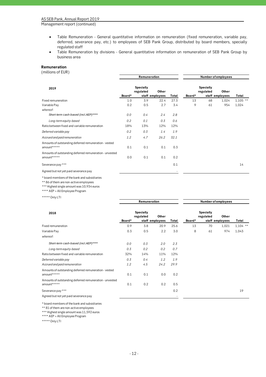Management report (continued)

- Table Remuneration General quantitative information on remuneration (fixed remuneration, variable pay, deferred, severance pay, etc.) to employees of SEB Pank Group, distributed by board members, specially regulated staff
- Table Remuneration by divisions General quantitative information on remuneration of SEB Pank Group by business area

### **Remuneration**

(millions of EUR)

|                                                                        | Remuneration |                               |                 |       | Number of employees |                        |                 |            |
|------------------------------------------------------------------------|--------------|-------------------------------|-----------------|-------|---------------------|------------------------|-----------------|------------|
| 2019                                                                   |              | <b>Specially</b><br>regulated | Other           |       |                     | Specially<br>regulated | Other           |            |
|                                                                        | Board*       |                               | staff employees | Total | Board*              |                        | staff employees | Total      |
| Fixed remuneration                                                     | 1.0          | 3.9                           | 22.4            | 27.3  | 13                  | 68                     | 1,024           | $1,105$ ** |
| Variable Pay                                                           | 0.2          | 0.5                           | 2.7             | 3.4   | 9                   | 61                     | 954             | 1,024      |
| whereof:                                                               |              |                               |                 |       |                     |                        |                 |            |
| Short-term cash-based (incl.AEP)*****                                  | 0.0          | 0.4                           | 2.4             | 2.8   |                     |                        |                 |            |
| Long-term equity-based                                                 | 0.2          | 0.1                           | 0.3             | 0.6   |                     |                        |                 |            |
| Ratio between fixed and variable remuneration                          | 18%          | 13%                           | 12%             | 12%   |                     |                        |                 |            |
| Deferred variable pay                                                  | 0.2          | 0.3                           | 1.4             | 1.9   |                     |                        |                 |            |
| Accrued and paid remuneration                                          | 1.2          | 4.7                           | 26.2            | 32.1  |                     |                        |                 |            |
| Amounts of outstanding deferred remuneration - vested<br>amount*****   | 0.1          | 0.1                           | 0.1             | 0.3   |                     |                        |                 |            |
| Amounts of outstanding deferred remuneration - unvested<br>amount***** | 0.0          | 0.1                           | 0.1             | 0.2   |                     |                        |                 |            |
| Severance pay ***                                                      |              |                               |                 | 0.1   |                     |                        |                 | 14         |
| Agreed but not yet paid severance pay                                  |              |                               |                 |       |                     |                        |                 |            |

\* board members of the bank and subsidiaries

\*\* 86 of them are non-active employees

\*\*\* Highest single amount was 10,934 euros

\*\*\*\* AEP = All Employee Program

\*\*\*\*\* Only LTI

|                                                                        | Remuneration |                        |                          | Number of employees |        |                        |                          |            |
|------------------------------------------------------------------------|--------------|------------------------|--------------------------|---------------------|--------|------------------------|--------------------------|------------|
| 2018                                                                   | Board*       | Specially<br>regulated | Other<br>staff employees | Total               | Board* | Specially<br>regulated | Other<br>staff employees | Total      |
| Fixed remuneration                                                     | 0.9          | 3.8                    | 20.9                     | 25.6                | 13     | 70                     | 1,021                    | $1,104$ ** |
| Variable Pay                                                           | 0.3          | 0.5                    | 2.2                      | 3.0                 | 8      | 61                     | 974                      | 1,043      |
| whereof:                                                               |              |                        |                          |                     |        |                        |                          |            |
| Short-term cash-based (incl.AEP)*****                                  | 0.0          | 0.3                    | 2.0                      | 2.3                 |        |                        |                          |            |
| Long-term equity-based                                                 | 0.3          | 0.2                    | 0.2                      | 0.7                 |        |                        |                          |            |
| Ratio between fixed and variable remuneration                          | 32%          | 14%                    | 11%                      | 12%                 |        |                        |                          |            |
| Deferred variable pay                                                  | 0.3          | 0.4                    | 1.2                      | 1.9                 |        |                        |                          |            |
| Accrued and paid remuneration                                          | 1.2          | 4.5                    | 24.2                     | 29.9                |        |                        |                          |            |
| Amounts of outstanding deferred remuneration - vested<br>amount*****   | 0.1          | 0.1                    | 0.0                      | 0.2                 |        |                        |                          |            |
| Amounts of outstanding deferred remuneration - unvested<br>amount***** | 0.1          | 0.2                    | 0.2                      | 0.5                 |        |                        |                          |            |
| Severance pay ***                                                      |              |                        |                          | 0.2                 |        |                        |                          | 19         |
| Agreed but not yet paid severance pay                                  |              |                        |                          |                     |        |                        |                          |            |

\* board members of the bank and subsidiaries

\*\* 81 of them are non-active employees

\*\*\* Highest single amount was 11,592 euros

\*\*\*\* AEP = All Employee Program

\*\*\*\*\* Only LTI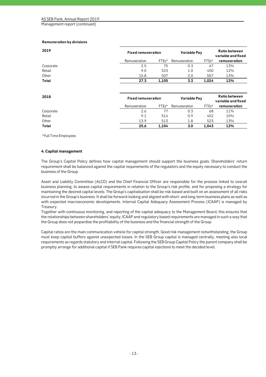#### **Remuneration by divisions**

| 2019      | <b>Fixed remuneration</b> |                    | Variable Pay | <b>Ratio between</b><br>variable and fixed |              |
|-----------|---------------------------|--------------------|--------------|--------------------------------------------|--------------|
|           | Remuneration              | FTE <sub>s</sub> * | Remuneration | FTE <sub>s</sub> *                         | remuneration |
| Corporate | 2.5                       | 75                 | 0.3          | 67                                         | 13%          |
| Retail    | 9.0                       | 523                | 1.0          | 450                                        | 12%          |
| Other     | 15.8                      | 507                | 2.0          | 507                                        | 13%          |
| Total     | 27.3                      | 1,105              | 3.3          | 1.024                                      | 12%          |
|           |                           |                    |              |                                            |              |

| 2018      | <b>Fixed remuneration</b> |         | Variable Pay | Ratio between<br>variable and fixed |              |
|-----------|---------------------------|---------|--------------|-------------------------------------|--------------|
|           | Remuneration              | $FTEs*$ | Remuneration | $FTEs*$                             | remuneration |
| Corporate | 2.6                       |         | 0.3          | 68                                  | 11%          |
| Retail    | 9.1                       | 514     | 0.9          | 452                                 | 10%          |
| Other     | 13.9                      | 513     | 1.8          | 523                                 | 13%          |
| Total     | 25.6                      | 1.104   | 3.0          | 1.043                               | 12%          |

\*Full Time Employees

#### **4. Capital management**

The Group's Capital Policy defines how capital management should support the business goals. Shareholders' return requirement shall be balanced against the capital requirements of the regulators and the equity necessary to conduct the business of the Group.

Asset and Liability Committee (ALCO) and the Chief Financial Officer are responsible for the process linked to overall business planning, to assess capital requirements in relation to the Group's risk profile, and for proposing a strategy for maintaining the desired capital levels. The Group's capitalisation shall be risk-based and built on an assessment of all risks incurred in the Group's business. It shall be forward-looking and aligned with short- and long-term business plans as well as with expected macroeconomic developments. Internal Capital Adequacy Assessment Process (ICAAP) is managed by Treasury.

Together with continuous monitoring, and reporting of the capital adequacy to the Management Board, this ensures that the relationships between shareholders' equity, ICAAP and regulatory based requirements are managed in such a way that the Group does not jeopardise the profitability of the business and the financial strength of the Group.

Capital ratios are the main communication vehicle for capital strength. Good risk management notwithstanding, the Group must keep capital buffers against unexpected losses. In the SEB Group capital is managed centrally, meeting also local requirements as regards statutory and internal capital. Following the SEB Group Capital Policy the parent company shall be promptly arrange for additional capital if SEB Pank requires capital injections to meet the decided level.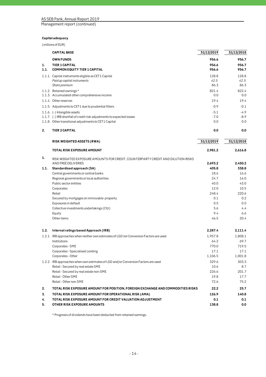Management report (continued)

# **Capital adequacy**

(millions of EUR)

|      | <b>CAPITAL BASE</b>                                                                                     | 31/12/2019      | 31/12/2018      |
|------|---------------------------------------------------------------------------------------------------------|-----------------|-----------------|
|      | <b>OWN FUNDS</b>                                                                                        | 956.6           | 956.7           |
| 1.   | <b>TIER 1 CAPITAL</b>                                                                                   | 956.6           | 956.7           |
| 1.1. | <b>COMMON EQUITY TIER 1 CAPITAL</b>                                                                     | 956.6           | 956.7           |
|      | 1.1.1. Capital instruments eligible as CET1 Capital                                                     | 128.8           | 128.8           |
|      | Paid up capital instruments                                                                             | 42.5            | 42.5            |
|      | Share premium                                                                                           | 86.3            | 86.3            |
|      | 1.1.2. Retained earnings*                                                                               | 821.4           | 822.4           |
|      | 1.1.3. Accumulated other comprehensive income                                                           | 0.0             | 0.0             |
|      | 1.1.4. Other reserves                                                                                   | 19.4            | 19.4            |
|      | 1.1.5. Adjustments to CET1 due to prudential filters                                                    | $-0.9$          | $-0.1$          |
|      | 1.1.6. (-) Intangible assets                                                                            | $-5.1$          | $-4.9$          |
|      | 1.1.7. (-) IRB shortfall of credit risk adjustments to expected losses                                  | $-7.0$          | $-8.9$          |
|      | 1.1.8. Other transitional adjustments to CET1 Capital                                                   | 0.0             | 0.0             |
| 2.   | <b>TIER 2 CAPITAL</b>                                                                                   | 0.0             | 0.0             |
|      | <b>RISK WEIGHTED ASSETS (RWA)</b>                                                                       | 31/12/2019      | 31/12/2018      |
|      | TOTAL RISK EXPOSURE AMOUNT                                                                              | 2,981.2         | 2.616.8         |
|      |                                                                                                         |                 |                 |
| 1.   | RISK WEIGHTED EXPOSURE AMOUNTS FOR CREDIT, COUNTERPARTY CREDIT AND DILUTION RISKS                       |                 |                 |
|      | AND FREE DELIVERIES                                                                                     | 2,693.2         | 2,450.2         |
| 1.1. | Standardised approach (SA)                                                                              | 405.8           | 338.8           |
|      | Central governments or central banks                                                                    | 18.6            | 16.6            |
|      | Regional governments or local authorities                                                               | 24.7            | 16.0            |
|      | Public sector entities<br>Corporates                                                                    | 40.0<br>12.0    | 43.0<br>10.5    |
|      | Retail                                                                                                  | 248.4           | 220.6           |
|      | Secured by mortgages on immovable property                                                              | 0.1             | 0.2             |
|      | Exposures in default                                                                                    | 0.5             | 0.5             |
|      | Collective investments undertakings (CIU)                                                               | 5.6             | 4.4             |
|      | Equity                                                                                                  | 9.4             | 6.6             |
|      | Other items                                                                                             | 46.5            | 20.4            |
| 1.2. | Internal ratings based Approach (IRB)                                                                   | 2,287.4         | 2,111.4         |
|      |                                                                                                         |                 |                 |
|      | 1.2.1. IRB approaches when neither own estimates of LGD nor Conversion Factors are used<br>Institutions | 1,957.8<br>64.2 | 1,808.1<br>69.7 |
|      | Corporates - SME                                                                                        | 770.0           | 719.5           |
|      | Corporates - Specialised Lending                                                                        | 17.1            | 17.1            |
|      | Corporates - Other                                                                                      | 1,106.5         | 1,001.8         |
|      | 1.2.2. IRB approaches when own estimates of LGD and/or Conversion Factors are used                      | 329.6           | 303.3           |
|      | Retail - Secured by real estate SME                                                                     | 10.6            | 8.7             |
|      | Retail - Secured by real estate non-SME                                                                 | 226.6           | 201.7           |
|      | Retail - Other SME                                                                                      | 19.8            | 17.7            |
|      | Retail - Other non-SME                                                                                  | 72.6            | 75.2            |
| 2.   | TOTAL RISK EXPOSURE AMOUNT FOR POSITION, FOREIGN EXCHANGE AND COMMODITIES RISKS                         | 22.2            | 25.7            |
| 3.   | TOTAL RISK EXPOSURE AMOUNT FOR OPERATIONAL RISK (AMA)                                                   | 126.9           | 140.8           |
| 4.   | TOTAL RISK EXPOSURE AMOUNT FOR CREDIT VALUATION ADJUSTMENT                                              | 0.1             | 0.1             |
| 5.   | OTHER RISK EXPOSURE AMOUNTS                                                                             | 138.8           | 0.0             |

\* Prognosis of dividends have been deducted from retained earnings.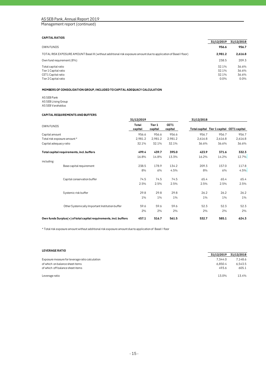Management report (continued)

# **CAPITAL RATIOS**

|                                                                                                                    | 31/12/2019                      | 31/12/2018                      |
|--------------------------------------------------------------------------------------------------------------------|---------------------------------|---------------------------------|
| <b>OWN FUNDS</b>                                                                                                   | 956.6                           | 956.7                           |
| TOTAL RISK EXPOSURE AMOUNT Basel III (without additional risk exposure amount due to application of Basel I floor) | 2.981.2                         | 2.616.8                         |
| Own fund requirement (8%)                                                                                          | 238.5                           | 209.3                           |
| Total capital ratio<br>Tier 1 Capital ratio<br>CET1 Capital ratio<br>Tier 2 Capital ratio                          | 32.1%<br>32.1%<br>32.1%<br>0.0% | 36.6%<br>36.6%<br>36.6%<br>0.0% |

#### **MEMBERS OF CONSOLIDATION GROUP, INCLUDED TO CAPITAL ADEQUACY CALCULATION**

AS SEB Pank AS SEB Liising Group AS SEB Varahaldus

#### **CAPITAL REQUIREMENTS AND BUFFERS**

|                              |                                                                   | 31/12/2019       |                   |                 | 31/12/2018 |                                           |         |
|------------------------------|-------------------------------------------------------------------|------------------|-------------------|-----------------|------------|-------------------------------------------|---------|
| <b>OWN FUNDS</b>             |                                                                   | Total<br>capital | Tier 1<br>capital | CET1<br>capital |            | Total capital Tier 1 capital CET1 capital |         |
| Capital amount               |                                                                   | 956.6            | 956.6             | 956.6           | 956.7      | 956.7                                     | 956.7   |
| Total risk exposure amount * |                                                                   | 2,981.2          | 2,981.2           | 2,981.2         | 2,616.8    | 2,616.8                                   | 2,616.8 |
| Capital adequacy ratio       |                                                                   | 32.1%            | 32.1%             | 32.1%           | 36.6%      | 36.6%                                     | 36.6%   |
|                              | Total capital requirements, incl. buffers                         | 499.4            | 439.7             | 395.0           | 423.9      | 371.6                                     | 332.3   |
|                              |                                                                   | 16.8%            | 14.8%             | 13.3%           | 16.2%      | 14.2%                                     | 12.7%   |
| including:                   |                                                                   |                  |                   |                 |            |                                           |         |
|                              | Base capital requirement                                          | 238.5            | 178.9             | 134.2           | 209.3      | 157.0                                     | 117.8   |
|                              |                                                                   | 8%               | 6%                | 4.5%            | 8%         | 6%                                        | 4.5%    |
|                              | Capital conservation buffer                                       | 74.5             | 74.5              | 74.5            | 65.4       | 65.4                                      | 65.4    |
|                              |                                                                   | 2.5%             | 2.5%              | 2.5%            | 2.5%       | 2.5%                                      | 2.5%    |
|                              | Systemic risk buffer                                              | 29.8             | 29.8              | 29.8            | 26.2       | 26.2                                      | 26.2    |
|                              |                                                                   | 1%               | $1\%$             | $1\%$           | $1\%$      | $1\%$                                     | $1\%$   |
|                              | Other Systemically Important Institution buffer                   | 59.6             | 59.6              | 59.6            | 52.3       | 52.3                                      | 52.3    |
|                              |                                                                   | 2%               | 2%                | 2%              | 2%         | 2%                                        | 2%      |
|                              | Own funds Surplus(+) of total capital requirements, incl. buffers | 457.1            | 516.7             | 561.5           | 532.7      | 585.1                                     | 624.3   |

\* Total risk exposure amount without additional risk exposure amount due to application of Basel I floor

# **LEVERAGE RATIO 31/12/2019 31/12/2018** Exposure measure for leverage ratio calculation  $7,344.0$   $7,148.6$ of which on balance sheet items 6,543.5<br>
of which off balance sheet items 6,543.5<br>
605.1 605.1 605.1 605.1 605.1 605.1 605.1 605.1 605.1 605.1 605.1 605.1 605.1 605.1 605.1 605.1 605.1 605.1 605.1 605.1 605.1 605.1 605.1 6 of which off balance sheet items Leverage ratio 13.0% 13.4%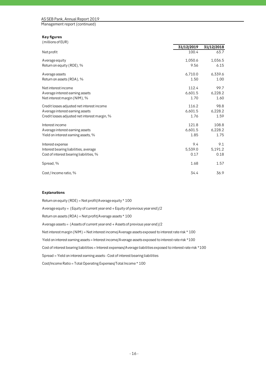Management report (continued)

# **Key figures**

| (millions of EUR) |  |
|-------------------|--|
|-------------------|--|

|                                               | 31/12/2019 | 31/12/2018 |
|-----------------------------------------------|------------|------------|
| Net profit                                    | 100.4      | 63.7       |
| A verage equity                               | 1,050.6    | 1,036.5    |
| Return on equity (ROE), %                     | 9.56       | 6.15       |
| A verage assets                               | 6,710.0    | 6,339.6    |
| Return on assets (ROA), %                     | 1.50       | 1.00       |
| Net interest income                           | 112.4      | 99.7       |
| Average interest earning assets               | 6,601.5    | 6,228.2    |
| Net interest margin (NIM), %                  | 1.70       | 1.60       |
| Credit losses adjusted net interest income    | 116.2      | 98.8       |
| Average interest earning assets               | 6,601.5    | 6,228.2    |
| Credit losses adjusted net interest margin, % | 1.76       | 1.59       |
| Interest income                               | 121.8      | 108.8      |
| A verage interest earning assets              | 6,601.5    | 6,228.2    |
| Yield on interest earning assets, %           | 1.85       | 1.75       |
| Interest expense                              | 9.4        | 9.1        |
| Interest bearing liabilities, average         | 5,539.0    | 5,191.2    |
| Cost of interest bearing liabilities, %       | 0.17       | 0.18       |
| Spread, %                                     | 1.68       | 1.57       |
| Cost / Income ratio, %                        | 34.4       | 36.9       |

#### **Explanations**

Return on equity (ROE) = Net profit/Average equity \* 100 Average equity = (Equity of current year end + Equity of previous year end)/2 Return on assets (ROA) = Net profit/Average assets \* 100 Average assets = (Assets of current year end + Assets of previous year end)/2 Net interest margin (NIM) = Net interest income/Average assets exposed to interest rate risk \* 100 Yield on interest earning assets = Interest income/Average assets exposed to interest rate risk \*100 Cost of interest bearing liabilities = Interest expenses/Average liabilities exposed to interest rate risk \*100 Spread = Yield on interest earning assets - Cost of interest bearing liabilities Cost/Income Ratio = Total Operating Expenses/Total Income \* 100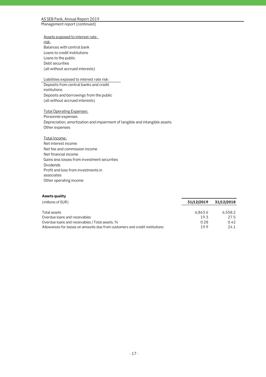Management report (continued)

Assets exposed to interest rate risk: Balances with central bank Loans to credit institutions Loans to the public Debt securities (all without accrued interests)

# Liabilities exposed to interest rate risk:

Deposits from central banks and credit institutions Deposits and borrowings from the public (all without accrued interests)

Total Operating Expenses: Personnel expenses Depreciation, amortization and impairment of tangible and intangible assets Other expenses

Total Income: Net interest income Net fee and commission income Net financial income Gains less losses from investment securities Dividends Profit and loss from investments in associates Other operating income

# **Assets quality**

| (millions of EUR)                                                           | 31/12/2019 | 31/12/2018 |
|-----------------------------------------------------------------------------|------------|------------|
| Total assets                                                                | 6.863.6    | 6.558.2    |
| Overdue loans and receivables                                               | 19.3       | 27.5       |
| Overdue loans and receivables / Total assets, %                             | 0.28       | 0.42       |
| Allowances for losses on amounts due from customers and credit institutions | 199        | 24.1       |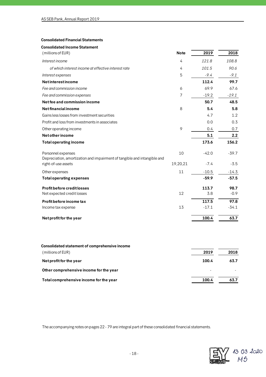# **Consolidated Financial Statements**

| Note     | 2019    | 2018    |
|----------|---------|---------|
| 4        | 121.8   | 108.8   |
| 4        | 101.5   | 90.6    |
| 5        | $-9.4$  | $-9.1$  |
|          | 112.4   | 99.7    |
| 6        | 69.9    | 67.6    |
| 7        | $-19.2$ | $-19.1$ |
|          | 50.7    | 48.5    |
| 8        | 5.4     | 5.8     |
|          | 4.7     | 1.2     |
|          | 0.0     | 0.3     |
| 9        | 0.4     | 0.7     |
|          | 5.1     | 2.2     |
|          | 173.6   | 156.2   |
| 10       | $-42.0$ | $-39.7$ |
| 19,20,21 | $-7.4$  | $-3.5$  |
| 11       | $-10.5$ | $-14.3$ |
|          | $-59.9$ | $-57.5$ |
|          | 113.7   | 98.7    |
| 12       | 3.8     | $-0.9$  |
|          | 117.5   | 97.8    |
| 13       | $-17.1$ | $-34.1$ |
|          |         |         |
|          |         |         |

| (millions of EUR)                       | 2019  | 2018 |
|-----------------------------------------|-------|------|
| Net profit for the year                 | 100.4 | 63.7 |
| Other comprehensive income for the year |       |      |
| Total comprehensive income for the year | 100.4 | 63.7 |

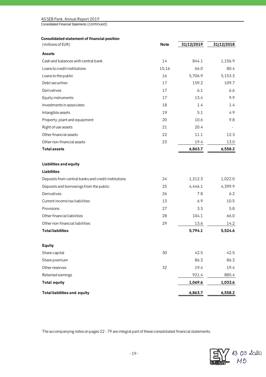| AS SEB Pank, Annual Report 2019 |  |
|---------------------------------|--|
|---------------------------------|--|

Consolidated Financial Statements (continued)

# **Consolidated statement of financial position**

| (millions of EUR)                                   | <b>Note</b> | 31/12/2019 | 31/12/2018 |
|-----------------------------------------------------|-------------|------------|------------|
| <b>Assets</b>                                       |             |            |            |
| Cash and balances with central bank                 | 14          | 844.1      | 1,156.9    |
| Loans to credit institutions                        | 15,16       | 66.0       | 80.4       |
| Loans to the public                                 | 16          | 5,706.9    | 5,153.3    |
| Debt securities                                     | 17          | 159.2      | 109.7      |
| Derivatives                                         | 17          | 6.1        | 6.6        |
| Equity instruments                                  | 17          | 13.4       | 9.9        |
| Investments in associates                           | 18          | 1.4        | 1.4        |
| Intangible assets                                   | 19          | 5.1        | 4.9        |
| Property, plant and equipment                       | 20          | 10.6       | 9.8        |
| Right of use assets                                 | 21          | 20.4       |            |
| Other financial assets                              | 22          | 11.1       | 12.3       |
| Other non-financial assets                          | 23          | 19.4       | 13.0       |
| <b>Total assets</b>                                 |             | 6,863.7    | 6,558.2    |
| <b>Liabilities and equity</b>                       |             |            |            |
| <b>Liabilities</b>                                  |             |            |            |
| Deposits from central banks and credit institutions | 24          | 1,212.3    | 1,022.0    |
| Deposits and borrowings from the public             | 25          | 4,446.1    | 4,399.9    |
| Derivatives                                         | 26          | 7.8        | 6.2        |
| Current income tax liabilities                      | 13          | 6.9        | 10.5       |
| Provisions                                          | 27          | 3.3        | 5.8        |
| Other financial liabilities                         | 28          | 104.1      | 66.0       |
| Other non-financial liabilities                     | 29          | 13.6       | 14.2       |
| <b>Total liabilities</b>                            |             | 5,794.1    | 5,524.6    |
| <b>Equity</b>                                       |             |            |            |
| Share capital                                       | 30          | 42.5       | 42.5       |
| Share premium                                       |             | 86.3       | 86.3       |
| Other reserves                                      | 32          | 19.4       | 19.4       |
| Retained earnings                                   |             | 921.4      | 885.4      |
| <b>Total equity</b>                                 |             | 1,069.6    | 1,033.6    |
| <b>Total liabilities and equity</b>                 |             | 6,863.7    | 6,558.2    |

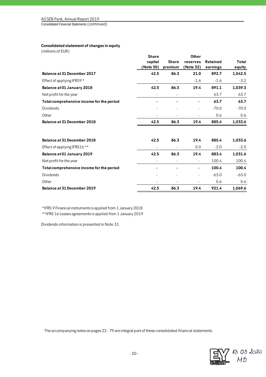Consolidated Financial Statements (continued)

# **Consolidated statement of changes in equity**

(millions of EUR)

|                                           | <b>Share</b> |                          | Other     |                 |         |
|-------------------------------------------|--------------|--------------------------|-----------|-----------------|---------|
|                                           | capital      | <b>Share</b>             | reserves  | <b>Retained</b> | Total   |
|                                           | (Note 30)    | premium                  | (Note 32) | earnings        | equity  |
| Balance at 31 December 2017               | 42.5         | 86.3                     | 21.0      | 892.7           | 1,042.5 |
| Effect of applying IFRS9 *                |              |                          | $-1.6$    | $-1.6$          | $-3.2$  |
| Balance at 01 January 2018                | 42.5         | 86.3                     | 19.4      | 891.1           | 1,039.3 |
| Net profit for the year                   |              |                          |           | 63.7            | 63.7    |
| Total comprehensive income for the period |              |                          |           | 63.7            | 63.7    |
| <b>Dividends</b>                          |              |                          |           | $-70.0$         | $-70.0$ |
| Other                                     |              |                          | ٠         | 0.6             | 0.6     |
| Balance at 31 December 2018               | 42.5         | 86.3                     | 19.4      | 885.4           | 1,033.6 |
|                                           |              |                          |           |                 |         |
| Balance at 31 December 2018               | 42.5         | 86.3                     | 19.4      | 885.4           | 1,033.6 |
| Effect of applying IFRS16 **              |              | $\overline{\phantom{a}}$ | 0.0       | $-2.0$          | $-2.0$  |
| Balance at 01 January 2019                | 42.5         | 86.3                     | 19.4      | 883.4           | 1,031.6 |
| Net profit for the year                   |              | ٠                        | ٠         | 100.4           | 100.4   |
| Total comprehensive income for the period |              |                          |           | 100.4           | 100.4   |
| Dividends                                 |              |                          |           | $-63.0$         | $-63.0$ |
| Other                                     |              |                          |           | 0.6             | 0.6     |
| <b>Balance at 31 December 2019</b>        | 42.5         | 86.3                     | 19.4      | 921.4           | 1,069.6 |

\*IFRS 9 Financial instruments is applied from 1 January 2018

\*\*IFRS 16 Leases agreements is applied from 1 January 2019

Dividends information is presented in Note 31.

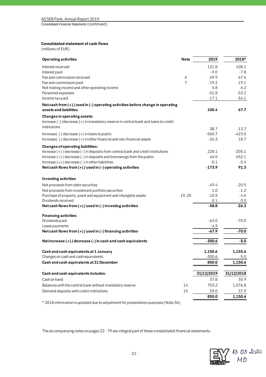Consolidated Financial Statements (continued)

# **Consolidated statement of cash flows**

(millions of EUR)

| <b>Operating activities</b>                                                         | <b>Note</b>    | 2019       | 2018*      |
|-------------------------------------------------------------------------------------|----------------|------------|------------|
| Interest received                                                                   |                | 121.8      | 108.1      |
| Interest paid                                                                       |                | $-9.0$     | $-7.8$     |
| Fee and commission received                                                         | 6              | 69.9       | 67.6       |
| Fee and commission paid                                                             | $\overline{7}$ | $-19.2$    | $-19.1$    |
| Net trading income and other operating income                                       |                | 5.8        | 6.2        |
| Personnel expenses                                                                  |                | $-51.8$    | $-53.2$    |
| Income tax paid                                                                     |                | $-17.1$    | $-34.1$    |
| Net cash from (+) / used in (-) operating activities before change in operating     |                |            |            |
| assets and liabilities                                                              |                | 100.4      | 67.7       |
| Changes in operating assets:                                                        |                |            |            |
| Increase (-) /decrease (+) in mandatory reserve in central bank and loans to credit |                |            |            |
| institutions                                                                        |                | 38.7       | $-13.7$    |
| $Increase(-)/decrease(+)$ in loans to public                                        |                | $-560.7$   | $-423.0$   |
| Increase(-) / decrease (+) in other financial and non-financial assets              |                | $-26.3$    | 18.7       |
| <b>Changes of operating liabilities:</b>                                            |                |            |            |
| Increase (+) / decrease (-) in deposits from central bank and credit institutions   |                | 228.1      | $-205.1$   |
| Increase $(+)$ / decrease $(-)$ in deposits and borrowings from the public          |                | 46.0       | 652.1      |
| Increase $(+)$ / decrease $(-)$ in other liabilities                                |                | $-0.1$     | $-5.4$     |
| Net cash flows from $(+)$ / used in $(-)$ operating activities                      |                | $-173.9$   | 91.3       |
| Investing activities                                                                |                |            |            |
| Net proceeds from debt securities                                                   |                | $-49.4$    | $-20.5$    |
| Net proceeds from investment portfolio securities                                   |                | 1.0        | $-1.2$     |
| Purchase of property, plant and equipment and intangible assets                     | 19,20          | $-10.5$    | $-4.6$     |
| Dividends received                                                                  |                | 0.1        | 0.0        |
| Net cash flows from $(+)$ / used in $(-)$ investing activities                      |                | $-58.8$    | $-26.3$    |
| <b>Financing activities</b>                                                         |                |            |            |
| Dividends paid                                                                      |                | $-63.0$    | $-70.0$    |
| Lease payments                                                                      |                | $-4.9$     |            |
| Net cash flows from $(+)$ / used in $(-)$ financing activities                      |                | $-67.9$    | $-70.0$    |
| Net increase $(+)$ / decrease $(-)$ in cash and cash equivalents                    |                | $-300.6$   | $-5.0$     |
|                                                                                     |                |            |            |
| Cash and cash equivalents at 1 January                                              |                | 1,150.6    | 1,155.6    |
| Changes on cash and cash equivalents                                                |                | -300.6     | -5.0       |
| Cash and cash equivalents at 31 December                                            |                | 850.0      | 1,150.6    |
| Cash and cash equivalents includes:                                                 |                | 31/12/2019 | 31/12/2018 |
| Cash on hand                                                                        |                | 37.8       | 35.9       |
| Balances with the central bank without mandatory reserve                            | 14             | 753.2      | 1,076.8    |
| Demand deposits with credit institutions                                            | 15             | 59.0       | 37.9       |
|                                                                                     |                | 850.0      | 1,150.6    |
|                                                                                     |                |            |            |

\* 2018 information is updated due to adjustment for presentation purposes (Note 36)

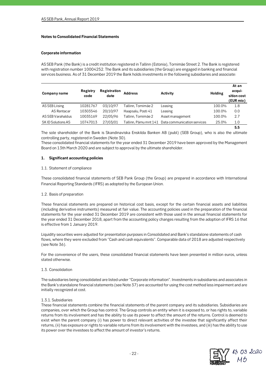# **Notes to Consolidated Financial Statements**

### **Corporate information**

AS SEB Pank (the Bank) is a credit institution registered in Tallinn (Estonia), Tornimäe Street 2. The Bank is registered with registration number 10004252. The Bank and its subsidiaries (the Group) are engaged in banking and financial services business. As of 31 December 2019 the Bank holds investments in the following subsidiaries and associate:

| Company name       | Registry<br>code | Registration<br>date | <b>Address</b>      | Activity                                           | Holding | At an<br>acqui-<br>sition cost<br>(EUR mio) |
|--------------------|------------------|----------------------|---------------------|----------------------------------------------------|---------|---------------------------------------------|
| AS SEB Liising     | 10281767         | 03/10/97             | Tallinn, Tornimäe 2 | Leasing                                            | 100.0%  | 1.8                                         |
| AS Rentacar        | 10303546         | 20/10/97             | Haapsalu, Posti 41  | Leasing                                            | 100.0%  | 0.0                                         |
| AS SEB Varahaldus  | 10035169         | 22/05/96             | Tallinn. Tornimäe 2 | Asset management                                   | 100.0%  | 2.7                                         |
| SK ID Solutions AS | 10747013         | 27/03/01             |                     | Fallinn. Pärnu mnt 141 Data communication services | 25.0%   | 1.0                                         |
|                    |                  |                      |                     |                                                    |         | 5.5                                         |

The sole shareholder of the Bank is Skandinaviska Enskilda Banken AB (publ) (SEB Group), who is also the ultimate controlling party, registered in Sweden (Note 30).

These consolidated financial statements for the year ended 31 December 2019 have been approved by the Management Board on 13th March 2020 and are subject to approval by the ultimate shareholder.

# **1. Significant accounting policies**

#### 1.1. Statement of compliance

These consolidated financial statements of SEB Pank Group (the Group) are prepared in accordance with International Financial Reporting Standards (IFRS) as adopted by the European Union.

# 1.2. Basis of preparation

These financial statements are prepared on historical cost basis, except for the certain financial assets and liabilities (including derivative instruments) measured at fair value. The accounting policies used in the preparation of the financial statements for the year ended 31 December 2019 are consistent with those used in the annual financial statements for the year ended 31 December 2018, apart from the accounting policy changes resulting from the adoption of IFRS 16 that is effective from 1 January 2019.

Liquidity securities were adjusted for presentation purposes in Consolidated and Bank's standalone statements of cash flows, where they were excluded from "Cash and cash equivalents". Comparable data of 2018 are adjusted respectively (see Note 36).

For the convenience of the users, these consolidated financial statements have been presented in million euros, unless stated otherwise.

# 1.3. Consolidation

The subsidiaries being consolidated are listed under "Corporate information". Investments in subsidiaries and associates in the Bank's standalone financial statements (see Note 37) are accounted for using the cost method less impairment and are initially recognized at cost.

#### 1.3.1. Subsidiaries

These financial statements combine the financial statements of the parent company and its subsidiaries. Subsidiaries are companies, over which the Group has control. The Group controls an entity when it is exposed to, or has rights to, variable returns from its involvement and has the ability to use its power to affect the amount of the returns. Control is deemed to exist when the parent company (i) has power to direct relevant activities of the investee that significantly affect their returns, (ii) has exposure or rights to variable returns from its involvement with the investees, and (iii) has the ability to use its power over the investees to affect the amount of investor's returns.

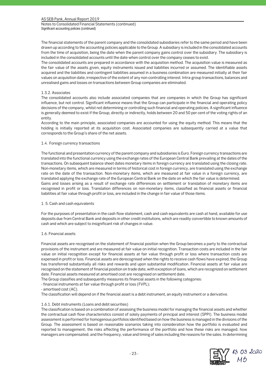Notes to Consolidated Financial Statements (continued) Significant accounting policies (continued)

The financial statements of the parent company and the consolidated subsidiaries refer to the same period and have been drawn up according to the accounting policies applicable to the Group. A subsidiary is included in the consolidated accounts from the time of acquisition, being the date when the parent company gains control over the subsidiary. The subsidiary is included in the consolidated accounts until the date when control over the company ceases to exist.

The consolidated accounts are prepared in accordance with the acquisition method. The acquisition value is measured as the fair value of the assets given, equity instruments issued and liabilities incurred or assumed. The identifiable assets acquired and the liabilities and contingent liabilities assumed in a business combination are measured initially at their fair values on acquisition date, irrespective of the extent of any non-controlling interest. Intra-group transactions, balances and unrealised gains and losses on transactions between Group companies are eliminated.

# 1.3.2. Associates

The consolidated accounts also include associated companies that are companies in which the Group has significant influence, but not control. Significant influence means that the Group can participate in the financial and operating policy decisions of the company, whilst not determining or controlling such financial and operating policies. A significant influence is generally deemed to exist if the Group, directly or indirectly, holds between 20 and 50 per cent of the voting rights of an entity.

According to the main principle, associated companies are accounted for using the equity method. This means that the holding is initially reported at its acquisition cost. Associated companies are subsequently carried at a value that corresponds to the Group's share of the net assets.

# 1.4. Foreign currency transactions

The functional and presentation currency of the parent company and subsidiaries is Euro. Foreign currency transactions are translated into the functional currency using the exchange rates of the European Central Bank prevailing at the dates of the transactions. On subsequent balance sheet dates monetary items in foreign currency are translated using the closing rate. Non-monetary items, which are measured in terms of historical cost in foreign currency, are translated using the exchange rate on the date of the transaction. Non-monetary items, which are measured at fair value in a foreign currency, are translated applying the exchange rate of the European Central Bank on the date on which the fair value is determined. Gains and losses arising as a result of exchange rate differences on settlement or translation of monetary items are recognised in profit or loss. Translation differences on non-monetary items, classified as financial assets or financial liabilities at fair value through profit or loss, are included in the change in fair value of those items.

### 1. 5. Cash and cash equivalents

For the purposes of presentation in the cash flow statement, cash and cash equivalents are cash at hand, available for use deposits due from Central Bank and deposits in other credit institutions, which are readily convertible to known amounts of cash and which are subject to insignificant risk of changes in value.

#### 1.6. Financial assets

Financial assets are recognised on the statement of financial position when the Group becomes a party to the contractual provisions of the instrument and are measured at fair value on initial recognition. Transaction costs are included in the fair value on initial recognition except for financial assets at fair value through profit or loss where transaction costs are expensed in profit or loss. Financial assets are derecognised when the rights to receive cash flows have expired, the Group has transferred substantially all risks and rewards and upon substantial modification. Financial assets at fair value are recognised on the statement of financial position on trade date, with exception of loans, which are recognized on settlement date. Financial assets measured at amortised cost are recognised on settlement date.

The Group classifies and subsequently measures its financial assets in the following categories:

- financial instruments at fair value through profit or loss (FVPL);

- amortised cost (AC).

The classification will depend on if the financial asset is a debt instrument, an equity instrument or a derivative.

#### 1.6.1. Debt instruments (Loans and debt securities)

The classification is based on a combination of assessing the business model for managing the financial assets and whether the contractual cash flow characteristics consist of solely payments of principal and interest (SPPI). The business model assessment is performed for homogenous portfolios identified based on how the business is managed in the divisions of the Group. The assessment is based on reasonable scenarios taking into consideration how the portfolio is evaluated and reported to management; the risks affecting the performance of the portfolio and how these risks are managed; how managers are compensated; and the frequency, value and timing of sales including the reasons for the sales. In determining

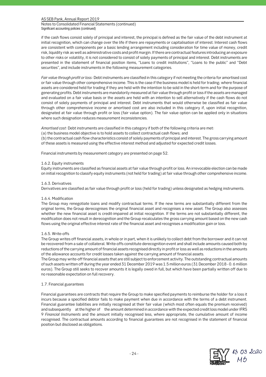Notes to Consolidated Financial Statements (continued) Significant accounting policies (continued)

if the cash flows consist solely of principal and interest, the principal is defined as the fair value of the debt instrument at initial recognition, which can change over the life if there are repayments or capitalisation of interest. Interest cash flows are consistent with components per a basic lending arrangement including consideration for time value of money, credit risk, liquidity risk as well as administrative costs and profit margin. If there are contractual features introducing an exposure to other risks or volatility, it is not considered to consist of solely payments of principal and interest. Debt instruments are presented in the statement of financial position items, "Loans to credit institutions", "Loans to the public" and "Debt securities", and include instruments in the following measurement categories.

*Fair value through profit or loss:* Debt instruments are classified in this category if not meeting the criteria for amortised cost or fair value through other comprehensive income. This is the case if the business model is held for trading; where financial assets are considered held for trading if they are held with the intention to be sold in the short-term and for the purpose of generating profits. Debt instruments are mandatorily measured at fair value through profit or loss if the assets are managed and evaluated on a fair value basis or the assets are held with an intention to sell alternatively if the cash flows do not consist of solely payments of principal and interest. Debt instruments that would otherwise be classified as fair value through other comprehensive income or amortised cost are also included in this category if, upon initial recognition, designated at fair value through profit or loss (fair value option). The fair value option can be applied only in situations where such designation reduces measurement inconsistencies.

*Amortised cost:* Debt instruments are classified in this category if both of the following criteria are met:

(a) the business model objective is to hold assets to collect contractual cash flows; and

(b) the contractual cash flow characteristics consist of solely payments of principal and interest. The gross carrying amount of these assets is measured using the effective interest method and adjusted for expected credit losses.

Financial instruments by measurement category are presented on page 52.

# 1.6.2. Equity instruments

Equity instruments are classified as financial assets at fair value through profit or loss. An irrevocable election can be made on initial recognition to classify equity instruments (not held for trading) at fair value through other comprehensive income.

# 1.6.3. Derivatives

Derivatives are classified as fair value through profit or loss (held for trading) unless designated as hedging instruments.

#### 1.6.4. Modification

The Group may renegotiate loans and modify contractual terms. If the new terms are substantially different from the original terms, the Group derecognises the original financial asset and recognises a new asset. The Group also assesses whether the new financial asset is credit-impaired at initial recognition. If the terms are not substantially different, the modification does not result in derecognition and the Group recalculates the gross carrying amount based on the new cash flows using the original effective interest rate of the financial asset and recognises a modification gain or loss.

# 1.6.5. Write-offs

The Group writes off financial assets, in whole or in part, when it is unlikely to collect debt from the borrower and it can not be recovered from a sale of collateral. Write-offs constitute derecognition event and shall include amounts caused both by reductions of the carrying amount of financial assets recognised directly in profit or loss as well as reductions in the amounts of the allowance accounts for credit losses taken against the carrying amount of financial assets.

The Group may write-off financial assets that are still subject to enforcement activity. The outstanding contractual amounts of such assets written off during the year ended 31 December 2019 was 1.5 million euros (31 December 2018 - 0. 6 million euros). The Group still seeks to recover amounts it is legally owed in full, but which have been partially written off due to no reasonable expectation on full recovery.

#### 1.7. Financial guarantees

Financial guarantees are contracts that require the Group to make specified payments to reimburse the holder for a loss it incurs because a specified debtor fails to make payment when due in accordance with the terms of a debt instrument. Financial guarantee liabilities are initially recognised at their fair value (which most often equals the premium received) and subsequently at the higher of the amount determined in accordance with the expected credit loss model under IFRS 9 *Financial Instruments* and the amount initially recognised less, where appropriate, the cumulative amount of income recognised. The contractual amounts according to financial guarantees are not recognised in the statement of financial position but disclosed as obligations.

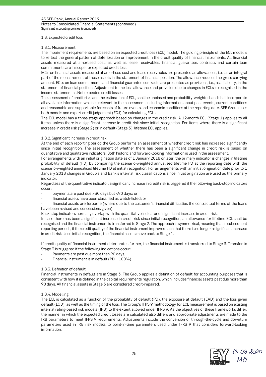Notes to Consolidated Financial Statements (continued) Significant accounting policies (continued)

#### 1.8. Expected credit loss

# 1.8.1. Measurement

The impairment requirements are based on an expected credit loss (ECL) model. The guiding principle of the ECL model is to reflect the general pattern of deterioration or improvement in the credit quality of financial instruments. All financial assets measured at amortised cost, as well as lease receivables, financial guarantees contracts and certain loan commitments are in scope for expected credit loss.

ECLs on financial assets measured at amortised cost and lease receivables are presented as allowances, i.e., as an integral part of the measurement of those assets in the statement of financial position. The allowance reduces the gross carrying amount. ECLs on loan commitments and financial guarantee contracts are presented as provisions, i.e., as a liability, in the statement of financial position. Adjustment to the loss allowance and provision due to changes in ECLs is recognised in the income statement as Net expected credit losses.

The assessment of credit risk, and the estimation of ECL, shall be unbiased and probability-weighted, and shall incorporate all available information which is relevant to the assessment, including information about past events, current conditions and reasonable and supportable forecasts of future events and economic conditions at the reporting date. SEB Group uses both models and expert credit judgement (ECJ) for calculating ECLs.

The ECL model has a three-stage approach based on changes in the credit risk. A 12-month ECL (Stage 1) applies to all items, unless there is a significant increase in credit risk since initial recognition. For items where there is a significant increase in credit risk (Stage 2) or in default (Stage 3), lifetime ECL applies.

# 1.8.2. Significant increase in credit risk

At the end of each reporting period the Group performs an assessment of whether credit risk has increased significantly since initial recognition. The assessment of whether there has been a significant change in credit risk is based on quantitative and qualitative indicators. Both historic and forward-looking information is used in the assessment.

For arrangements with an initial origination date as of 1 January 2018 or later, the primary indicator is changes in lifetime probability of default (PD) by comparing the scenario-weighted annualised lifetime PD at the reporting date with the scenario-weighted annualised lifetime PD at initial recognition. For arrangements with an initial origination date prior to 1 January 2018 changes in Group's and Bank's internal risk classifications since initial origination are used as the primary indicator.

Regardless of the quantitative indicator, a significant increase in credit risk is triggered if the following back-stop indicators occur:

- payments are past due > 30 days but <90 days; or
- financial assets have been classified as watch-listed; or
- financial assets are forborne (where due to the customer's financial difficulties the contractual terms of the loans have been revised and concessions given).

Back-stop indicators normally overlap with the quantitative indicator of significant increase in credit risk.

In case there has been a significant increase in credit risk since initial recognition, an allowance for lifetime ECL shall be recognised and the financial instrument is transferred to Stage 2. The approach is symmetrical, meaning that in subsequent reporting periods, if the credit quality of the financial instrument improves such that there is no longer a significant increase in credit risk since initial recognition, the financial assets move back to Stage 1.

If credit quality of financial instrument deteriorates further, the financial instrument is transferred to Stage 3. Transfer to Stage 3 is triggered if the following indications occur:

- Payments are past due more than 90 days;
- Financial instrument is in default ( $PD = 100\%$ ).

# 1.8.3. Definition of default

Financial instruments in default are in Stage 3. The Group applies a definition of default for accounting purposes that is consistent with how it is defined in the capital requirements regulation, which includes financial assets past due more than 90 days. All financial assets in Stage 3 are considered credit-impaired.

# 1.8.4. Modelling

The ECL is calculated as a function of the probability of default (PD), the exposure at default (EAD) and the loss given default (LGD), as well as the timing of the loss. The Group's IFRS 9 methodology for ECL measurement is based on existing internal rating-based risk models (IRB) to the extent allowed under IFRS 9. As the objectives of these frameworks differ, the manner in which the expected credit losses are calculated also differs and appropriate adjustments are made to the IRB parameters to meet IFRS 9 requirements. Adjustments include the conversion of through-the-cycle and downturn parameters used in IRB risk models to point-in-time parameters used under IFRS 9 that considers forward-looking information.

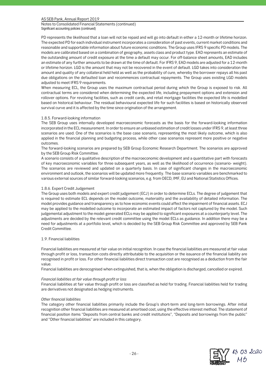Notes to Consolidated Financial Statements (continued) Significant accounting policies (continued)

PD represents the likelihood that a loan will not be repaid and will go into default in either a 12-month or lifetime horizon. The expected PD for each individual instrument incorporates a consideration of past events, current market conditions and reasonable and supportable information about future economic conditions. The Group uses IFRS 9 specific PD models. The models are calibrated based on a combination of geography, assets class and product type. EAD represents an estimate of the outstanding amount of credit exposure at the time a default may occur. For off-balance sheet amounts, EAD includes an estimate of any further amounts to be drawn at the time of default. For IFRS 9, EAD models are adjusted for a 12-month or lifetime horizon. LGD is the amount that may not be recovered in the event of default. LGD takes into consideration the amount and quality of any collateral held held as well as the probability of cure, whereby the borrower repays all his past due obligations on the defaulted loan and recommences contractual repayments. The Group uses existing LGD models adjusted to meet IFRS 9 requirements.

When measuring ECL, the Group uses the maximum contractual period during which the Group is exposed to risk. All contractual terms are considered when determining the expected life, including prepayment options and extension and rollover options. For revolving facilities, such as credit cards, and retail mortgage facilities the expected life is modelled based on historical behaviour. The residual behavioural expected life for such facilities is based on historically observed survival curve and it is affected by the time since origination of the arrangement.

# 1.8.5. Forward-looking information

The SEB Group uses internally developed macroeconomic forecasts as the basis for the forward-looking information incorporated in the ECL measurement. In order to ensure an unbiased estimation of credit losses under IFRS 9, at least three scenarios are used. One of the scenarios is the base case scenario, representing the most likely outcome, which is also applied in the financial planning and budgeting process, while other case scenarios represent more positive or negative outcomes.

The forward-looking scenarios are prepared by SEB Group Economic Research Department. The scenarios are approved by the SEB Group Risk Committee.

A scenario consists of a qualitative description of the macroeconomic development and a quantitative part with forecasts of key macroeconomic variables for three subsequent years, as well as the likelihood of occurrence (scenario- weight). The scenarios are reviewed and updated on a quarterly basis. In case of significant changes in the macroeconomic environment and outlook, the scenarios will be updated more frequently. The base scenario variables are benchmarked to various external sources of similar forward-looking scenarios, e.g. from OECD, IMF, EU and National Statistics Offices.

### 1.8.6. Expert Credit Judgement

The Group uses both models and expert credit judgement (ECJ) in order to determine ECLs. The degree of judgement that is required to estimate ECL depends on the model outcome, materiality and the availability of detailed information. The model provides guidance and transparency as to how economic events could affect the impairment of financial assets. ECJ may be applied to the modelled outcome to incorporate an estimated impact of factors not captured by the model. Such judgemental adjustment to the model-generated ECLs may be applied to significant exposures at a counterparty level. The adjustments are decided by the relevant credit committee using the model ECLs as guidance. In addition there may be a need for adjustments at a portfolio level, which is decided by the SEB Group Risk Committee and approved by SEB Pank Credit Committee.

# 1.9. Financial liabilities

Financial liabilities are measured at fair value on initial recognition. In case the financial liabilities are measured at fair value through profit or loss, transaction costs directly attributable to the acquisition or the issuance of the financial liability are recognised in profit or loss. For other financial liabilities direct transaction cost are recognised as a deduction from the fair value.

Financial liabilities are derecognised when extinguished, that is, when the obligation is discharged, cancelled or expired.

#### *Financial liabilities at fair value through profit or loss*

Financial liabilities at fair value through profit or loss are classified as held for trading. Financial liabilities held for trading are derivatives not designated as hedging instruments.

#### *Other financial liabilities*

The category other financial liabilities primarily include the Group's short-term and long-term borrowings. After initial recognition other financial liabilities are measured at amortised cost, using the effective interest method. The statement of financial position items "Deposits from central banks and credit institutions", "Deposits and borrowings from the public" and "Other financial liabilities" are included in this category.

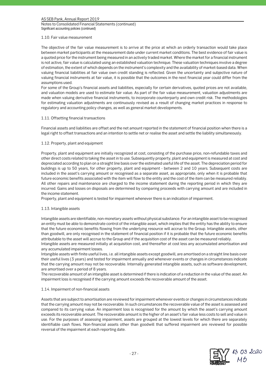Notes to Consolidated Financial Statements (continued) Significant accounting policies (continued)

#### 1.10. Fair value measurement

The objective of the fair value measurement is to arrive at the price at which an orderly transaction would take place between market participants at the measurement date under current market conditions. The best evidence of fair value is a quoted price for the instrument being measured in an actively traded market. Where the market for a financial instrument is not active, fair value is calculated using an established valuation technique. These valuation techniques involve a degree of estimation, the extent of which depends on the instrument's complexity and the availability of market-based data. When valuing financial liabilities at fair value own credit standing is reflected. Given the uncertainty and subjective nature of valuing financial instruments at fair value, it is possible that the outcomes in the next financial year could differ from the assumptions used.

For some of the Group's financial assets and liabilities, especially for certain derivatives, quoted prices are not available, and valuation models are used to estimate fair value. As part of the fair value measurement, valuation adjustments are made when valuing derivative financial instruments, to incorporate counterparty and own credit risk. The methodologies for estimating valuation adjustments are continuously revised as a result of changing market practices in response to regulatory and accounting policy changes, as well as general market developments.

# 1.11. Offsetting financial transactions

Financial assets and liabilities are offset and the net amount reported in the statement of financial position when there is a legal right to offset transactions and an intention to settle net or realise the asset and settle the liability simultaneously.

# 1.12. Property, plant and equipment

Property, plant and equipment are initially recognized at cost, consisting of the purchase price, non-refundable taxes and other direct costs related to taking the asset in to use. Subsequently property, plant and equipment is measured at cost and depreciated according to plan on a straight line basis over the estimated useful life of the asset. The depreciation period for buildings is up to 50 years, for other property, plant and equipment - between 2 and 10 years. Subsequent costs are included in the asset's carrying amount or recognised as a separate asset, as appropriate, only when it is probable that future economic benefits associated with the item will flow to the entity and the cost of the item can be measured reliably. All other repairs and maintenance are charged to the income statement during the reporting period in which they are incurred. Gains and losses on disposals are determined by comparing proceeds with carrying amount and are included in the income statement.

Property, plant and equipment is tested for impairment whenever there is an indication of impairment.

#### 1.13. Intangible assets

Intangible assets are identifiable, non-monetary assets without physical substance. For an intangible asset to be recognised an entity must be able to demonstrate control of the intangible asset, which implies that the entity has the ability to ensure that the future economic benefits flowing from the underlying resource will accrue to the Group. Intangible assets, other than goodwill, are only recognised in the statement of financial position if it is probable that the future economic benefits attributable to the asset will accrue to the Group and if the acquisition cost of the asset can be measured reliably.

Intangible assets are measured initially at acquisition cost, and thereafter at cost less any accumulated amortisation and any accumulated impairment losses.

Intangible assets with finite useful lives, i.e. all intangible assets except goodwill, are amortised on a straight line basis over their useful lives (3 years) and tested for impairment annually and whenever events or changes in circumstances indicate that the carrying amount may not be recoverable. Internally generated intangible assets, such as software development, are amortised over a period of 8 years.

The recoverable amount of an intangible asset is determined if there is indication of a reduction in the value of the asset. An impairment loss is recognised if the carrying amount exceeds the recoverable amount of the asset.

#### 1.14. Impairment of non-financial assets

Assets that are subject to amortisation are reviewed for impairment whenever events or changes in circumstances indicate that the carrying amount may not be recoverable. In such circumstances the recoverable value of the asset is assessed and compared to its carrying value. An impairment loss is recognised for the amount by which the asset's carrying amount exceeds its recoverable amount. The recoverable amount is the higher of an asset's fair value less costs to sell and value in use. For the purposes of assessing impairment, assets are grouped at the lowest levels for which there are separately identifiable cash flows. Non-financial assets other than goodwill that suffered impairment are reviewed for possible reversal of the impairment at each reporting date.

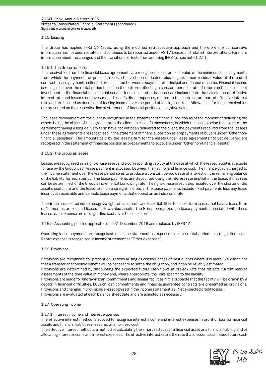Notes to Consolidated Financial Statements (continued) Significant accounting policies (continued)

#### 1.15. Leasing

The Group has applied IFRS 16 *Leases* using the modified retrospective approach and therefore the comparative information has not been restated and continues to be reported under IAS 17 Leases and related interpretations. For more information about the changes and the transitional effects from adopting IFRS 16, see note 1.23.1.

#### 1.15.1. The Group as lessor

The receivables from the financial lease agreements are recognised in net present value of the minimum lease payments, from which the payments of principal received have been deducted, plus unguaranteed residual value at the end of contract. Lease payments collected are allocated between repayment of principal and financial income. Financial income is recognised over the rental period based on the pattern reflecting a constant periodic rate of return on the lessor's net investment in the financial lease. Initial service fees collected at issuance are included into the calculation of effective interest rate and lessor's net investment. Lessor's direct expenses, related to the contract, are part of effective interest rate and are booked as decrease of leasing income over the period of leasing contract. Allowances for lease receivables are presented on the respective line of statement of financial position at negative value.

The lease receivable from the client is recognised in the statement of financial position as of the moment of delivering the assets being the object of the agreement to the client. In case of transactions, in which the assets being the object of the agreement having a long delivery term have not yet been delivered to the client, the payments received from the lessees under these agreements are recognised in the statement of financial position as prepayments of buyers under "Other nonfinancial liabilities". The amounts paid by the leasing firm for the assets under lease agreements not yet delivered are recognised in the statement of financial position as prepayments to suppliers under "Other non-financial assets".

# 1.15.2. The Group as lessee

Leases are recognised as a right-of-use asset and a corresponding liability at the date at which the leased asset is available for use by the Group. Each lease payment is allocated between the liability and finance cost. The finance cost is charged to the income statement over the lease period so as to produce a constant periodic rate of interest on the remaining balance of the liability for each period. The lease payments are discounted using the interest rate implicit in the lease, if that rate can be determined, or the Group's incremental borrowing rate. The right-of-use asset is depreciated over the shorter of the asset's useful life and the lease term on a straight-line basis. The lease payments include fixed payments less any lease incentives receivable and variable lease payments that depend on an index or a rate.

The Group has elected not to recognize right-of-use assets and lease liabilities for short-term leases that have a lease term of 12 months or less and leases for low-value assets. The Group recognizes the lease payments associated with these leases as an expense on a straight-line basis over the lease term.

# 1.15.3. Accounting policies applicable until 31 December 2018 and replaced by IFRS 16

Operating lease payments are recognised in income statement as expense over the rental period on straight line basis. Rental expense is recognised in income statement as "Other expenses".

#### 1.16. Provisions

Provisions are recognised for present obligations arising as consequences of past events where it is more likely than not that a transfer of economic benefit will be necessary to settle the obligation, and it can be reliably estimated.

Provisions are determined by discounting the expected future cash flows at pre-tax rate that reflects current market assessments of the time value of money and, where appropriate, the risks specific to the liability.

Provisions are made for undrawn loan commitments and similar facilities if it is probable that the facility will be drawn by a debtor in financial difficulties. ECLs on loan commitments and financial guarantee contracts are presented as provisions. Provisions and changes in provisions are recognised in the income statement as "Net expected credit losses". Provisions are evaluated at each balance sheet date and are adjusted as necessary.

#### 1.17. Operating income

# 1.17.1. Interest income and interest expenses

The effective interest method is applied to recognise interest income and interest expenses in profit or loss for financial assets and financial liabilities measured at amortised cost.

The effective interest method is a method of calculating the amortised cost of a financial asset or a financial liability and of allocating interest income and interest expenses. The effective interest rate is the rate that discounts estimated future cash

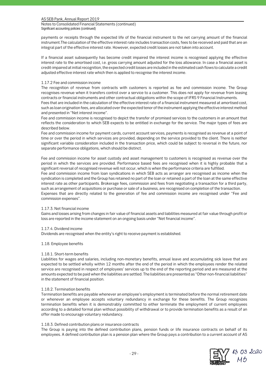Notes to Consolidated Financial Statements (continued) Significant accounting policies (continued)

payments or receipts through the expected life of the financial instrument to the net carrying amount of the financial instrument.The calculation of the effective interest rate includes transaction costs, fees to be received and paid that are an integral part of the effective interest rate. However, expected credit losses are not taken into account.

If a financial asset subsequently has become credit impaired the interest income is recognised applying the effective interest rate to the amortised cost, i.e. gross carrying amount adjusted for the loss allowance. In case a financial asset is credit-impaired at initial recognition, the expected credit losses are included in the estimated cash flows to calculate a credit adjusted effective interest rate which then is applied to recognise the interest income.

# 1.17.2 Fee and commission income

The recognition of revenue from contracts with customers is reported as fee and commission income. The Group recognises revenue when it transfers control over a service to a customer. This does not apply for revenue from leasing contracts or financial instruments and other contractual obligations within the scope of IFRS 9 Financial Instruments.

Fees that are included in the calculation of the effective interest rate of a financial instrument measured at amortised cost, such as loan origination fees, are allocated over the expected tenor of the instrument applying the effective interest method and presented in "Net interest income".

Fee and commission income is recognised to depict the transfer of promised services to the customers in an amount that reflects the consideration to which SEB expects to be entitled in exchange for the service. The major types of fees are described below.

Fee and commission income for payment cards, current account services, payments is recognised as revenue at a point of time or over the period in which services are provided, depending on the service provided to the client. There is neither significant variable consideration included in the transaction price, which could be subject to reversal in the future, nor separate performance obligations, which should be distinct.

Fee and commission income for asset custody and asset management to customers is recognised as revenue over the period in which the services are provided. Performance based fees are recognised when it is highly probable that a significant reversal of recognised revenue will not occur, which is when the performance criteria are fulfilled. Fee and commission income from loan syndications in which SEB acts as arranger are recognised as income when the syndication is completed and the Group has retained no part of the loan or retained a part of the loan at the same effective interest rate as other participants. Brokerage fees, commission and fees from negotiating a transaction for a third party, such as arrangement of acquisitions or purchase or sale of a business, are recognised on completion of the transaction. Expenses that are directly related to the generation of fee and commission income are recognised under "Fee and commission expenses".

#### 1.17.3. Net financial income

Gains and losses arising from changes in fair value of financial assets and liabilities measured at fair value through profit or loss are reported in the income statement on an ongoing basis under "Net financial income".

#### 1.17.4. Dividend income

Dividends are recognised when the entity's right to receive payment is established.

#### 1.18. Employee benefits

# 1.18.1. Short-term benefits

Liabilities for wages and salaries, including non-monetary benefits, annual leave and accumulating sick leave that are expected to be settled wholly within 12 months after the end of the period in which the employees render the related service are recognised in respect of employees' services up to the end of the reporting period and are measured at the amounts expected to be paid when the liabilities are settled. The liabilities are presented as "Other non-financial liabilities" in the statement of financial position.

# 1.18.2. Termination benefits

Termination benefits are payable whenever an employee's employment is terminated before the normal retirement date or whenever an employee accepts voluntary redundancy in exchange for these benefits. The Group recognizes termination benefits when it is demonstrably committed to either terminate the employment of current employees according to a detailed formal plan without possibility of withdrawal or to provide termination benefits as a result of an offer made to encourage voluntary redundancy.

#### 1.18.3. Defined contribution plans or insurance contracts

The Group is paying into the defined contribution plans, pension funds or life insurance contracts on behalf of its employees. A defined contribution plan is a pension plan where the Group pays a contribution to a current account of AS

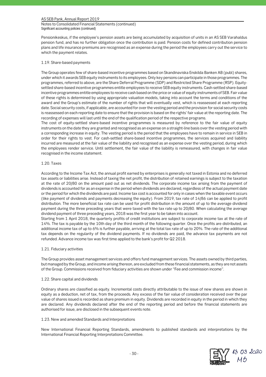Notes to Consolidated Financial Statements (continued) Significant accounting policies (continued)

Pensionikeskus, if the employee's pension assets are being accumulated by acquisition of units in an AS SEB Varahaldus pension fund, and has no further obligation once the contribution is paid. Pension costs for defined contribution pension plans and life insurance premiums are recognised as an expense during the period the employees carry out the service to which the payment relates.

# 1.19. Share-based payments

The Group operates few of share-based incentive programmes based on Skandinaviska Enskilda Banken AB (publ) shares, under which it awards SEB equity instruments to its employees. Only key persons can participate in those programmes. The programmes, referred to above, are the Share Deferral Programme (SDP) and Restricted Share Programme (RSP). Equitysettled share-based incentive programmes entitle employees to receive SEB equity instruments. Cash-settled share-based incentive programmes entitle employees to receive cash based on the price or value of equity instruments of SEB. Fair value of these rights is determined by using appropriate valuation models, taking into account the terms and conditions of the award and the Group's estimate of the number of rights that will eventually vest, which is reassessed at each reporting date. Social security costs, if applicable, are accounted for over the vesting period and the provision for social security costs is reassessed on each reporting date to ensure that the provision is based on the rights' fair value at the reporting date. The recording of expenses will last until the end of the qualification period of the respective programs.

The cost of equity-settled share-based incentive programmes is measured by reference to the fair value of equity instruments on the date they are granted and recognised as an expense on a straight-line basis over the vesting period with a corresponding increase in equity. The vesting period is the period that the employees have to remain in service in SEB in order for their rights to vest. For cash-settled share-based incentive programmes, the services acquired and liability incurred are measured at the fair value of the liability and recognised as an expense over the vesting period, during which the employees render service. Until settlement, the fair value of the liability is remeasured, with changes in fair value recognised in the income statement.

# 1.20. Taxes

According to the Income Tax Act, the annual profit earned by enterprises is generally not taxed in Estonia and no deferred tax assets or liabilities arise. Instead of taxing the net profit, the distribution of retained earnings is subject to the taxation at the rate of 20/80 on the amount paid out as net dividends. The corporate income tax arising from the payment of dividends is accounted for as an expense in the period when dividends are declared, regardless of the actual payment date or the period for which the dividends are paid. Income tax cost is accounted for only in cases when the taxable event occurs (like payment of dividends and payments decreasing the equity). From 2019, tax rate of 14/86 can be applied to profit distribution. The more beneficial tax rate can be used for profit distribution in the amount of up to the average dividend payment during the three preceding years that were taxed with the tax rate up to 20/80. When calculating the average dividend payment of three preceding years, 2018 was the first year to be taken into account.

Starting from 1 April 2018, the quarterly profits of credit institutions are subject to corporate income tax at the rate of 14%. The tax is payable by the 10th day of the third month of the following quarter. Once the profits are distributed, an additional income tax of up to 6% is further payable, arriving at the total tax rate of up to 20%. The rate of the additional tax depends on the regularity of the dividend payments. If no dividends are paid, the advance tax payments are not refunded. Advance income tax was first time applied to the bank's profit for Q2 2018.

#### 1.21. Fiduciary activities

The Group provides asset management services and offers fund management services. The assets owned by third parties, but managed by the Group, and income arising thereon, are excluded from these financial statements, as they are not assets of the Group. Commissions received from fiduciary activities are shown under "Fee and commission income".

#### 1.22. Share capital and dividends

Ordinary shares are classified as equity. Incremental costs directly attributable to the issue of new shares are shown in equity as a deduction, net of tax, from the proceeds. Any excess of the fair value of consideration received over the par value of shares issued is recorded as share premium in equity. Dividends are recorded in equity in the period in which they are declared. Any dividends declared after the end of the reporting period and before the financial statements are authorised for issue, are disclosed in the subsequent events note.

#### 1.23. New and amended Standards and Interpretations

New International Financial Reporting Standards, amendments to published standards and interpretations by the International Financial Reporting Interpretations Committee.

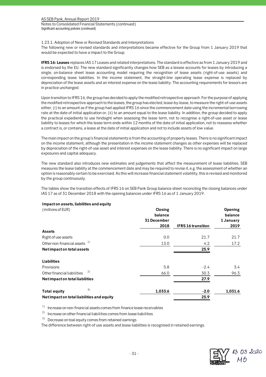Notes to Consolidated Financial Statements (continued) Significant accounting policies (continued)

1.23.1. Adoption of New or Revised Standards and Interpretations

The following new or revised standards and interpretations became effective for the Group from 1 January 2019 that would be expected to have a impact to the Group.

**IFRS 16: Leases** replaces IAS 17 Leases and related interpretations. The standard is effective as from 1 January 2019 and is endorsed by the EU. The new standard significantly changes how SEB as a lessee accounts for leases by introducing a single, on-balance sheet lease accounting model requiring the recognition of lease assets (right-of-use assets) and corresponding lease liabilities. In the income statement, the straight-line operating lease expense is replaced by depreciation of the lease assets and an interest expense on the lease liability. The accounting requirements for lessors are in practice unchanged.

Upon transition to IFRS 16, the group has decided to apply the modified retrospective approach. For the purpose of applying the modified retrospective approach to the leases, the group has elected, lease-by-lease, to measure the right-of-use assets either, (i) to an amount as if the group had applied IFRS 16 since the commencement date using the incremental borrowing rate at the date of initial application or, (ii) to an amount equal to the lease liability. In addition, the group decided to apply the practical expedients to use hindsight when assessing the lease term, not to recognise a right-of-use asset or lease liability to leases for which the lease term ends within 12 months of the date of initial application, not to reassess whether a contract is, or contains, a lease at the date of initial application and not to include assets of low value.

The main impact on the group's financial statements is from the accounting of property leases. There is no significant impact on the income statement, although the presentation in the income statement changes as other expenses will be replaced by depreciation of the right-of-use asset and interest expenses on the lease liability. There is no significant impact on large exposures and capital adequacy.

The new standard also introduces new estimates and judgements that affect the measurement of lease liabilities. SEB measures the lease liability at the commencement date and may be required to revise it, e.g. the assessment of whether an option is reasonably certain to be exercised. As this will increase financial statement volatility, this is revised and monitored by the group continuously.

The tables show the transition effects of IFRS 16 on SEB Pank Group balance sheet reconciling the closing balances under IAS 17 as of 31 December 2018 with the opening balances under IFRS 16 as of 1 January 2019.

# **Impact on assets, liabilities and equity**

| (millions of EUR)                          | Closing<br>balance<br>31 December |                           | Opening<br>balance<br>1 January |
|--------------------------------------------|-----------------------------------|---------------------------|---------------------------------|
|                                            | 2018                              | <b>IFRS 16 transition</b> | 2019                            |
| <b>Assets</b>                              |                                   |                           |                                 |
| Right of use assets                        | 0.0                               | 21.7                      | 21.7                            |
| Other non-financial assets 1)              | 13.0                              | 4.2                       | 17.2                            |
| Net impact on total assets                 |                                   | 25.9                      |                                 |
| Liabilities                                |                                   |                           |                                 |
| Provisions                                 | 5.8                               | $-2.4$                    | 3.4                             |
| 2)<br>Other financial liabilities          | 66.0                              | 30.3                      | 96.3                            |
| Net impact on total liabilities            |                                   | 27.9                      |                                 |
| 3)<br><b>Total equity</b>                  | 1,033.6                           | $-2.0$                    | 1,031.6                         |
| Net impact on total liabilities and equity |                                   | 25.9                      |                                 |

 $1)$  Increase on non-financial assets comes from finance lease receivables

<sup>2)</sup> Increase on other financial liabilities comes from lease liabilities

 $3)$  Decrease on toal equity comes from retained earnings

The difference between right-of use assets and lease liabilities is recognised in retained earnings.

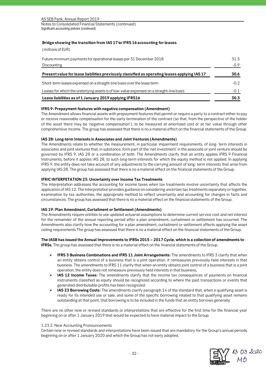AS SEB Pank, Annual Report 2019 Notes to Consolidated Financial Statements (continued) Significant accounting policies (continued)

# **Bridge showing the transition from IAS 17 to IFRS 16 accounting for leases**

(millions of EUR)

| Future minimum payments for operational leases per 31 December 2018                           | 31.5   |  |
|-----------------------------------------------------------------------------------------------|--------|--|
| Discounting                                                                                   | $-0.9$ |  |
| Present value for lease liabilities previously classified as operating leases applying IAS 17 | 30.6   |  |
| Short-term leases expensed on a straight-line basis over the lease term                       |        |  |
| Leases for which the underlying assets is of low-value expensed on a straight-line basis      |        |  |
| Lease liabilities as of 1 January 2019 applying IFRS16                                        | 30.3   |  |

# **IFRS 9: Prepayment features with negative compensation (Amendment)**

The Amendment allows financial assets with prepayment features that permit or require a party to a contract either to pay or receive reasonable compensation for the early termination of the contract (so that, from the perspective of the holder of the asset there may be 'negative compensation'), to be measured at amortized cost or at fair value through other comprehensive income. The group has assessed that there is no a material effect on the financial statements of the Group.

# **IAS 28: Long-term Interests in Associates and Joint Ventures (Amendments)**

The Amendments relate to whether the measurement, in particular impairment requirements, of long- term interests in associates and joint ventures that, in substance, form part of the 'net investment' in the associate or joint venture should be governed by IFRS 9, IAS 28 or a combination of both. The Amendments clarify that an entity applies IFRS 9 Financial Instruments, before it applies IAS 28, to such long-term interests for which the equity method is not applied. In applying IFRS 9, the entity does not take account of any adjustments to the carrying amount of long- term interests that arise from applying IAS 28. The group has assessed that there is no a material effect on the financial statements of the Group.

# **IFRIC INTERPETATION 23: Uncertainty over Income Tax Treatments**

The Interpretation addresses the accounting for income taxes when tax treatments involve uncertainty that affects the application of IAS 12. The Interpretation provides guidance on considering uncertain tax treatments separately or together, examination by tax authorities, the appropriate method to reflect uncertainty and accounting for changes in facts and circumstances. The group has assessed that there is no a material effect on the financial statements of the Group.

# **IAS 19: Plan Amendment, Curtailment or Settlement (Amendments)**

The Amendments require entities to use updated actuarial assumptions to determine current service cost and net interest for the remainder of the annual reporting period after a plan amendment, curtailment or settlement has occurred. The Amendments also clarify how the accounting for a plan amendment, curtailment or settlement affects applying the asset ceiling requirements.The group has assessed that there is no a material effect on the financial statements of the Group.

# **The IASB has issued the Annual Improvements to IFRSs 2015 – 2017 Cycle, which is a collection of amendments to IFRSs.** The group has assessed that there is no a material effect on the financial statements of the Group.

- **IFRS 3 Business Combinations and IFRS 11 Joint Arrangements:** The amendments to IFRS 3 clarify that when an entity obtains control of a business that is a joint operation, it remeasures previously held interests in that business. The amendments to IFRS 11 clarify that when an entity obtains joint control of a business that is a joint operation, the entity does not remeasure previously held interests in that business**.**
- **IAS 12 Income Taxes:** The amendments clarify that the income tax consequences of payments on financial instruments classified as equity should be recognized according to where the past transactions or events that generated distributable profits has been recognized.
- **IAS 23 Borrowing Costs:** The amendments clarify paragraph 14 of the standard that, when a qualifying asset is ready for its intended use or sale, and some of the specific borrowing related to that qualifying asset remains outstanding at that point, that borrowing is to be included in the funds that an entity borrows generally.

There are no other new or revised standards or interpretations that are effective for the first time for the financial year beginning on or after 1 January 2019 that would be expected to have material impact to the Group.

### 1.23.2. New Accounting Pronouncements

Certain new or revised standards and interpretations have been issued that are mandatory for the Group's annual periods beginning on or after 1 January 2020 and which the Group has not early adopted.

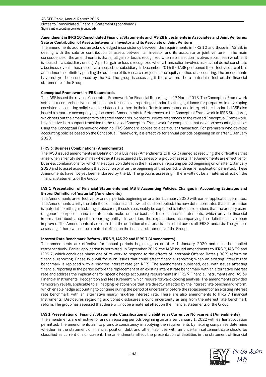Notes to Consolidated Financial Statements (continued) Significant accounting policies (continued)

# **Amendment in IFRS 10 Consolidated Financial Statements and IAS 28 Investments in Associates and Joint Ventures: Sale or Contribution of Assets between an Investor and its Associate or Joint Venture**

The amendments address an acknowledged inconsistency between the requirements in IFRS 10 and those in IAS 28, in dealing with the sale or contribution of assets between an investor and its associate or joint venture. The main consequence of the amendments is that a full gain or loss is recognized when a transaction involves a business (whether it is housed in a subsidiary or not). A partial gain or loss is recognized when a transaction involves assets that do not constitute a business, even if these assets are housed in a subsidiary. In December 2015 the IASB postponed the effective date of this amendment indefinitely pending the outcome of its research project on the equity method of accounting. The amendments have not yet been endorsed by the EU. The group is assessing if there will not be a material effect on the financial statements of the Group.

# **Conceptual Framework in IFRS standards**

The IASB issued the revised Conceptual Framework for Financial Reporting on 29 March 2018. The Conceptual Framework sets out a comprehensive set of concepts for financial reporting, standard setting, guidance for preparers in developing consistent accounting policies and assistance to others in their efforts to understand and interpret the standards. IASB also issued a separate accompanying document, Amendments to References to the Conceptual Framework in IFRS Standards, which sets out the amendments to affected standards in order to update references to the revised Conceptual Framework. Its objective is to support transition to the revised Conceptual Framework for companies that develop accounting policies using the Conceptual Framework when no IFRS Standard applies to a particular transaction. For preparers who develop accounting policies based on the Conceptual Framework, it is effective for annual periods beginning on or after 1 January 2020.

# **IFRS 3: Business Combinations (Amendments)**

The IASB issued amendments in Definition of a Business (Amendments to IFRS 3) aimed at resolving the difficulties that arise when an entity determines whether it has acquired a business or a group of assets. The Amendments are effective for business combinations for which the acquisition date is in the first annual reporting period beginning on or after 1 January 2020 and to asset acquisitions that occur on or after the beginning of that period, with earlier application permitted. These Amendments have not yet been endorsed by the EU. The group is assessing if there will not be a material effect on the financial statements of the Group.

# **IAS 1 Presentation of Financial Statements and IAS 8 Accounting Policies, Changes in Accounting Estimates and Errors: Definition of 'material' (Amendments)**

The Amendments are effective for annual periods beginning on or after 1 January 2020 with earlier application permitted. The Amendments clarify the definition of material and how it should be applied. The new definition states that, 'Information is material if omitting, misstating or obscuring it could reasonably be expected to influence decisions that the primary users of general purpose financial statements make on the basis of those financial statements, which provide financial information about a specific reporting entity'. In addition, the explanations accompanying the definition have been improved. The Amendments also ensure that the definition of material is consistent across all IFRS Standards. The group is assessing if there will not be a material effect on the financial statements of the Group.

#### **Interest Rate Benchmark Reform - IFRS 9, IAS 39 and IFRS 7 (Amendments)**

The amendments are effective for annual periods beginning on or after 1 January 2020 and must be applied retrospectively. Earlier application is permitted. In September 2019, the IASB issued amendments to IFRS 9, IAS 39 and IFRS 7, which concludes phase one of its work to respond to the effects of Interbank Offered Rates (IBOR) reform on financial reporting. Phase two will focus on issues that could affect financial reporting when an existing interest rate benchmark is replaced with a risk-free interest rate (an RFR). The amendments published, deal with issues affecting financial reporting in the period before the replacement of an existing interest rate benchmark with an alternative interest rate and address the implications for specific hedge accounting requirements in IFRS 9 Financial Instruments and IAS 39 Financial Instruments: Recognition and Measurement, which require forward-looking analysis. The amendments provided temporary reliefs, applicable to all hedging relationships that are directly affected by the interest rate benchmark reform, which enable hedge accounting to continue during the period of uncertainty before the replacement of an existing interest rate benchmark with an alternative nearly risk-free interest rate. There are also amendments to IFRS 7 Financial Instruments: Disclosures regarding additional disclosures around uncertainty arising from the interest rate benchmark reform. The group has assessed that there will not be a material effect on the financial statements of the Group.

#### **IAS 1 Presentation of Financial Statements: Classification of Liabilities as Current or Non-current (Amendments)**

The amendments are effective for annual reporting periods beginning on or after January 1, 2022 with earlier application permitted. The amendments aim to promote consistency in applying the requirements by helping companies determine whether, in the statement of financial position, debt and other liabilities with an uncertain settlement date should be classified as current or non-current. The amendments affect the presentation of liabilities in the statement of financial

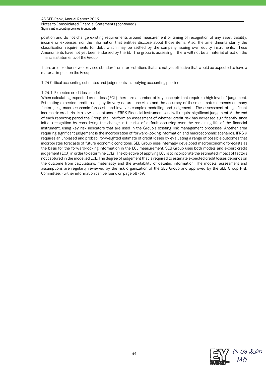Notes to Consolidated Financial Statements (continued) Significant accounting policies (continued)

position and do not change existing requirements around measurement or timing of recognition of any asset, liability, income or expenses, nor the information that entities disclose about those items. Also, the amendments clarify the classification requirements for debt which may be settled by the company issuing own equity instruments. These Amendments have not yet been endorsed by the EU. The group is assessing if there will not be a material effect on the financial statements of the Group.

There are no other new or revised standards or interpretations that are not yet effective that would be expected to have a material impact on the Group.

1.24 Critical accounting estimates and judgements in applying accounting policies

#### 1.24.1. Expected credit loss model

When calculating expected credit loss (ECL) there are a number of key concepts that require a high level of judgement. Estimating expected credit loss is, by its very nature, uncertain and the accuracy of these estimates depends on many factors, e.g. macroeconomic forecasts and involves complex modelling and judgements. The assessment of significant increase in credit risk is a new concept under IFRS 9 Financial Instruments and will require significant judgement. At the end of each reporting period the Group shall perform an assessment of whether credit risk has increased significantly since initial recognition by considering the change in the risk of default occurring over the remaining life of the financial instrument, using key risk indicators that are used in the Group's existing risk management processes. Another area requiring significant judgement is the incorporation of forward-looking information and macroeconomic scenarios. IFRS 9 requires an unbiased and probability-weighted estimate of credit losses by evaluating a range of possible outcomes that incorporates forecasts of future economic conditions. SEB Group uses internally developed macroeconomic forecasts as the basis for the forward-looking information in the ECL measurement. SEB Group uses both models and expert credit judgement (ECJ) in order to determine ECLs. The objective of applying ECJ is to incorporate the estimated impact of factors not captured in the modelled ECL. The degree of judgement that is required to estimate expected credit losses depends on the outcome from calculations, materiality and the availability of detailed information. The models, assessment and assumptions are regularly reviewed by the risk organization of the SEB Group and approved by the SEB Group Risk Committee. Further information can be found on page 38 -39.

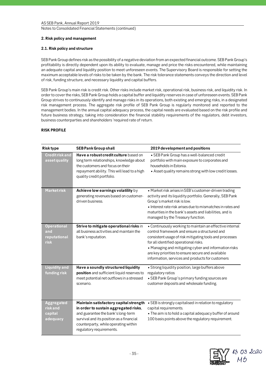#### Notes to Consolidated Financial Statements (continued)

# **2. Risk policy and management**

# **2.1. Risk policy and structure**

SEB Pank Group defines risk as the possibility of a negative deviation from an expected financial outcome. SEB Pank Group's profitability is directly dependent upon its ability to evaluate, manage and price the risks encountered, while maintaining an adequate capital and liquidity position to meet unforeseen events. The Supervisory Board is responsible for setting the maximum acceptable levels of risks to be taken by the bank. The risk tolerance statements conveys the direction and level of risk, funding structure, and necessary liquidity and capital buffers.

SEB Pank Group's main risk is credit risk. Other risks include market risk, operational risk, business risk, and liquidity risk. In order to cover the risks, SEB Pank Group holds a capital buffer and liquidity reserves in case of unforeseen events. SEB Pank Group strives to continuously identify and manage risks in its operations, both existing and emerging risks, in a designated risk management process. The aggregate risk profile of SEB Pank Group is regularly monitored and reported to the management bodies. In the annual capital adequacy process, the capital needs are evaluated based on the risk profile and future business strategy, taking into consideration the financial stability requirements of the regulators, debt investors, business counterparties and shareholders 'required rate of return.

# **RISK PROFILE**

| <b>Risk type</b>                                     | <b>SEB Pank Group shall</b>                                                                                                                                                                                                           | 2019 development and positions                                                                                                                                                                                                                                                                                                                                                  |
|------------------------------------------------------|---------------------------------------------------------------------------------------------------------------------------------------------------------------------------------------------------------------------------------------|---------------------------------------------------------------------------------------------------------------------------------------------------------------------------------------------------------------------------------------------------------------------------------------------------------------------------------------------------------------------------------|
| <b>Credit risk and</b><br>asset quality              | Have a robust credit culture based on<br>long term relationships, knowledge about<br>the customers and focus on their<br>repayment ability. This will lead to a high<br>quality credit portfolio.                                     | · SEB Pank Group has a well-balanced credit<br>portfolio with main exposure to corporates and<br>households in Estonia.<br>• Asset quality remains strong with low credit losses.                                                                                                                                                                                               |
| <b>Marketrisk</b>                                    | Achieve low earnings volatility by<br>generating revenues based on customer-<br>driven business.                                                                                                                                      | • Market risk arises in SEB's customer-driven trading<br>activity and its liquidity portfolio. Generally, SEB Pank<br>Group's market risk is low.<br>· Interest rate risk arises due to mismatches in rates and<br>maturities in the bank's assets and liabilities, and is<br>managed by the Treasury function.                                                                 |
| <b>Operational</b><br>and<br>reputational<br>risk    | Strive to mitigate operational risks in<br>all business activities and maintain the<br>bank's reputation.                                                                                                                             | • Continuously working to maintain an effective internal<br>control framework and ensure a structured and<br>consistent usage of risk mitigating tools and processes<br>for all identified operational risks.<br>• Managing and mitigating cyber and information risks<br>are key priorities to ensure secure and available<br>information, services and products for customers |
| <b>Liquidity and</b><br>funding risk                 | Have a soundly structured liquidity<br>position and sufficient liquid reserves to<br>meet potential net outflows in a stressed<br>scenario.                                                                                           | • Strong liquidity position, large buffers above<br>regulatory ratios<br>• SEB Pank Group's primary funding sources are<br>customer deposits and wholesale funding.                                                                                                                                                                                                             |
| <b>Aggregated</b><br>risk and<br>capital<br>adequacy | Maintain satisfactory capital strength<br>in order to sustain aggregated risks,<br>and guarantee the bank's long-term<br>survival and its position as a financial<br>counterparty, while operating within<br>regulatory requirements. | • SEB is strongly capitalised in relation to regulatory<br>capital requirements.<br>. The aim is to hold a capital adequacy buffer of around<br>100 basis points above the regulatory requirement.                                                                                                                                                                              |

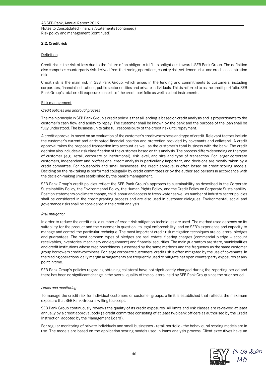Notes to Consolidated Financial Statements (continued) Risk policy and management (continued)

## **2.2. Credit risk**

### **Definition**

Credit risk is the risk of loss due to the failure of an obligor to fulfil its obligations towards SEB Pank Group. The definition also comprises counterparty risk derived from the trading operations, country risk, settlement risk, and credit concentration risk.

Credit risk is the main risk in SEB Pank Group, which arises in the lending and commitments to customers, including corporates, financial institutions, public sector entities and private individuals. This is referred to as the credit portfolio. SEB Pank Group's total credit exposure consists of the credit portfolio as well as debt instruments.

### Risk management

### *Credit policies and approval process*

The main principle in SEB Pank Group's credit policy is that all lending is based on credit analysis and is proportionate to the customer's cash flow and ability to repay. The customer shall be known by the bank and the purpose of the loan shall be fully understood. The business units take full responsibility of the credit risk until repayment.

A credit approval is based on an evaluation of the customer's creditworthiness and type of credit. Relevant factors include the customer's current and anticipated financial position and protection provided by covenants and collateral. A credit approval takes the proposed transaction into account as well as the customer's total business with the bank. The credit decision also includes a risk classification of the customer based on this analysis. The process differs depending on the type of customer (e.g., retail, corporate or institutional), risk level, and size and type of transaction. For larger corporate customers, independent and professional credit analysis is particularly important, and decisions are mostly taken by a credit committee. For households and small businesses, the credit approval is often based on credit scoring models. Deciding on the risk taking is performed collegially by credit committees or by the authorised persons in accordance with the decision-making limits established by the bank's management.

SEB Pank Group's credit policies reflect the SEB Pank Group's approach to sustainability as described in the Corporate Sustainability Policy, the Environmental Policy, the Human Rights Policy, and the Credit Policy on Corporate Sustainability. Position statements on climate change, child labour and access to fresh water as well as number of industry sector policies shall be considered in the credit granting process and are also used in customer dialogues. Environmental, social and governance risks shall be considered in the credit analysis.

### *Risk mitigation*

In order to reduce the credit risk, a number of credit risk mitigation techniques are used. The method used depends on its suitability for the product and the customer in question, its legal enforceability, and on SEB's experience and capacity to manage and control the particular technique. The most important credit risk mitigation techniques are collateral pledges and guarantees. The most common types of pledges are real estate, floating charges (commercial pledge – account receivables, inventories, machinery and equipment) and financial securities. The main guarantors are state, municipalities and credit institutions whose creditworthiness is assessed by the same methods and the frequency as the same customer group borrowers creditworthiness. For large corporate customers, credit risk is often mitigated by the use of covenants. In the trading operations, daily margin arrangements are frequently used to mitigate net open counterparty exposures at any point in time.

SEB Pank Group's policies regarding obtaining collateral have not significantly changed during the reporting period and there has been no significant change in the overall quality of the collateral held by SEB Pank Group since the prior period.

### *Limits and monitoring*

To manage the credit risk for individual customers or customer groups, a limit is established that reflects the maximum exposure that SEB Pank Group is willing to accept.

SEB Pank Group continuously reviews the quality of its credit exposures. All limits and risk classes are reviewed at least annually by a credit approval body (a credit committee consisting of at least two bank officers as authorised by the Credit Instruction, adopted by the Management Board).

For regular monitoring of private individuals and small businesses - retail portfolio - the behavioural scoring models are in use. The models are based on the application scoring models used in loans analysis process. Client executives have an

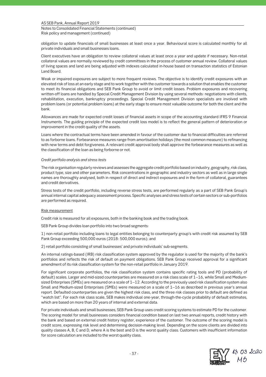Notes to Consolidated Financial Statements (continued) Risk policy and management (continued)

obligation to update financials of small businesses at least once a year. Behavioural score is calculated monthly for all private individuals and small businesses loans.

Client executives have an obligation to review collateral values at least once a year and update if necessary. Non-retail collateral values are normally reviewed by credit committees in the process of customer annual review. Collateral values of living spaces and land are being adjusted with indexes calculated in-house based on transaction statistics of Estonian Land Board.

Weak or impaired exposures are subject to more frequent reviews. The objective is to identify credit exposures with an elevated risk of loss at an early stage and to work together with the customer towards a solution that enables the customer to meet its financial obligations and SEB Pank Group to avoid or limit credit losses. Problem exposures and recovering written-off loans are handled by Special Credit Management Division by using several methods: negotiations with clients, rehabilitation, execution, bankruptcy proceedings. Special Credit Management Division specialists are involved with problem loans (or potential problem loans) at the early stage to ensure most valuable outcome for both the client and the bank.

Allowances are made for expected credit losses of financial assets in scope of the accounting standard IFRS 9 Financial Instruments. The guiding principle of the expected credit loss model is to reflect the general pattern of deterioration or improvement in the credit quality of the assets.

Loans where the contractual terms have been amended in favour of the customer due to financial difficulties are referred to as forborne loans. Forbearance measures range from amortisation holidays (the most common measure) to refinancing with new terms and debt forgiveness. A relevant credit approval body shall approve the forbearance measures as well as the classification of the loan as being forborne or not.

### *Credit portfolio analysis and stress tests*

The risk organisation regularly reviews and assesses the aggregate credit portfolio based on industry, geography, risk class, product type, size and other parameters. Risk concentrations in geographic and industry sectors as well as in large single names are thoroughly analysed, both in respect of direct and indirect exposures and in the form of collateral, guarantees and credit derivatives.

Stress tests of the credit portfolio, including reverse stress tests, are performed regularly as a part of SEB Pank Group's annual internal capital adequacy assessment process. Specific analyses and stress tests of certain sectors or sub-portfolios are performed as required.

### Risk measurement

Credit risk is measured for all exposures, both in the banking book and the trading book.

SEB Pank Group divides loan portfolio into two broad segments:

1) non-retail portfolio including loans to legal entities belonging to counterparty group's with credit risk assumed by SEB Pank Group exceeding 500,000 euros (2018: 500,000 euros); and

2) retail portfolio consisting of small businesses' and private individuals' sub-segments.

An internal ratings-based (IRB) risk classification system approved by the regulator is used for the majority of the bank's portfolios and reflects the risk of default on payment obligations. SEB Pank Group received approval for a significant amendment of its risk classification system for the non-retail portfolio in January 2019.

For significant corporate portfolios, the risk classification system contains specific rating tools and PD (probability of default) scales. Larger and mid-sized counterparties are measured on a risk class scale of 1–16, while Small and Mediumsized Enterprises (SMEs) are measured on a scale of 1–12. According to the previously used risk classification system also Small and Medium-sized Enterprises (SMEs) were measured on a scale of 1–16 as described in previous year's annual report. Defaulted counterparties are given the highest risk class, and the three risk classes prior to default are defined as "watch list". For each risk class scale, SEB makes individual one-year, through-the-cycle probability of default estimates, which are based on more than 20 years of internal and external data.

For private individuals and small businesses, SEB Pank Group uses credit scoring systems to estimate PD for the customer. The scoring model for small businesses considers financial condition based on last two annual reports, credit history with the bank and based on external credit history register, experience of the customer. The outcome of the scoring model is credit score, expressing risk level and determining decision-making level. Depending on the score clients are divided into quality classes A, B, C and D, where A is the best and D is the worst quality class. Customers with insufficient information for score calculation are included to the worst quality class.

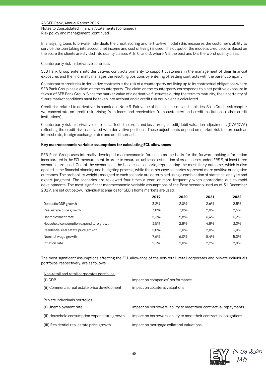Notes to Consolidated Financial Statements (continued) Risk policy and management (continued)

In analysing loans to private individuals the credit scoring and left-to-live model (this measures the customer's ability to service the loan taking into account net income and cost of living) is used. The output of the model is credit score. Based on the score the clients are divided into quality classes A, B, C, and D, where A is the best and D is the worst quality class.

#### Counterparty risk in derivative contracts

SEB Pank Group enters into derivatives contracts primarily to support customers in the management of their financial exposures and then normally manages the resulting positions by entering offsetting contracts with the parent company.

Counterparty credit risk in derivative contracts is the risk of a counterparty not living up to its contractual obligations where SEB Pank Group has a claim on the counterparty. The claim on the counterparty corresponds to a net positive exposure in favour of SEB Pank Group. Since the market value of a derivative fluctuates during the term to maturity, the uncertainty of future market conditions must be taken into account and a credit risk equivalent is calculated.

Credit risk related to derivatives is handled in Note 3. Fair value of financial assets and liabilities. So in Credit risk chapter we concentrate on credit risk arising from loans and receivables from customers and credit institutions (other credit institutions).

Counterparty risk in derivative contracts affects the profit and loss through credit/debit valuation adjustments (CVA/DVA) reflecting the credit risk associated with derivative positions. These adjustments depend on market risk factors such as interest rate, foreign exchange rates and credit spreads.

### **Key macroeconomic variable assumptions for calculating ECL allowances**

SEB Pank Group uses internally developed macroeconomic forecasts as the basis for the forward-looking information incorporated in the ECL measurement. In order to ensure an unbiased estimation of credit losses under IFRS 9, at least three scenarios are used. One of the scenarios is the base case scenario, representing the most likely outcome, which is also applied in the financial planning and budgeting process, while the other case scenarios represent more positive or negative outcomes. The probability weights assigned to each scenario are determined using a combination of statistical analysis and expert judgment. The scenarios are reviewed four times a year, or more frequently when appropriate due to rapid developments. The most significant macroeconomic variable assumptions of the Base scenario used as of 31 December 2019, are set out below. Individual scenarios for SEB's home markets are used.

|                                          | 2019 | 2020 | 2021 | 2022 |
|------------------------------------------|------|------|------|------|
| Domestic GDP growth                      | 3.2% | 2,0% | 2,6% | 2,5% |
| Real estate price growth                 | 3.0% | 3.0% | 2,0% | 2,5% |
| Unemployment rate                        | 5.3% | 5,8% | 6,4% | 6,2% |
| Household consumption expenditure growth | 3.5% | 2,8% | 4,8% | 3,0% |
| Residential real estate price growth     | 5.0% | 3.0% | 2,0% | 3,0% |
| Nominal wage growth                      | 7.6% | 6.0% | 5.4% | 5,0% |
| Inflation rate                           | 2,3% | 2.0% | 2.2% | 2,0% |

The most significant assumptions affecting the ECL allowance of the non-retail, retail corporates and private individuals portfolios, respectively, are as follows:

| Non-retail and retail corporates portfolios:  |                                                                    |
|-----------------------------------------------|--------------------------------------------------------------------|
| $(i)$ GDP                                     | impact on companies' performance                                   |
| (ii) Commercial real estate price development | impact on collateral valuations                                    |
| Private individuals portfolios:               |                                                                    |
| (i) Unemployment rate                         | impact on borrowers' ability to meet their contractual repayments  |
| (ii) Household consumption expenditure growth | impact on borrowers' ability to meet their contractual obligations |
| (iii) Residential real estate price growth    | impact on mortgage collateral valuations                           |

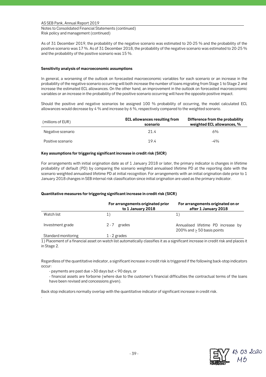Notes to Consolidated Financial Statements (continued) Risk policy and management (continued)

As of 31 December 2019, the probability of the negative scenario was estimated to 20-25 % and the probability of the positive scenario was 17 %. As of 31 December 2018, the probability of the negative scenario was estimated to 20-25 % and the probability of the positive scenario was 15 %.

## **Sensitivity analysis of macroeconomic assumptions**

In general, a worsening of the outlook on forecasted macroeconomic variables for each scenario or an increase in the probability of the negative scenario occurring will both increase the number of loans migrating from Stage 1 to Stage 2 and increase the estimated ECL allowances. On the other hand, an improvement in the outlook on forecasted macroeconomic variables or an increase in the probability of the positive scenario occurring will have the opposite positive impact.

Should the positive and negative scenarios be assigned 100 % probability of occurring, the model calculated ECL allowances would decrease by 4 % and increase by 6 %, respectively compared to the weighted scenario.

| (millions of EUR) | <b>ECL allowances resulting from</b><br>scenario | Difference from the probability<br>weighted ECL allowances, % |
|-------------------|--------------------------------------------------|---------------------------------------------------------------|
| Negative scenario | 21.4                                             | 6%                                                            |
| Positive scenario | 19.4                                             | $-4%$                                                         |

## **Key assumptions for triggering significant increase in credit risk (SICR)**

For arrangements with initial origination date as of 1 January 2018 or later, the primary indicator is changes in lifetime probability of default (PD) by comparing the scenario weighted annualised lifetime PD at the reporting date with the scenario weighted annualised lifetime PD at initial recognition. For arrangements with an initial origination date prior to 1 January 2018 changes in SEB internal risk classification since initial origination are used as the primary indicator.

## **Quantitative measures for triggering significant increase in credit risk (SICR)**

|                     | For arrangements originated prior<br>to 1 January 2018 | For arrangements originated on or<br>after 1 January 2018             |
|---------------------|--------------------------------------------------------|-----------------------------------------------------------------------|
| Watch list          | 1)                                                     | 1)                                                                    |
| Investment grade    | 2-7 grades                                             | Annualised lifetime PD increase by<br>$200\%$ and $> 50$ basis points |
| Standard monitoring | 1 - 2 grades                                           |                                                                       |

1) Placement of a financial asset on watch list automatically classifies it as a significant increase in credit risk and places it in Stage 2.

Regardless of the quantitative indicator, a significant increase in credit risk is triggered if the following back-stop indicators occur:

- payments are past due >30 days but < 90 days, or

.

- financial assets are forborne (where due to the customer's financial difficulties the contractual terms of the loans have been revised and concessions given).

Back stop indicators normally overlap with the quantitative indicator of significant increase in credit risk.

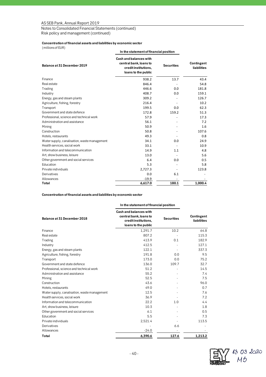Notes to Consolidated Financial Statements (continued)

Risk policy and management (continued)

## **Concentration of financial assets and liabilities by economic sector**

(millions of EUR)

|                                              | In the statement of financial position                                                          |                   |                           |  |  |  |
|----------------------------------------------|-------------------------------------------------------------------------------------------------|-------------------|---------------------------|--|--|--|
| Balance at 31 December 2019                  | Cash and balances with<br>central bank, loans to<br>credit institutions,<br>loans to the public | <b>Securities</b> | Contingent<br>liabilities |  |  |  |
| Finance                                      | 938.2                                                                                           | 13.7              | 43.4                      |  |  |  |
| Real estate                                  | 846.4                                                                                           |                   | 54.8                      |  |  |  |
| Trading                                      | 446.6                                                                                           | 0.0               | 181.8                     |  |  |  |
| Industry                                     | 408.7                                                                                           | 0.0               | 159.1                     |  |  |  |
| Energy, gas and steam plants                 | 309.2                                                                                           |                   | 126.7                     |  |  |  |
| Agriculture, fishing, forestry               | 216.4                                                                                           |                   | 10.2                      |  |  |  |
| Transport                                    | 199.5                                                                                           | 0.0               | 62.3                      |  |  |  |
| Government and state defence                 | 172.8                                                                                           | 159.2             | 51.3                      |  |  |  |
| Professional, science and technical work     | 57.9                                                                                            |                   | 17.3                      |  |  |  |
| Administration and assistance                | 56.1                                                                                            |                   | 7.2                       |  |  |  |
| Mining                                       | 50.9                                                                                            |                   | 1.6                       |  |  |  |
| Construction                                 | 50.8                                                                                            |                   | 107.6                     |  |  |  |
| Hotels, restaurants                          | 49.3                                                                                            |                   | 0.8                       |  |  |  |
| Water supply, canalisation, waste management | 34.1                                                                                            | 0.0               | 24.9                      |  |  |  |
| Health services, social work                 | 33.1                                                                                            |                   | 10.9                      |  |  |  |
| Information and telecommunication            | 14.9                                                                                            | 1.1               | 4.8                       |  |  |  |
| Art, show business, leisure                  | 13.0                                                                                            |                   | 5.6                       |  |  |  |
| Other government and social services         | 6.4                                                                                             | 0.0               | 0.5                       |  |  |  |
| Education                                    | 5.3                                                                                             |                   | 5.8                       |  |  |  |
| Private individuals                          | 2,727.3                                                                                         |                   | 123.8                     |  |  |  |
| Derivatives                                  | 0.0                                                                                             | 6.1               |                           |  |  |  |
| Allowances                                   | $-19.9$                                                                                         |                   |                           |  |  |  |
| Total                                        | 6,617.0                                                                                         | 180.1             | 1,000.4                   |  |  |  |

**Concentration of financial assets and liabilities by economic sector**

#### **In the statement of financial position**

| Balance at 31 December 2018                  | Cash and balances with<br>central bank, loans to<br>credit institutions,<br>loans to the public | <b>Securities</b> | Contingent<br>liabilities |
|----------------------------------------------|-------------------------------------------------------------------------------------------------|-------------------|---------------------------|
| Finance                                      | 1,291.7                                                                                         | 10.2              | 64.8                      |
| Real estate                                  | 807.2                                                                                           |                   | 115.3                     |
| Trading                                      | 413.9                                                                                           | 0.1               | 182.9                     |
| Industry                                     | 412.5                                                                                           |                   | 127.1                     |
| Energy, gas and steam plants                 | 122.1                                                                                           |                   | 337.3                     |
| Agriculture, fishing, forestry               | 191.8                                                                                           | 0.0               | 9.5                       |
| Transport                                    | 173.0                                                                                           | 0.0               | 75.2                      |
| Government and state defence                 | 136.0                                                                                           | 109.7             | 32.7                      |
| Professional, science and technical work     | 51.2                                                                                            |                   | 14.5                      |
| Administration and assistance                | 55.2                                                                                            |                   | 7.4                       |
| Mining                                       | 52.5                                                                                            |                   | 7.5                       |
| Construction                                 | 43.6                                                                                            |                   | 96.0                      |
| Hotels, restaurants                          | 49.0                                                                                            |                   | 0.7                       |
| Water supply, canalisation, waste management | 12.5                                                                                            |                   | 7.6                       |
| Health services, social work                 | 36.9                                                                                            |                   | 7.2                       |
| Information and telecommunication            | 22.2                                                                                            | 1.0               | 4.4                       |
| Art, show business, leisure                  | 10.3                                                                                            |                   | 1.8                       |
| Other government and social services         | 6.1                                                                                             |                   | 0.5                       |
| Education                                    | 5.5                                                                                             |                   | 7.3                       |
| Private individuals                          | 2,521.4                                                                                         |                   | 113.5                     |
| Derivatives                                  |                                                                                                 | 6.6               |                           |
| Allowances                                   | $-24.0$                                                                                         |                   |                           |
| Total                                        | 6.390.6                                                                                         | 127.6             | 1,213.2                   |

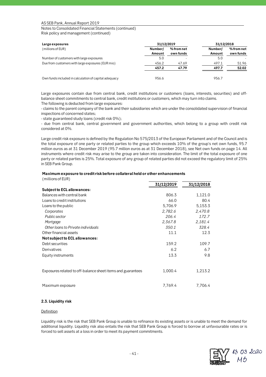Notes to Consolidated Financial Statements (continued) Risk policy and management (continued)

| Large exposures                                       |                   | 31/12/2019              |                   | 31/12/2018              |
|-------------------------------------------------------|-------------------|-------------------------|-------------------|-------------------------|
| (millions of EUR)                                     | Number/<br>Amount | % from net<br>own funds | Number/<br>Amount | % from net<br>own funds |
| Number of customers with large exposures              | 5.0               |                         | 5.0               |                         |
| Due from customers with large exposures (EUR mio)     | 456.2             | 47.69                   | 497.1             | 51.96                   |
|                                                       | 457.2             | 47.79                   | 497.7             | 52.02                   |
| Own funds included in calculation of capital adequacy | 956.6             |                         | 956.7             |                         |

Large exposures contain due from central bank, credit institutions or customers (loans, interests, securities) and offbalance sheet commitments to central bank, credit institutions or customers, which may turn into claims. The following is deducted from large exposures:

- claims to the parent company of the bank and their subsidiaries which are under the consolidated supervision of financial inspections of concerned states;

- state guaranteed study loans (credit risk 0%);

- due from central bank, central government and government authorities, which belong to a group with credit risk considered at 0%.

Large credit risk exposure is defined by the Regulation No 575/2013 of the European Parliament and of the Council and is the total exposure of one party or related parties to the group which exceeds 10% of the group's net own funds, 95.7 million euros as at 31 December 2019 (95.7 million euros as at 31 December 2018), see Net own funds on page 14. All instruments where credit risk may arise to the group are taken into consideration. The limit of the total exposure of one party or related parties is 25%. Total exposure of any group of related parties did not exceed the regulatory limit of 25% in SEB Pank Group.

## **Maximum exposure to credit risk before collateral held or other enhancements**

| (millions of EUR)                                           |            |            |
|-------------------------------------------------------------|------------|------------|
|                                                             | 31/12/2019 | 31/12/2018 |
| <b>Subject to ECL allowances:</b>                           |            |            |
| Balances with central bank                                  | 806.3      | 1,121.0    |
| Loans to credit institutions                                | 66.0       | 80.4       |
| Loans to the public                                         | 5,706.9    | 5,153.3    |
| Corporates                                                  | 2,782.6    | 2,470.8    |
| Public sector                                               | 206.4      | 172.7      |
| Mortgage                                                    | 2,367.8    | 2,181.4    |
| Other loans to Private individuals                          | 350.1      | 328.4      |
| Other financial assets                                      | 11.1       | 12.3       |
| <b>Not subject to ECL allowances:</b>                       |            |            |
| Debt securities                                             | 159.2      | 109.7      |
| Derivatives                                                 | 6.2        | 6.7        |
| Equity instruments                                          | 13.3       | 9.8        |
| Exposures related to off-balance sheet items and guarantees | 1,000.4    | 1,213.2    |
| Maximum exposure                                            | 7,769.4    | 7,706.4    |

### **2.3. Liquidity risk**

## Definition

Liquidity risk is the risk that SEB Pank Group is unable to refinance its existing assets or is unable to meet the demand for additional liquidity. Liquidity risk also entails the risk that SEB Pank Group is forced to borrow at unfavourable rates or is forced to sell assets at a loss in order to meet its payment commitments.

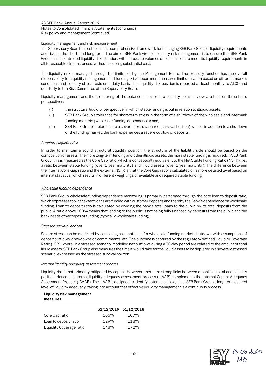Notes to Consolidated Financial Statements (continued) Risk policy and management (continued)

## Liquidity management and risk measurement

The Supervisory Board has established a comprehensive framework for managing SEB Pank Group's liquidity requirements and risks in the short- and long-term. The aim of SEB Pank Group's liquidity risk management is to ensure that SEB Pank Group has a controlled liquidity risk situation, with adequate volumes of liquid assets to meet its liquidity requirements in all foreseeable circumstances, without incurring substantial cost.

The liquidity risk is managed through the limits set by the Management Board. The treasury function has the overall responsibility for liquidity management and funding. Risk department measures limit utilisation based on different market conditions and liquidity stress tests on a daily basis. The liquidity risk position is reported at least monthly to ALCO and quarterly to the Risk Committee of the Supervisory Board.

Liquidity management and the structuring of the balance sheet from a liquidity point of view are built on three basic perspectives:

- (i) the structural liquidity perspective, in which stable funding is put in relation to illiquid assets;
- (ii) SEB Pank Group's tolerance for short-term stress in the form of a shutdown of the wholesale and interbank funding markets (wholesale funding dependence); and,
- (iii) SEB Pank Group's tolerance to a severe stress scenario (survival horizon) where, in addition to a shutdown of the funding market, the bank experiences a severe outflow of deposits.

## *Structural liquidity risk*

In order to maintain a sound structural liquidity position, the structure of the liabilitiy side should be based on the composition of assets. The more long-term lending and other illiquid assets, the more stable funding is required. In SEB Pank Group, this is measured as the Core Gap ratio, which is conceptually equivalent to the Net Stable Funding Ratio (NSFR), i.e., a ratio between stable funding (over 1 year maturity) and illiquid assets (over 1 year maturity). The difference between the internal Core Gap ratio and the external NSFR is that the Core Gap ratio is calculated on a more detailed level based on internal statistics, which results in different weightings of available and required stable funding.

## *Wholesale funding dependence*

SEB Pank Group wholesale funding dependence monitoring is primarily performed through the core loan to deposit ratio, which expresses to what extent loans are funded with customer deposits and thereby the Bank's dependence on wholesale funding. Loan to deposit ratio is calculated by dividing the bank's total loans to the public by its total deposits from the public. A ratio above 100% means that lending to the public is not being fully financed by deposits from the public and the bank needs other types of funding (typically wholesale funding).

### *Stressed survival horizon*

Severe stress can be modelled by combining assumptions of a wholesale funding market shutdown with assumptions of deposit outflows, drawdowns on commitments, etc. The outcome is captured by the regulatory defined Liquidity Coverage Ratio (LCR) where, in a stressed scenario, modelled net outflows during a 30-day period are related to the amount of total liquid assets. SEB Pank Group also measures the time it would take for the liquid assets to be depleted in a severely stressed scenario, expressed as the stressed survival horizon.

### *Internal liquidity adequacy assessment process*

Liquidity risk is not primarily mitigated by capital. However, there are strong links between a bank's capital and liquidity position. Hence, an internal liquidity adequacy assessment process (ILAAP) complements the Internal Capital Adequacy Assessment Process (ICAAP). The ILAAP is designed to identify potential gaps against SEB Pank Group's long-term desired level of liquidity adequacy, taking into account that effective liquidity management is a continuous process.

# **Liquidity risk management**

| measures |  |
|----------|--|
|          |  |

|                          | 31/12/2019 31/12/2018 |      |
|--------------------------|-----------------------|------|
| Core Gap ratio           | 105%                  | 107% |
| Loan to deposit ratio    | 129%                  | 118% |
| Liquidity Coverage ratio | 148%                  | 172% |

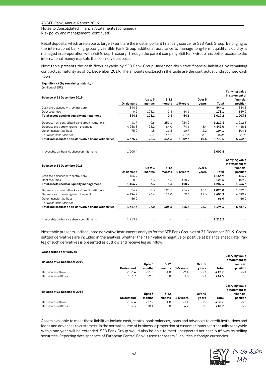Notes to Consolidated Financial Statements (continued) Risk policy and management (continued)

Retail deposits, which are stable to large extent, are the most important financing source for SEB Pank Group. Belonging to the international banking group gives SEB Pank Group additional assurance to manage long-term liquidity. Liquidity is managed in co-operation with SEB Group Treasury. Through the parent company SEB Pank Group has better access to the international money markets than on individual basis.

Next table presents the cash flows payable by SEB Pank Group under non-derivative financial liabilities by remaining contractual maturity as of 31 December 2019. The amounts disclosed in the table are the contractual undiscounted cash flows.

## **Liquidity risk (by remaining maturity)**

(millions of EUR)

|                                                         |           |                          |          |             |                          |         | Carrying value  |
|---------------------------------------------------------|-----------|--------------------------|----------|-------------|--------------------------|---------|-----------------|
| Balance at 31 December 2019                             |           |                          |          |             |                          |         | in statement of |
|                                                         |           | Up to 3                  | $3 - 12$ |             | Over 5                   |         | financial       |
|                                                         | On demand | months                   | months   | $1-5$ years | years                    | Total   | position        |
| Cash and balances with central bank                     | 844.1     |                          |          |             | ٠                        | 844.1   | 844.1           |
| Debt securities                                         | 0.0       | 108.1                    | 0.4      | 64.6        | $\overline{\phantom{a}}$ | 173.1   | 159.2           |
| Total assets used for liquidity management              | 844.1     | 108.1                    | 0.4      | 64.6        | ٠                        | 1.017.2 | 1,003.3         |
| Deposits from central banks and credit institutions     | 41.7      | 0.6                      | 251.1    | 924.0       | $\overline{\phantom{a}}$ | 1.217.4 | 1,212.3         |
| Deposits and borrowings from the public                 | 4,258.8   | 23.2                     | 84.0     | 74.6        | 8.4                      | 4.449.0 | 4,446.1         |
| Other financial liabilities                             | 75.2      | 4.5                      | 11.5     | 10.7        | 2.2                      | 104.1   | 104.1           |
| of which lease liabilities                              |           | 4.5                      | 11.5     | 10.7        | 2.2                      | 28.9    | 28.9            |
| Total undiscounted non-derivative financial liabilities | 4,375.7   | 28.3                     | 346.6    | 1,009.3     | 10.6                     | 5,770.5 | 5,762.5         |
| Irrevocable off-balance sheet commitments               | 1,000.4   | $\overline{\phantom{a}}$ |          |             | ٠                        | 1,000.4 |                 |
|                                                         |           |                          |          |             |                          |         | Carrying value  |

| Balance at 31 December 2018                             |           |                          |          |             |                          |         | in statement of |
|---------------------------------------------------------|-----------|--------------------------|----------|-------------|--------------------------|---------|-----------------|
|                                                         |           | Up to 3                  | $3 - 12$ |             | Over 5                   |         | financial       |
|                                                         | On demand | months                   | months   | $1-5$ years | years                    | Total   | position        |
| Cash and balances with central bank                     | 1.156.9   |                          |          |             | $\overline{\phantom{a}}$ | 1,156.9 | 1,156.9         |
| Debt securities                                         | 0.0       | 3.3                      | 3.3      | 118.9       | $\overline{\phantom{a}}$ | 125.5   | 109.7           |
| Total assets used for liquidity management              | 1,156.9   | 3.3                      | 3.3      | 118.9       |                          | 1,282.4 | 1,266.6         |
| Deposits from central banks and credit institutions     | 56.9      | 0.6                      | 195.5    | 756.9       | 15.1                     | 1.025.0 | 1.022.0         |
| Deposits and borrowings from the public                 | 4.194.7   | 26.4                     | 111.0    | 59.6        | 11.6                     | 4.403.3 | 4.399.9         |
| Other financial liabilities                             | 66.0      | $\overline{\phantom{a}}$ |          | $\sim$      | ٠                        | 66.0    | 66.0            |
| of which lease liabilities                              |           |                          |          |             |                          |         |                 |
| Total undiscounted non-derivative financial liabilities | 4.317.6   | 27.0                     | 306.5    | 816.5       | 26.7                     | 5.494.3 | 5,487.9         |
|                                                         |           |                          |          |             |                          |         |                 |
| Irrevocable off-balance sheet commitments               | 1.213.2   |                          |          |             | $\overline{\phantom{a}}$ | 1.213.2 |                 |

Next table presents undiscounted derivative instruments analysis for the SEB Pank Group as of 31 December 2019. Grosssettled derivatives are included in the analysis whether their fair value is negative or positive at balance sheet date. Pay leg of such derivatives is presented as outflow and receive leg as inflow.

#### **Gross settled derivatives**

|                             |           |         |          |           |        |          | Carrying value                    |
|-----------------------------|-----------|---------|----------|-----------|--------|----------|-----------------------------------|
| Balance at 31 December 2019 |           |         |          |           |        |          | in statement of                   |
|                             |           | Up to 3 | $3 - 12$ |           | Over 5 |          | financial                         |
|                             | On demand | months  | months   | 1-5 vears | years  | Total    | position                          |
| Derivatives inflows         | $-183.4$  | $-51.8$ | $-4.8$   | $-2.4$    | $-0.3$ | $-242.7$ | $-6.1$                            |
| Derivatives outflows        | 183.7     | 52.5    | 5.0      | 3.0       | 0.3    | 244.5    | 7.8                               |
|                             |           |         |          |           |        |          | Carrying value<br>in statement of |
| Balance at 31 December 2018 |           | Up to 3 | $3 - 12$ |           | Over 5 |          | financial                         |
|                             | On demand | months  | months   | 1-5 years | years  | Total    | position                          |
| Derivatives inflows         | $-182.4$  | $-17.9$ | $-4.8$   | $-3.1$    | $-0.5$ | $-208.7$ | $-6.6$                            |
| Derivatives outflows        | 182.3     | 18.1    | 5.8      | 4.2       | 0.5    | 210.9    | 6.2                               |

Assets available to meet these liabilities include cash, central bank balances, loans and advances to credit institutions and loans and advances to customers. In the normal course of business, a proportion of customer loans contractually repayable within one year will be extended. SEB Pank Group would also be able to meet unexpected net cash outflows by selling securities. Reporting date spot rate of European Central Bank is used for assets / liabilities in foreign currencies.

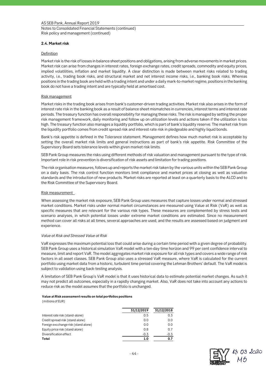Notes to Consolidated Financial Statements (continued) Risk policy and management (continued)

## **2.4. Market risk**

### **Definition**

Market risk is the risk of losses in balance sheet positions and obligations, arising from adverse movements in market prices. Market risk can arise from changes in interest rates, foreign exchange rates, credit spreads, commodity and equity prices, implied volatilities, inflation and market liquidity. A clear distinction is made between market risks related to trading activity, i.e., trading book risks, and structural market and net interest income risks, i.e., banking book risks. Whereas positions in the trading book are held with a trading intent and under a daily mark-to-market regime, positions in the banking book do not have a trading intent and are typically held at amortised cost.

## Risk management

Market risks in the trading book arises from bank's customer-driven trading activities. Market risk also arises in the form of interest rate risk in the banking book as a result of balance sheet mismatches in currencies, interest terms and interest rate periods. The treasury function has overall responsibility for managing these risks. The risk is managed by setting the proper risk management framework, daily monitoring and follow up on utilization levels and actions taken if the utilization is too high. The treasury function also manages a liquidity portfolio, which is part of bank's liquidity reserve. The market risk from the liquidity portfolio comes from credit spread risk and interest rate risk in pledgeable and highly liquid bonds.

Bank's risk appetite is defined in the Tolerance statement. Management defines how much market risk is acceptable by setting the overall market risk limits and general instructions as part of bank's risk appetite. Risk Committee of the Supervisory Board sets tolerance levels within given market risk limits.

SEB Pank Group measures the risks using different methods of risk valuation and management pursuant to the type of risk. Important role in risk prevention is diversification of risk assets and limitation for trading positions.

The risk organisation measures, follows up and reports the market risk taken by the various units within the SEB Pank Group on a daily basis. The risk control function monitors limit compliance and market prices at closing as well as valuation standards and the introduction of new products. Market risks are reported at least on a quarterly basis to the ALCO and to the Risk Committee of the Supervisory Board.

## Risk measurement

When assessing the market risk exposure, SEB Pank Group uses measures that capture losses under normal and stressed market conditions. Market risks under normal market circumstances are measured using Value at Risk (VaR) as well as specific measures that are relevant for the various risk types. These measures are complemented by stress tests and scenario analyses, in which potential losses under extreme market conditions are estimated. Since no measurement method can cover all risks at all times, several approaches are used, and the results are assessed based on judgment and experience.

### *Value at Risk and Stressed Value at Risk*

VaR expresses the maximum potential loss that could arise during a certain time period with a given degree of probability. SEB Pank Group uses a historical simulation VaR model with a ten-day time horizon and 99 per cent confidence interval to measure, limit and report VaR. The model aggregates market risk exposure for all risk types and covers a wide range of risk factors in all asset classes. SEB Pank Group also uses a stressed VaR measure, where VaR is calculated for the current portfolio using market data from a historic, turbulent time period covering the Lehman Brothers' default. The VaR model is subject to validation using back-testing analysis.

A limitation of SEB Pank Group's VaR model is that it uses historical data to estimate potential market changes. As such it may not predict all outcomes, especially in a rapidly changing market. Also, VaR does not take into account any actions to reduce risk as the model assumes that the portfolio is unchanged.

### **Value at Risk assessment results on total portfolios positions**

(millions of EUR)

|                                      | 31/12/2019 | 31/12/2018 |
|--------------------------------------|------------|------------|
| Interest rate risk (stand-alone)     | 0.5        | 0.3        |
| Credit spread risk (stand alone)     | 0.0        | 0.0        |
| Foreign excchange risk (stand alone) | 0.0        | 0.0        |
| Equity price risk (stand alone)      | 0.8        | 0.7        |
| Diversification effect               | $-0.3$     | $-0.3$     |
| Total                                | 1.0        | 0.7        |

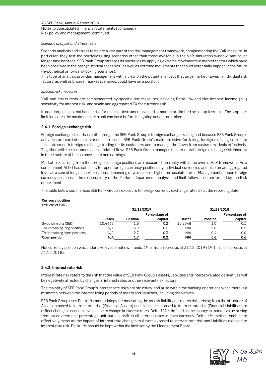Notes to Consolidated Financial Statements (continued) Risk policy and management (continued)

## *Scenario analysis and Stress tests*

Scenario analysis and stress tests are a key part of the risk management framework, complementing the VaR measure. In particular, they test the portfolios using scenarios other than those available in the VaR simulation window, and cover longer time horizons. SEB Pank Group stresses its portfolios by applying extreme movements in market factors which have been observed in the past (historical scenarios) as well as extreme movements that could potentially happen in the future (hypothetical or forward-looking scenarios).

This type of analysis provides management with a view on the potential impact that large market moves in individual risk factors, as well as broader market scenarios, could have on a portfolio.

## *Specific risk measures*

VaR and stress tests are complemented by specific risk measures including Delta 1% and Net Interest Income (NII) sensitivity for interest risk, and single and aggregated FX for currency risk.

In addition, all units that handle risk for financial instruments valued at market are limited by a stop-loss limit. The stop-loss limit indicates the maximum loss a unit can incur before mitigating actions are taken.

## **2.4.1. Foreign exchange risk**

Foreign exchange risk arises both through the SEB Pank Group's foreign exchange trading and because SEB Pank Group's activities are carried out in various currencies. SEB Pank Group's main objective for taking foreign exchange risk is to facilitate smooth foreign exchange trading for its customers and to manage the flows from customers' deals effectively. Together with the customers' deals related flows SEB Pank Group manages the structural foreign exchange risk inherent in the structure of the balance sheet and earnings.

Market risks arising from the foreign exchange positions are measured internally within the overall VaR framework. As a complement ALCO has set limits for open foreign currency positions by individual currencies and also on an aggregated level as a sum of long or short positions, depending of which one is higher on absolute terms. Management of open foreign currency positions is the responsibility of the Markets department, analysis and limit follow-up is performed by the Risk department.

The table below summarises SEB Pank Group's exposure to foreign currency exchange rate risk at the reporting date.

### **Currency position**

(millions of EUR)

|                               |         | 31/12/2019      |               |            |                 | 31/12/2018    |
|-------------------------------|---------|-----------------|---------------|------------|-----------------|---------------|
|                               |         |                 | Percentage of |            |                 | Percentage of |
|                               | Rates   | <b>Position</b> | capital       | Rates      | <b>Position</b> | capital       |
| Swedish krona (SEK)           | 10.4468 | $-1.5$          | $-0.2$        | 10.2548    | 1.0             | 0.1           |
| The remaining long positions  | N/A     | 5.9             | 0.6           | N/A        | 5.0             | 0.5           |
| The remaining short positions | N/A     | $-2.7$          | -0.3          | N/A        | $-0.4$          | 0.0           |
| Open position                 | N/A     | 1.7             | 0.2           | <b>N/A</b> | 5.6             | 0.6           |

Net currency position was under 2% level of net own funds, 19.3 million euros as at 31.12.2019 (19.1 million euros as at 31.12.2018).

### **2.4.2. Interest rate risk**

Interest rate risk refers to the risk that the value of SEB Pank Group's assets, liabilities and interest-related derivatives will be negatively affected by changes in interest rates or other relevant risk factors.

The majority of SEB Pank Group's interest rate risks are structural and arise within the banking operations when there is a mismatch between the interest fixing periods of assets and liabilities, including derivatives.

SEB Pank Group uses Delta 1% methodology for measuring the assets-liability mismatch risk, arising from the structure of Assets exposed to interest rate risk (Financial Assets) and Liabilities exposed to interest rate risk (Financial Liabilities) to reflect change in economic value due to change in interest rates. Delta 1% is defined as the change in market value arising from an adverse one percentage unit parallel shift in all interest rates in each currency. Delta 1% method enables to effectively measure the impact of interest rate changes to Assets exposed to interest rate risk and Liabilities exposed to interest rate risk. Delta 1% should be kept within the limit set by the Management Board.

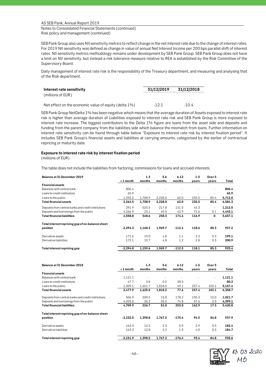Notes to Consolidated Financial Statements (continued) Risk policy and management (continued)

SEB Pank Group also uses NII sensitivity metrics to reflect change in the net interest rate due to the change of interest rates. For 2019 NII sensitivity was defined as change in value of annual Net Interest Income per 200 bps parallel shift of interest rates. NII sensitivity metrics methodology remains under development by SEB Pank Group. SEB Pank Group does not have a limit on NII sensitivity, but instead a risk tolerance measure relative to REA is established by the Risk Committee of the Supervisory Board.

Daily management of interest rate risk is the responsibility of the Treasury department, and measuring and analysing that of the Risk department.

| Interest rate sensitivity | 31/12/2019 | 31/12/2018 |
|---------------------------|------------|------------|
| (millions of EUR)         |            |            |
|                           |            |            |

Net effect on the economic value of equity (delta 1%) -12.1 -10.4

SEB Pank Group NetDelta 1% has been negative which means that the average duration of Assets exposed to interest rate risk is higher than average duration of Liabilities exposed to interest rate risk and SEB Pank Group is more exposed to interest rate increase. The biggest contributors to the Delta 1% figure are loans from the asset side and deposits and funding from the parent company from the liabilities side which balance the mismatch from loans. Further information on interest rate sensitivity can be found through table below "Exposure to interest rate risk by interest fixation period". It includes SEB Pank Group's financial assets and liabilities at carrying amounts, categorised by the earlier of contractual repricing or maturity date.

#### **Exposure to interest rate risk by interest fixation period**

(millions of EUR)

The table does not include the liabilities from factoring, commissions for loans and accrued interests.

| Balance at 31 December 2019                         |            | $1 - 3$ | $3 - 6$ | $6 - 12$ | $1 - 5$ | Over 5                   |         |
|-----------------------------------------------------|------------|---------|---------|----------|---------|--------------------------|---------|
|                                                     | <1 month   | months  | months  | months   | years   | years                    | Total   |
| <b>Financial assets</b>                             |            |         |         |          |         |                          |         |
| Balances with central bank                          | 806.4      |         |         |          |         |                          | 806.4   |
| Loans to credit institutions                        | 65.9       |         |         |          |         | $\overline{\phantom{a}}$ | 65.9    |
| Loans to the public                                 | 1,392.2    | 1,708.9 | 2,228.0 | 62.0     | 235.5   | 85.4                     | 5,712.0 |
| <b>Total financial assets</b>                       | 2.264.5    | 1.708.9 | 2,228.0 | 62.0     | 235.5   | 85.4                     | 6,584.3 |
| Deposits from central banks and credit institutions | 291.9      | 525.5   | 217.8   | 131.5    | 45.3    | $\overline{\phantom{a}}$ | 1,212.0 |
| Deposits and borrowings from the public             | 4,266.9    | 23.1    | 40.5    | 42.9     | 71.6    | 0.1                      | 4,445.1 |
| <b>Total financial liabilities</b>                  | 4.558.8    | 548.6   | 258.3   | 174.4    | 116.9   | 0                        | 5,657.1 |
| Total interest repricing gap of on-balance sheet    |            |         |         |          |         |                          |         |
| position                                            | $-2,294.3$ | 1,160.3 | 1,969.7 | $-112.4$ | 118.6   | 85.3                     | 927.2   |
| Derivative assets                                   | 171.6      | 19.0    | 4.8     | 1.1      | 2.3     | 0.3                      | 199.1   |
| Derivative liabilities                              | 172.1      | 19.7    | 4.8     | 1.2      | 2.8     | 0.3                      | 200.9   |
| Total interest repricing gap                        | $-2,294.8$ | 1,159.6 | 1,969.7 | $-112.5$ | 118.1   | 85.3                     | 925.4   |
|                                                     |            |         |         |          |         |                          |         |
| Balance at 31 December 2018                         |            | $1 - 3$ | $3 - 6$ | $6 - 12$ | $1 - 5$ | Over 5                   |         |
|                                                     | < 1 month  | months  | months  | months   | years   | years                    | Total   |
| <b>Financial assets</b>                             |            |         |         |          |         |                          |         |
| Balances with central bank                          | 1,121.1    |         |         |          |         |                          | 1,121.1 |
| Loans to credit institutions                        | 47.7       | 3.8     | 0.2     | 28.5     |         |                          | 80.2    |
| Loans to the public                                 | 1,309.1    | 1.621.7 | 1.818.0 | 49.1     | 257.4   | 102.1                    | 5,157.4 |

| Total financial assets                              | 2.477.9    | 1.625.5 | 1.818.2 | 77.6     | 257.4 | 102.1 | 6.358.7 |
|-----------------------------------------------------|------------|---------|---------|----------|-------|-------|---------|
| Deposits from central banks and credit institutions | 506.9      | 200.5   | 15.8    | 178.2    | 105.3 | 15.0  | 1.021.7 |
| Deposits and borrowings from the public             | 4.203.0    | 26.2    | 35.2    | 74.8     | 57.6  | 2.3   | 4.399.1 |
| <b>Total financial liabilities</b>                  | 4.709.9    | 226.7   | 51.0    | 253.0    | 162.9 | 17.3  | 5.420.8 |
| Total interest repricing gap of on-balance sheet    |            |         |         |          |       |       |         |
| position                                            | $-2.232.0$ | 1.398.8 | 1.767.2 | $-175.4$ | 94.5  | 84.8  | 937.9   |
| Derivative assets                                   | 163.3      | 12.5    | 2.3     | 0.9      | 2.9   | 0.5   | 182.4   |

Derivative liabilities 163.2 12.8 2.3 1.9 4.0 0.5 **184.7 Total interest repricing gap -2,231.9 1,398.5 1,767.2 -176.4 93.4 84.8 935.6**

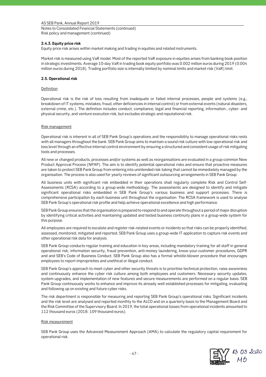Notes to Consolidated Financial Statements (continued) Risk policy and management (continued)

## **2.4.3. Equity price risk**

Equity price risk arises within market making and trading in equities and related instruments.

Market risk is measured using VaR model. Most of the reported VaR exposure in equities arises from banking book position in strategic investments. Average 10-day VaR in trading book equity portfolio was 0.002 million euros during 2019 (0.004 million euros during 2018). Trading portfolio size is internally limited by nominal limits and market risk (VaR) limit.

## **2.5. Operational risk**

## **Definition**

Operational risk is the risk of loss resulting from inadequate or failed internal processes, people and systems (e.g., breakdown of IT systems, mistakes, fraud, other deficiencies in internal control) or from external events (natural disasters, external crime, etc.). The definition includes conduct, compliance, legal and financial reporting, information-, cyber- and physical security, and venture execution risk, but excludes strategic and reputational risk.

## Risk management

Operational risk is inherent in all of SEB Pank Group's operations and the responsibility to manage operational risks rests with all managers throughout the bank. SEB Pank Group aims to maintain a sound risk culture with low operational risk and loss level through an effective internal control environment by ensuring a structured and consistent usage of risk mitigating tools and processes.

All new or changed products, processes and/or systems as well as reorganisations are evaluated in a group-common New Product Approval Process (NPAP). The aim is to identify potential operational risks and ensure that proactive measures are taken to protect SEB Pank Group from entering into unintended risk-taking that cannot be immediately managed by the organisation. The process is also used for yearly reviews of significant outsourcing arrangements in SEB Pank Group.

All business units with significant risk embedded in their operations shall regularly complete Risk and Control Self-Assessments (RCSA) according to a group-wide methodology. The assessments are designed to identify and mitigate significant operational risks embedded in SEB Pank Group's various business and support processes. There is comprehensive participation by each business unit throughout the organisation. The RCSA framework is used to analyse SEB Pank Group's operational risk profile and help achieve operational excellence and high performance.

SEB Pank Group ensures that the organisation is prepared to respond to and operate throughout a period of major disruption by identifying critical activities and maintaining updated and tested business continuity plans in a group-wide system for this purpose.

All employees are required to escalate and register risk-related events or incidents so that risks can be properly identified, assessed, monitored, mitigated and reported. SEB Pank Group uses a group-wide IT application to capture risk events and other operational risk data for analysis.

SEB Pank Group conducts regular training and education in key areas, including mandatory training for all staff in general operational risk, information security, fraud prevention, anti-money laundering, know-your-customer procedures, GDPR and and SEB's Code of Business Conduct. SEB Pank Group also has a formal whistle-blower procedure that encourages employees to report improprieties and unethical or illegal conduct.

SEB Pank Group's approach to meet cyber and other security threats is to prioritise technical protection, raise awareness and continuously enhance the cyber risk culture among both employees and customers. Necessary security updates, system upgrades, and implementation of new features and secure measurements are performed on a regular basis. SEB Pank Group continuously works to enhance and improve its already well established processes for mitigating, evaluating and following up on existing and future cyber risks.

The risk department is responsible for measuring and reporting SEB Pank Group's operational risks. Significant incidents and the risk level are analysed and reported monthly to the ALCO and on a quarterly basis to the Management Board and the Risk Committee of the Supervisory Board. In 2019, the total operational losses from operational incidents amounted to 112 thousand euros (2018: 109 thousand euros).

### Risk measurement

SEB Pank Group uses the Advanced Measurement Approach (AMA) to calculate the regulatory capital requirement for operational risk.

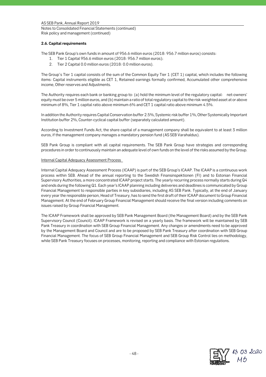## Notes to Consolidated Financial Statements (continued) Risk policy and management (continued)

## **2.6. Capital requirements**

The SEB Pank Group's own funds in amount of 956.6 million euros (2018: 956.7 million euros) consists:

- 1. Tier 1 Capital 956.6 million euros (2018: 956.7 million euros);
- 2. Tier 2 Capital 0.0 million euros (2018: 0.0 million euros).

The Group´s Tier 1 capital consists of the sum of the Common Equity Tier 1 (CET 1) capital, which includes the following items: Capital instruments eligible as CET 1, Retained earnings formally confirmed, Accumulated other comprehensive income, Other reserves and Adjustments.

The Authority requires each bank or banking group to: (a) hold the minimum level of the regulatory capital: net-owners' equity must be over 5 million euros, and (b) maintain a ratio of total regulatory capital to the risk-weighted asset at or above minimum of 8%, Tier 1 capital ratio above minimum 6% and CET 1 capital ratio above minimum 4.5%.

In addition the Authority requires Capital Conservation buffer 2.5%, Systemic risk buffer 1%, Other Systemically Important Institution buffer 2%, Counter-cyclical capital buffer (separately calculated amount).

According to Investment Funds Act, the share capital of a management company shall be equivalent to at least 3 million euros, if the management company manages a mandatory pension fund (AS SEB Varahaldus).

SEB Pank Group is compliant with all capital requirements. The SEB Pank Group have strategies and corresponding procedures in order to continuously maintain an adequate level of own funds on the level of the risks assumed by the Group.

## Internal Capital Adequacy Assessment Process

Internal Capital Adequacy Assessment Process (ICAAP) is part of the SEB Group's ICAAP. The ICAAP is a continuous work process within SEB. Ahead of the annual reporting to the Swedish Finansinspektionen (FI) and to Estonian Financial Supervisory Authorities, a more concentrated ICAAP project starts. The yearly recurring process normally starts during Q4 and ends during the following Q1. Each year's ICAAP planning including deliveries and deadlines is communicated by Group Financial Management to responsible parties in key subsidiaries, including AS SEB Pank. Typically, at the end of January every year the responsible person, Head of Treasury, has to send the first draft of their ICAAP document to Group Financial Management. At the end of February Group Financial Management should receive the final version including comments on issues raised by Group Financial Management.

The ICAAP Framework shall be approved by SEB Pank Management Board (the Management Board) and by the SEB Pank Supervisory Council (Council). ICAAP Framework is revised on a yearly basis. The framework will be maintained by SEB Pank Treasury in coordination with SEB Group Financial Management. Any changes or amendments need to be approved by the Management Board and Council and are to be proposed by SEB Pank Treasury after coordination with SEB Group Financial Management. The focus of SEB Group Financial Management and SEB Group Risk Control lies on methodology, while SEB Pank Treasury focuses on processes, monitoring, reporting and compliance with Estonian regulations.

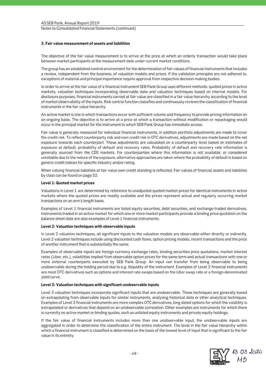## **3. Fair value measurement of assets and liabilities**

The objective of the fair value measurement is to arrive at the price at which an orderly transaction would take place between market participants at the measurement date under current market conditions.

The group has an established control environment for the determination of fair values of financial instruments that includes a review, independent from the business, of valuation models and prices. If the validation principles are not adhered to, exceptions of material and principal importance require approval from respective decision-making bodies.

In order to arrive at the fair value of a financial instrument SEB Pank Group uses different methods; quoted prices in active markets, valuation techniques incorporating observable data and valuation techniques based on internal models. For disclosure purposes, financial instruments carried at fair value are classified in a fair value hierarchy according to the level of market observability of the inputs. Risk control function classifies and continuously reviews the classification of financial instruments in the fair value hierarchy.

An active market is one in which transactions occur with sufficient volume and frequency to provide pricing information on an ongoing basis. The objective is to arrive at a price at which a transaction without modification or repackaging would occur in the principal market for the instrument to which SEB Pank Group has immediate access.

Fair value is generally measured for individual financial instruments, in addition portfolio adjustments are made to cover the credit risk. To reflect counterparty risk and own credit risk in OTC derivatives, adjustments are made based on the net exposure towards each counterpart. These adjustments are calculated on a counterparty level based on estimates of exposure at default, probability of default and recovery rates. Probability of default and recovery rate information is generally sourced from the CDS markets. For counterparties where this information is not available, or considered unreliable due to the nature of the exposure, alternative approaches are taken where the probability of default is based on generic credit indices for specific industry and/or rating.

When valuing financial liabilities at fair value own credit standing is reflected. Fair values of financial assets and liabilities by class can be found on page 52.

## **Level 1: Quoted market prices**

Valuations in Level 1 are determined by reference to unadjusted quoted market prices for identical instruments in active markets where the quoted prices are readily available and the prices represent actual and regularly occurring market transactions on an arm's length basis.

Examples of Level 1 financial instruments are listed equity securities, debt securities, and exchange-traded derivatives. Instruments traded in an active market for which one or more market participants provide a binding price quotation on the balance sheet date are also examples of Level 1 financial instruments.

### **Level 2: Valuation techniques with observable inputs**

In Level 2 valuation techniques, all significant inputs to the valuation models are observable either directly or indirectly. Level 2 valuation techniques include using discounted cash flows, option pricing models, recent transactions and the price of another instrument that is substantially the same.

Examples of observable inputs are foreign currency exchange rates, binding securities price quotations, market interest rates (Libor, etc.), volatilities implied from observable option prices for the same term and actual transactions with one or more external counterparts executed by SEB Pank Group. An input can transfer from being observable to being unobservable during the holding period due to e.g. illiquidity of the instrument. Examples of Level 2 financial instruments are most OTC derivatives such as options and interest rate swaps based on the Libor swap rate or a foreign-denominated yield curve.

### **Level 3: Valuation techniques with significant unobservable inputs**

Level 3 valuation techniques incorporate significant inputs that are unobservable. These techniques are generally based on extrapolating from observable inputs for similar instruments, analysing historical data or other analytical techniques. Examples of Level 3 financial instruments are more complex OTC derivatives, long dated options for which the volatility is extrapolated or derivatives that depend on an unobservable correlation. Other examples are instruments for which there is currently no active market or binding quotes, such as unlisted equity instruments and private equity holdings.

If the fair value of financial instruments includes more than one unobservable input, the unobservable inputs are aggregated in order to determine the classification of the entire instrument. The level in the fair value hierarchy within which a financial instrument is classified is determined on the basis of the lowest level of input that is significant to the fair value in its entirety.

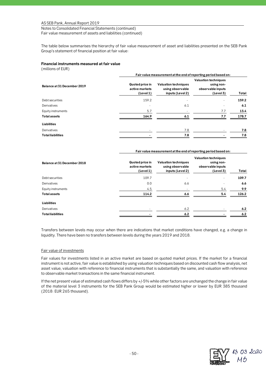Notes to Consolidated Financial Statements (continued) Fair value measurement of assets and liabilities (continued)

The table below summarises the hierarchy of fair value measurement of asset and liabilities presented on the SEB Pank Group's statement of financial position at fair value:

## **Financial instruments measured at fair value**

(millions of EUR)

|                             | Fair value measurement at the end of reporting period based on: |                                                                     |                                                                             |       |  |  |
|-----------------------------|-----------------------------------------------------------------|---------------------------------------------------------------------|-----------------------------------------------------------------------------|-------|--|--|
| Balance at 31 December 2019 | Quoted price in<br>active markets<br>(Level 1)                  | <b>Valuation techniques</b><br>using observable<br>inputs (Level 2) | <b>Valuation techniques</b><br>using non-<br>observable inputs<br>(Level 3) | Total |  |  |
| Debt securities             | 159.2                                                           |                                                                     | ٠                                                                           | 159.2 |  |  |
| Derivatives                 |                                                                 | 6.1                                                                 | ۰                                                                           | 6.1   |  |  |
| Equity instruments          | 5.7                                                             |                                                                     | 7.7                                                                         | 13.4  |  |  |
| <b>Total assets</b>         | 164.9                                                           | 6.1                                                                 | 7.7                                                                         | 178.7 |  |  |
| Liabilities                 |                                                                 |                                                                     |                                                                             |       |  |  |
| <b>Derivatives</b>          |                                                                 | 7.8                                                                 |                                                                             | 7.8   |  |  |
| <b>Total liabilities</b>    |                                                                 | 7.8                                                                 |                                                                             | 7.8   |  |  |

#### **Fair value measurement at the end of reporting period based on:**

| Balance at 31 December 2018 | Quoted price in<br>active markets<br>(Level 1) | <b>Valuation techniques</b><br>using observable<br>inputs (Level 2) | <b>Valuation techniques</b><br>using non-<br>observable inputs<br>(Level 3) | Total |
|-----------------------------|------------------------------------------------|---------------------------------------------------------------------|-----------------------------------------------------------------------------|-------|
| Debt securities             | 109.7                                          | ۰                                                                   | ۰                                                                           | 109.7 |
| Derivatives                 | 0.0                                            | 6.6                                                                 |                                                                             | 6.6   |
| Equity instruments          | 4.5                                            |                                                                     | 5.4                                                                         | 9.9   |
| <b>Total assets</b>         | 114.2                                          | 6.6                                                                 | 5.4                                                                         | 126.2 |
| Liabilities                 |                                                |                                                                     |                                                                             |       |
| Derivatives                 |                                                | 6.2                                                                 |                                                                             | 6.2   |
| <b>Total liabilities</b>    |                                                | 6.2                                                                 |                                                                             | 6.2   |

Transfers between levels may occur when there are indications that market conditions have changed, e.g. a change in liquidity. There have been no transfers between levels during the years 2019 and 2018.

### Fair value of investments

Fair values for investments listed in an active market are based on quoted market prices. If the market for a financial instrument is not active, fair value is established by using valuation techniques based on discounted cash flow analysis, net asset value, valuation with reference to financial instruments that is substantially the same, and valuation with reference to observable market transactions in the same financial instrument.

If the net present value of estimated cash flows differs by +/-5% while other factors are unchanged the change in fair value of the material level 3 instruments for the SEB Pank Group would be estimated higher or lower by EUR 385 thousand (2018: EUR 265 thousand).

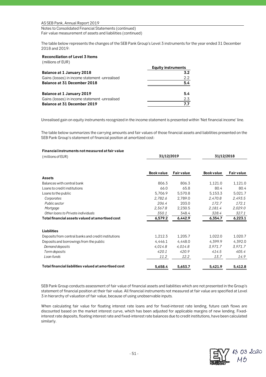Notes to Consolidated Financial Statements (continued) Fair value measurement of assets and liabilities (continued)

The table below represents the changes of the SEB Pank Group's Level 3 instruments for the year ended 31 December 2018 and 2019:

## **Reconciliation of Level 3 Items**

(millions of EUR)

|                                                 | <b>Equity instruments</b> |
|-------------------------------------------------|---------------------------|
| <b>Balance at 1 January 2018</b>                | 3.2                       |
| Gains (losses) in income statement - unrealised | 2.2                       |
| Balance at 31 December 2018                     | 5.4                       |
| Balance at 1 January 2019                       | 5.4                       |
| Gains (losses) in income statement - unrealised | 2.3                       |
| Balance at 31 December 2019                     | 7.7                       |

Unrealised gain on equity instruments recognized in the income statement is presented within 'Net financial income' line.

The table below summarizes the carrying amounts and fair values of those financial assets and liabilities presented on the SEB Pank Group's statement of financial position at amortized cost:

### **Financial instruments not measured at fair value**

| (millions of EUR)                                    | 31/12/2019        |                   | 31/12/2018        |                   |
|------------------------------------------------------|-------------------|-------------------|-------------------|-------------------|
|                                                      |                   |                   |                   |                   |
|                                                      | <b>Book value</b> | <b>Fair value</b> | <b>Book value</b> | <b>Fair value</b> |
| Assets                                               |                   |                   |                   |                   |
| Balances with central bank                           | 806.3             | 806.3             | 1,121.0           | 1,121.0           |
| Loans to credit institutions                         | 66.0              | 65.8              | 80.4              | 80.4              |
| Loans to the public                                  | 5,706.9           | 5,570.8           | 5,153.3           | 5,021.7           |
| Corporates                                           | 2,782.6           | 2,789.0           | 2,470.8           | 2,493.5           |
| Public sector                                        | 206.4             | 203.0             | 172.7             | 172.1             |
| Mortgage                                             | 2,367.8           | 2,230.5           | 2,181.4           | 2,029.0           |
| Other loans to Private individuals                   | 350.1             | 348.4             | 328.4             | 327.1             |
| Total financial assets valued at amortised cost      | 6,579.2           | 6,442.9           | 6,354.7           | 6,223.1           |
| <b>Liabilities</b>                                   |                   |                   |                   |                   |
| Deposits from central banks and credit institutions  | 1,212.3           | 1,205.7           | 1,022.0           | 1,020.7           |
| Deposits and borrowings from the public              | 4,446.1           | 4,448.0           | 4,399.9           | 4,392.0           |
| Demand deposits                                      | 4,014.8           | 4,014.8           | 3,971.7           | 3,971.7           |
| Term deposits                                        | 420.1             | 420.9             | 414.5             | 405.4             |
| Loan funds                                           | 11.2              | 12.2              | 13.7              | 14.9              |
| Total financial liabilities valued at amortised cost | 5,658.4           | 5,653.7           | 5,421.9           | 5,412.8           |

SEB Pank Group conducts assessment of fair value of financial assets and liabilities which are not presented in the Group's statement of financial position at their fair value. All financial instruments not measured at fair value are specified at Level 3 in hierarchy of valuation of fair value, because of using unobservable inputs.

When calculating fair value for floating interest rate loans and for fixed-interest rate lending, future cash flows are discounted based on the market interest curve, which has been adjusted for applicable margins of new lending. Fixedinterest rate deposits, floating interest rate and fixed-interest rate balances due to credit institutions, have been calculated similarly.

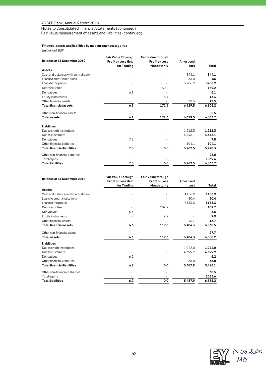Notes to Consolidated Financial Statements (continued)

Fair value measurement of assets and liabilities (continued)

## **Financial assets and liabilities by measurement categories**

(millions of EUR)

| Balance at 31 December 2019         | <b>Fair Value Through</b><br><b>Profit or Loss Held</b> | <b>Fair Value through</b><br><b>Profit or Loss</b> | <b>Amortised</b> |         |
|-------------------------------------|---------------------------------------------------------|----------------------------------------------------|------------------|---------|
|                                     | for Trading                                             | Mandatorily                                        | cost             | Total   |
| <b>Assets</b>                       |                                                         |                                                    |                  |         |
| Cash and balances with central bank |                                                         |                                                    | 844.1            | 844.1   |
| Loans to credit institutions        |                                                         |                                                    | 66.0             | 66      |
| Loans to the public                 |                                                         |                                                    | 5,706.9          | 5706.9  |
| Debt securities                     |                                                         | 159.2                                              |                  | 159.2   |
| Derivatives                         | 6.1                                                     |                                                    |                  | 6.1     |
| Equity instruments                  |                                                         | 13.4                                               |                  | 13.4    |
| Other financial assets              |                                                         |                                                    | 12.5             | 12.5    |
| Total financial assets              | 6.1                                                     | 172.6                                              | 6,629.5          | 6,808.2 |
| Other non-financial assets          |                                                         |                                                    |                  | 55.5    |
| Total assets                        | 6.1                                                     | 172.6                                              | 6,629.5          | 6,863.7 |
| <b>Liabilities</b>                  |                                                         |                                                    |                  |         |
| Due to credit institutions          |                                                         |                                                    | 1,212.3          | 1,212.3 |
| Due to customers                    |                                                         |                                                    | 4,446.1          | 4,446.1 |
| Derivatives                         | 7.8                                                     |                                                    |                  | 7.8     |
| Other financial liabilities         |                                                         |                                                    | 104.1            | 104.1   |
| <b>Total financial liabilities</b>  | 7.8                                                     | 0.0                                                | 5,762.5          | 5,770.3 |
| Other non-financial liabilities     |                                                         |                                                    |                  | 23.8    |
| Total equity                        |                                                         |                                                    |                  | 1069.6  |
| <b>Total liabilities</b>            | 7.8                                                     | 0.0                                                | 5,762.5          | 6,863.7 |

| Balance at 31 December 2018         | <b>Fair Value Through</b>  | <b>Fair Value through</b> |                  |         |
|-------------------------------------|----------------------------|---------------------------|------------------|---------|
|                                     | <b>Profit or Loss Held</b> | <b>Profit or Loss</b>     | <b>Amortised</b> |         |
|                                     | for Trading                | Mandatorily               | cost             | Total   |
| <b>Assets</b>                       |                            |                           |                  |         |
| Cash and balances with central bank |                            |                           | 1156.9           | 1156.9  |
| Loans to credit institutions        |                            |                           | 80.4             | 80.4    |
| Loans to the public                 |                            |                           | 5153.3           | 5153.3  |
| Debt securities                     |                            | 109.7                     |                  | 109.7   |
| Derivatives                         | 6.6                        |                           |                  | 6.6     |
| Equity instruments                  |                            | 9.9                       |                  | 9.9     |
| Other financial assets              |                            |                           | 13.7             | 13.7    |
| <b>Total financial assets</b>       | 6.6                        | 119.6                     | 6,404.3          | 6,530.5 |
| Other non-financial assets          |                            |                           |                  | 27.7    |
| <b>Total assets</b>                 | 6.6                        | 119.6                     | 6,404.3          | 6,558.2 |
| <b>Liabilities</b>                  |                            |                           |                  |         |
| Due to credit institutions          |                            |                           | 1,022.0          | 1,022.0 |
| Due to customers                    |                            |                           | 4,399.9          | 4,399.9 |
| Derivatives                         | 6.2                        |                           |                  | 6.2     |
| Other financial liabilities         |                            |                           | 66.0             | 66.0    |
| <b>Total financial liabilities</b>  | 6.2                        | 0.0                       | 5,487.9          | 5,494.1 |
| Other non-financial liabilities     |                            |                           |                  | 30.5    |
| Total equity                        |                            |                           |                  | 1033.6  |
| <b>Total liabilities</b>            | 6.2                        | 0.0                       | 5,487.9          | 6,558.2 |

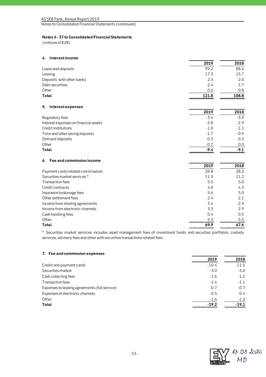## **Notes 4 - 37 to Consolidated Financial Statements**

(millions of EUR)

| Interestincome<br>4.                  |        |        |
|---------------------------------------|--------|--------|
|                                       | 2019   | 2018   |
| Loans and deposits                    | 99.2   | 88.6   |
| Leasing                               | 17.3   | 15.7   |
| Deposits with other banks             | 2.3    | 2.0    |
| Debt securities                       | 2.4    | 1.7    |
| Other                                 | 0.6    | 0.8    |
| Total                                 | 121.8  | 108.8  |
| Interestexpenses<br>5.                |        |        |
|                                       | 2019   | 2018   |
| Regulatory fees                       | $-3.4$ | $-3.9$ |
| Interest expenses on financial assets | $-2.8$ | $-2.9$ |
| Credit institutions                   | $-1.0$ | $-1.1$ |
| Time and other saving deposits        | $-1.7$ | $-0.9$ |
| Demand deposits                       | $-0.3$ | $-0.3$ |
| Other                                 | $-0.2$ | 0.0    |
| Total                                 | $-9.4$ | $-9.1$ |
| Fee and commission income<br>6.       |        |        |
|                                       | 2019   | 2018   |
| Payment cards related commissions     | 28.8   | 28.2   |
| Securities market services*           | 11.5   | 11.2   |
| <b>Transaction fees</b>               | 5.5    | 5.0    |
| Credit contracts                      | 4.0    | 4.3    |
| Insurance brokerage fees              | 5.6    | 5.0    |
| Other settlement fees                 | 2.4    | 2.1    |
| Income from lending agreements        | 3.1    | 2.9    |
| Income from electronic channels       | 3.3    | 2.9    |
| Cash handling fees                    | 0.4    | 0.5    |
| Other                                 | 5.3    | 5.5    |
| Total                                 | 69.9   | 67.6   |

\* Securities market services includes asset management fees of investment funds and securties portfolios, custody services, advisory fees and other with securities transactions related fees.

## **7. Fee and commission expenses**

|                                               | 2019    | 2018    |
|-----------------------------------------------|---------|---------|
| Credit and payment cards                      | $-10.4$ | $-11.5$ |
| Securities market                             | $-3.0$  | $-3.0$  |
| Cash collecting fees                          | $-1.6$  | $-1.2$  |
| Transaction fees                              | $-1.4$  | $-1.1$  |
| Expenses to leasing agreements (full service) | $-0.7$  | $-0.7$  |
| Expenses of electronic channels               | $-0.5$  | $-0.4$  |
| Other                                         | $-1.6$  | $-1.2$  |
| Total                                         | $-19.2$ | $-19.1$ |
|                                               |         |         |

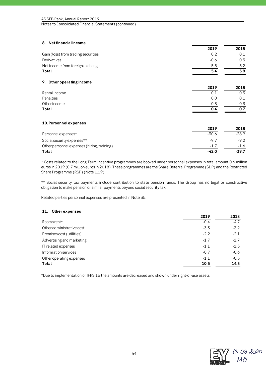## **8. Net financial income**

|                                             | 2019    | 2018    |
|---------------------------------------------|---------|---------|
| Gain (loss) from trading securities         | 0.2     | 0.1     |
| Derivatives                                 | $-0.6$  | 0.5     |
| Net income from foreign exchange            | 5.8     | 5.2     |
| Total                                       | 5.4     | 5.8     |
| 9. Other operating income                   |         |         |
|                                             | 2019    | 2018    |
| Rental income                               | 0.1     | 0.3     |
| Penalties                                   | 0.0     | 0.1     |
| Other income                                | 0.3     | 0.3     |
| Total                                       | 0.4     | 0.7     |
| 10. Personnel expenses                      |         |         |
|                                             | 2019    | 2018    |
| Personnel expenses*                         | $-30.6$ | $-28.9$ |
| Social security expenses**                  | $-9.7$  | $-9.2$  |
| Other personnel expenses (hiring, training) | $-1.7$  | $-1.6$  |
| Total                                       | $-42.0$ | $-39.7$ |

\* Costs related to the Long Term Incentive programmes are booked under personnel expenses in total amount 0.6 million euros in 2019 (0.7 million euros in 2018). These programmes are the Share Deferral Programme (SDP) and the Restricted Share Programme (RSP) (Note 1.19).

\*\* Social security tax payments include contribution to state pension funds. The Group has no legal or constructive obligation to make pension or similar payments beyond social security tax.

Related parties personnel expenses are presented in Note 35.

## **11. Other expenses**

| 2019    | 2018    |
|---------|---------|
| $-0.4$  | $-4.7$  |
| $-3.3$  | $-3.2$  |
| $-2.2$  | $-2.1$  |
| $-1.7$  | $-1.7$  |
| $-1.1$  | $-1.5$  |
| $-0.7$  | $-0.6$  |
| $-1.1$  | $-0.5$  |
| $-10.5$ | $-14.3$ |
|         |         |

\*Due to implementation of IFRS 16 the amounts are decreased and shown under right-of-use assets

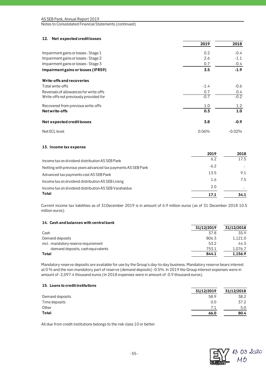| 12. Net expected credit losses         |        |               |
|----------------------------------------|--------|---------------|
|                                        | 2019   | 2018          |
| Impairment gains or losses - Stage 1   | 0.2    | $-0.4$        |
| Impairment gains or losses - Stage 2   | 2.6    | $-1.1$        |
| Impairment gains or losses - Stage 3   | 0.7    | $-0.4$        |
| Impairment gains or losses (IFRS9)     | 3.5    | $-1.9$        |
| Write-offs and recoveries              |        |               |
| Total write-offs                       | $-1.4$ | $-0.6$        |
| Reversals of allowances for write-offs | 0.7    | $0.4^{\circ}$ |
| Write-offs not previously provided for | $-0.7$ | $-0.2$        |
| Recovered from previous write-offs     | 1.0    | 1.2           |
| Net write-offs                         | 0.3    | 1.0           |
| Net expected credit losses             | 3.8    | $-0.9$        |
| Net ECL level                          | 0.06%  | $-0.02%$      |

#### **13. Income tax expense**

|                                                               | 2019   | 2018 |
|---------------------------------------------------------------|--------|------|
| Income tax on dividend distribution AS SEB Pank               | 6.2    | 17.5 |
| Netting with previous years advanced tax payments AS SEB Pank | $-6.2$ |      |
| Advanced tax payments cost AS SEB Pank                        | 13.5   | 9.1  |
| Income tax on dividend distribution AS SEB Liising            | 1.6    | 7.5  |
| Income tax on dividend distribution AS SEB Varahaldus         | 2.0    |      |
| Total                                                         | 17.1   | 34.1 |

Current income tax liabilities as of 31December 2019 is in amount of 6.9 million euros (as of 31 December 2018 10.5 million euros).

#### **14. Cash and balances with central bank**

|                                       | 31/12/2019 | 31/12/2018 |
|---------------------------------------|------------|------------|
| Cash                                  | 37.8       | 35.9       |
| Demand deposits                       | 806.3      | 1.121.0    |
| incl. - mandatory reserve requirement | 53.2       | 44.3       |
| -demand deposits, cash equivalents    | 753.1      | 1.076.7    |
| Total                                 | 844.1      | 1.156.9    |

Mandatory reserve deposits are available for use by the Group's day-to-day business. Mandatory reserve bears interest at 0 % and the non-mandatory part of reserve (demand deposits) -0.5%. In 2019 the Group interest expenses were in amount of -2,097.4 thousand euros (In 2018 expenses were in amount of -0.9 thousand euros).

## **15. Loans to credit institutions**

|                 | 31/12/2019 | 31/12/2018 |
|-----------------|------------|------------|
| Demand deposits | 58.9       | 38.2       |
| Time deposits   | 0.0        | 37.2       |
| Other           | 7.1        | 5.0        |
| Total           | 66.0       | 80.4       |

All due from credit institutions belongs to the risk class 10 or better.

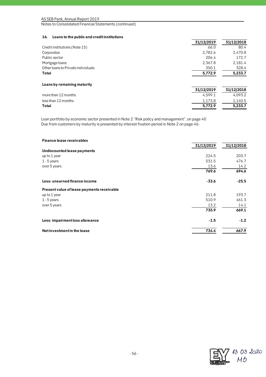## **16. Loans to the public and credit institutions**

|                                    | 31/12/2019 | 31/12/2018 |
|------------------------------------|------------|------------|
| Credit institutions (Note 15)      | 66.0       | 80.4       |
| Corporates                         | 2,782.6    | 2,470.8    |
| Public sector                      | 206.4      | 172.7      |
| Mortgage loans                     | 2,367.8    | 2,181.4    |
| Other loans to Private individuals | 350.1      | 328.4      |
| Total                              | 5,772.9    | 5,233.7    |
| Loans by remaining maturity        |            |            |
|                                    | 31/12/2019 | 31/12/2018 |
| more than 12 months                | 4.599.1    | 4.093.2    |
| less than 12 months                | 1,173.8    | 1,140.5    |
| Total                              | 5,772.9    | 5,233.7    |

Loan portfolio by economic sector presented in Note 2 "Risk policy and management", on page 40 Due from customers by maturity is presented by interest fixation period in Note 2 on page 46.

| <b>Finance lease receivables</b>           |            |            |
|--------------------------------------------|------------|------------|
|                                            | 31/12/2019 | 31/12/2018 |
| Undiscounted lease payments                |            |            |
| up to 1 year                               | 224.5      | 203.7      |
| $1 - 5$ years                              | 531.5      | 476.7      |
| over 5 years                               | 13.6       | 14.2       |
|                                            | 769.6      | 694.6      |
| Less: unearned finance income              | $-33.6$    | $-25.5$    |
| Present value of lease payments receivable |            |            |
| up to 1 year                               | 211.8      | 193.7      |
| $1 - 5$ years                              | 510.9      | 461.3      |
| over 5 years                               | 13.2       | 14.1       |
|                                            | 735.9      | 669.1      |
| Less: impairment loss allowance            | $-1.5$     | $-1.2$     |
| Net investment in the lease                | 734.4      | 667.9      |

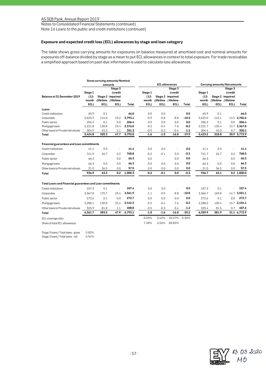Notes to Consolidated Financial Statements (continued)

Note 16 Loans to the public and credit institutions (continued)

## **Exposure and expected credit loss (ECL) allowances by stage and loan category**

The table shows gross carrying amounts for exposures on balance measured at amortised cost and nominal amounts for exposures off-balance divided by stage as a mean to put ECL allowances in context to total exposure. For trade receivables a simplified approach based on past-due information is used to calculate loss allowances.

|                                                           |                                     |        | Gross carrying amounts/ Nominal                                        |         |                                     |                       |                                                                        |         |                                     |                              |                                                                        |               |  |
|-----------------------------------------------------------|-------------------------------------|--------|------------------------------------------------------------------------|---------|-------------------------------------|-----------------------|------------------------------------------------------------------------|---------|-------------------------------------|------------------------------|------------------------------------------------------------------------|---------------|--|
|                                                           |                                     |        | amounts                                                                |         |                                     | <b>ECL</b> allowances |                                                                        |         |                                     | Carrying amounts/Net amounts |                                                                        |               |  |
| Balance at 31 December 2019                               | Stage 1<br>$(12 -$<br>month<br>ECL) | ECL)   | Stage 3<br>(credit<br>Stage 2 impaired<br>(lifetime / lifetime<br>ECL) | Total   | Stage 1<br>$(12 -$<br>month<br>ECL) | ECL)                  | Stage 3<br>(credit<br>Stage 2 impaired<br>(lifetime / lifetime<br>ECL) | Total   | Stage 1<br>$(12 -$<br>month<br>ECL) | ECL)                         | Stage 3<br>(credit<br>Stage 2 impaired<br>(lifetime / lifetime<br>ECL) | Total         |  |
| Loans                                                     |                                     |        |                                                                        |         |                                     |                       |                                                                        |         |                                     |                              |                                                                        |               |  |
| Credit institutions                                       | 65.9                                | 0.1    | $\sim$                                                                 | 66.0    | 0.0                                 | 0.0                   | $\sim$                                                                 | 0.0     | 65.9                                | 0.1                          |                                                                        | 66.0          |  |
| Corporates                                                | 2,625.9                             | 144.0  | 23.2                                                                   | 2.793.1 | $-0.9$                              | $-0.8$                | $-8.8$                                                                 | $-10.5$ | 2.625.0                             | 143.1                        | 14.5                                                                   | 2.782.6       |  |
| Public sector                                             | 206.3                               | 0.1    | 0.0                                                                    | 206.4   | 0.0                                 | 0.0                   | 0.0                                                                    | 0.0     | 206.3                               | 0.1                          | 0.0                                                                    | 206.4         |  |
| Mortgage loans                                            | 2,221.8                             | 130.8  | 23.4                                                                   | 2,376.0 | $-0.2$                              | $-0.4$                | $-7.6$                                                                 | $-8.2$  | 2,221.7                             | 130.4                        | 15.7                                                                   | 2,367.8       |  |
| Other loans to Private individuals                        | 304.9                               | 45.3   | 1.1                                                                    | 351.3   | $-0.5$                              | $-0.3$                | $-0.4$                                                                 | $-1.2$  | 304.4                               | 45.0                         | 0.7                                                                    | 350.1         |  |
| Total                                                     | 5,424.8                             | 320.3  | 47.7                                                                   | 5,792.8 | $-1.6$                              | $-1.5$                | $-16.8$                                                                | $-19.9$ | 5,423.2                             | 318.8                        |                                                                        | 30.9 5,772.9  |  |
| Financial guarantees and Loan commitments                 |                                     |        |                                                                        |         |                                     |                       |                                                                        |         |                                     |                              |                                                                        |               |  |
| Credit institutions                                       | 41.4                                | 0.0    | L.                                                                     | 41.4    | 0.0                                 | 0.0                   |                                                                        | 0.0     | 41.4                                | 0.0                          |                                                                        | 41.4          |  |
| Corporates                                                | 741.9                               | 26.7   | 0.2                                                                    | 768.8   | $-0.2$                              | $-0.1$                | 0.0                                                                    | -0.3    | 741.7                               | 26.7                         | 0.2                                                                    | 768.5         |  |
| Public sector                                             | 66.3                                | $\sim$ | 0.0                                                                    | 66.3    | 0.0                                 | $\sim$                | 0.0                                                                    | 0.0     | 66.3                                | $\sim$                       | 0.0                                                                    | 66.3          |  |
| Mortgage loans                                            | 66.3                                | 0.0    | 0.0                                                                    | 66.3    | 0.0                                 | 0.0                   | 0.0                                                                    | 0.0     | 66.3                                | 0.0                          | 0.0                                                                    | 66.3          |  |
| Other loans to Private individuals                        | 21.0                                | 36.5   | 0.0                                                                    | 57.5    | 0.0                                 | 0.0                   | 0.0                                                                    | 0.0     | 21.0                                | 36.5                         | 0.0                                                                    | 57.5          |  |
| Total                                                     | 936.9                               | 63.2   | 0.2                                                                    | 1,000.3 | $-0.2$                              | $-0.1$                | 0.0                                                                    | $-0.3$  | 936.7                               | 63.1                         |                                                                        | $0.2$ 1,000.0 |  |
| Total Loans and Financial guarantees and Loan commitments |                                     |        |                                                                        |         |                                     |                       |                                                                        |         |                                     |                              |                                                                        |               |  |
| Credit institutions                                       | 107.3                               | 0.1    | ÷,                                                                     | 107.4   | 0.0                                 | 0.0                   |                                                                        | 0.0     | 107.3                               | 0.1                          |                                                                        | 107.4         |  |
| Corporates                                                | 3.367.8                             | 170.7  | 23.4                                                                   | 3,561.9 | $-1.1$                              | $-0.9$                | $-8.8$                                                                 | $-10.8$ | 3.366.7                             | 169.8                        | 14.7                                                                   | 3,551.1       |  |
| Public sector                                             | 272.6                               | 0.1    | 0.0                                                                    | 272.7   | 0.0                                 | 0.0                   | 0.0                                                                    | 0.0     | 272.6                               | 0.1                          | 0.0                                                                    | 272.7         |  |
| Mortgage loans                                            | 2,288.1                             | 130.8  | 23.4                                                                   | 2,442.3 | $-0.2$                              | $-0.4$                | $-7.6$                                                                 | $-8.2$  | 2,288.0                             | 130.4                        | 15.7                                                                   | 2,434.1       |  |
| Other loans to Private individuals                        | 325.9                               | 81.8   | 1.1                                                                    | 408.8   | $-0.5$                              | $-0.3$                | $-0.4$                                                                 | $-1.2$  | 325.4                               | 81.5                         | 0.7                                                                    | 407.6         |  |
| Total                                                     | 6,361.7                             | 383.5  | 47.9                                                                   | 6,793.1 | $-1.8$                              | $-1.6$                | $-16.8$                                                                | $-20.2$ | 6,359.9                             | 381.9                        |                                                                        | 31.1 6,772.9  |  |
| ECL coverage ratio                                        |                                     |        |                                                                        |         | 0.03%                               | 0.42%                 | 35.07%                                                                 | 0.30%   |                                     |                              |                                                                        |               |  |
| Share of total ECL allowances                             |                                     |        |                                                                        |         | 7.38%                               | 6.56%                 | 68.85%                                                                 |         |                                     |                              |                                                                        |               |  |
| Stage 3 loans / Total loans - gross                       | 0.82%                               |        |                                                                        |         |                                     |                       |                                                                        |         |                                     |                              |                                                                        |               |  |

Stage 3 loans / Total loans - net 0.54%

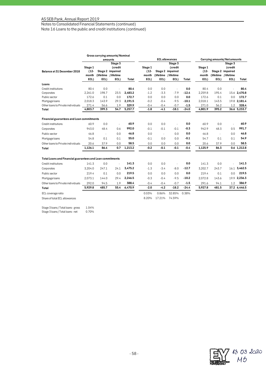Notes to Consolidated Financial Statements (continued)

Note 16 Loans to the public and credit institutions (continued)

|                                                           |                                     |        | Gross carrying amounts/ Nominal                                        |         |                                     |        |                                                                        |         |                                     |                              |                                                                        |               |
|-----------------------------------------------------------|-------------------------------------|--------|------------------------------------------------------------------------|---------|-------------------------------------|--------|------------------------------------------------------------------------|---------|-------------------------------------|------------------------------|------------------------------------------------------------------------|---------------|
|                                                           |                                     |        | amounts                                                                |         |                                     |        | <b>ECL</b> allowances                                                  |         |                                     | Carrying amounts/Net amounts |                                                                        |               |
| Balance at 31 December 2018                               | Stage 1<br>$(12 -$<br>month<br>ECL) | ECL)   | Stage 3<br>(credit<br>Stage 2 impaired<br>(lifetime / lifetime<br>ECL) | Total   | Stage 1<br>$(12 -$<br>month<br>ECL) | ECL)   | Stage 3<br>(credit<br>Stage 2 impaired<br>(lifetime / lifetime<br>ECL) | Total   | Stage 1<br>$(12 -$<br>month<br>ECL) | ECL)                         | Stage 3<br>(credit<br>Stage 2 impaired<br>(lifetime / lifetime<br>ECL) | Total         |
| Loans                                                     |                                     |        |                                                                        |         |                                     |        |                                                                        |         |                                     |                              |                                                                        |               |
| Credit institutions                                       | 80.4                                | 0.0    | ÷.                                                                     | 80.4    | 0.0                                 | 0.0    |                                                                        | 0.0     | 80.4                                | 0.0                          |                                                                        | 80.4          |
| Corporates                                                | 2,261.0                             | 198.7  | 23.5                                                                   | 2,483.2 | $-1.2$                              | $-3.3$ | $-7.9$                                                                 | $-12.4$ | 2,259.8                             | 195.4                        |                                                                        | 15.6 2,470.8  |
| Public sector                                             | 172.6                               | 0.1    | 0.0                                                                    | 172.7   | 0.0                                 | 0.0    | 0.0                                                                    | 0.0     | 172.6                               | 0.1                          | 0.0                                                                    | 172.7         |
| Mortgage loans                                            | 2,018.3                             | 143.9  | 29.3                                                                   | 2,191.5 | $-0.2$                              | $-0.4$ | $-9.5$                                                                 | $-10.1$ | 2,018.1                             | 143.5                        |                                                                        | 19.8 2,181.4  |
| Other loans to Private individuals                        | 271.4                               | 56.6   | 1.9                                                                    | 329.9   | $-0.4$                              | $-0.4$ | $-0.7$                                                                 | $-1.5$  | 271.0                               | 56.2                         | 1.2                                                                    | 328.4         |
| Total                                                     | 4.803.7                             | 399.3  | 54.7                                                                   | 5,257.7 | $-1.8$                              | $-4.1$ | $-18.1$                                                                | $-24.0$ | 4,801.9                             | 395.2                        |                                                                        | 36.6 5,233.7  |
| Financial guarantees and Loan commitments                 |                                     |        |                                                                        |         |                                     |        |                                                                        |         |                                     |                              |                                                                        |               |
| Credit institutions                                       | 60.9                                | 0.0    |                                                                        | 60.9    | 0.0                                 | 0.0    |                                                                        | 0.0     | 60.9                                | 0.0                          |                                                                        | 60.9          |
| Corporates                                                | 943.0                               | 48.4   | 0.6                                                                    | 992.0   | $-0.1$                              | $-0.1$ | $-0.1$                                                                 | $-0.3$  | 942.9                               | 48.3                         | 0.5                                                                    | 991.7         |
| Public sector                                             | 46.8                                | $\sim$ | 0.0                                                                    | 46.8    | 0.0                                 | $\sim$ | 0.0                                                                    | 0.0     | 46.8                                | $\sim$                       | 0.0                                                                    | 46.8          |
| Mortgage loans                                            | 54.8                                | 0.1    | 0.1                                                                    | 55.0    | $-0.1$                              | 0.0    | 0.0                                                                    | $-0.1$  | 54.7                                | 0.1                          | 0.1                                                                    | 54.9          |
| Other loans to Private individuals                        | 20.6                                | 37.9   | 0.0                                                                    | 58.5    | 0.0                                 | 0.0    | 0.0                                                                    | 0.0     | 20.6                                | 37.9                         | 0.0                                                                    | 58.5          |
| Total                                                     | 1,126.1                             | 86.4   | 0.7                                                                    | 1,213.2 | $-0.2$                              | $-0.1$ | $-0.1$                                                                 | $-0.4$  | 1,125.9                             | 86.3                         |                                                                        | $0.6$ 1,212.8 |
| Total Loans and Financial guarantees and Loan commitments |                                     |        |                                                                        |         |                                     |        |                                                                        |         |                                     |                              |                                                                        |               |
| Credit institutions                                       | 141.3                               | 0.0    |                                                                        | 141.3   | 0.0                                 | 0.0    |                                                                        | 0.0     | 141.3                               | 0.0                          |                                                                        | 141.3         |
| Corporates                                                | 3,204.0                             | 247.1  | 24.1                                                                   | 3.475.2 | $-1.3$                              | $-3.4$ | $-8.0$                                                                 | $-12.7$ | 3,202.7                             | 243.7                        | 16.1                                                                   | 3.462.5       |
| Public sector                                             | 219.4                               | 0.1    | 0.0                                                                    | 219.5   | 0.0                                 | 0.0    | 0.0                                                                    | 0.0     | 219.4                               | 0.1                          | 0.0                                                                    | 219.5         |
| Mortgage loans                                            | 2,073.1                             | 144.0  | 29.4                                                                   | 2,246.5 | $-0.3$                              | $-0.4$ | $-9.5$                                                                 | $-10.2$ | 2,072.8                             | 143.6                        | 19.9                                                                   | 2.236.3       |
| Other loans to Private individuals                        | 292.0                               | 94.5   | 1.9                                                                    | 388.4   | $-0.4$                              | $-0.4$ | $-0.7$                                                                 | $-1.5$  | 291.6                               | 94.1                         | 1.2                                                                    | 386.9         |
| Total                                                     | 5.929.8                             | 485.7  | 55.4                                                                   | 6,470.9 | $-2.0$                              | $-4.2$ | $-18.2$                                                                | $-24.4$ | 5,927.8                             | 481.5                        |                                                                        | 37.2 6,446.5  |
| ECL coverage ratio                                        |                                     |        |                                                                        |         | 0.03%                               | 0.86%  | 32.85%                                                                 | 0.38%   |                                     |                              |                                                                        |               |
| Share of total ECL allowances                             |                                     |        |                                                                        |         | 8.20%                               | 17.21% | 74.59%                                                                 |         |                                     |                              |                                                                        |               |

Stage 3 loans / Total loans - gross 1.04% Stage 3 loans / Total loans - net 0.70%

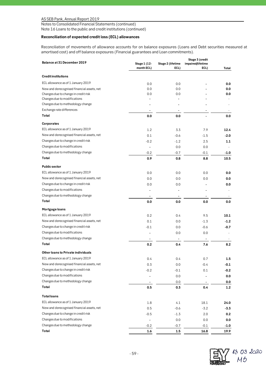Notes to Consolidated Financial Statements (continued) Note 16 Loans to the public and credit institutions (continued)

## **Reconciliation of expected credit loss (ECL) allowances**

Reconciliation of movements of allowance accounts for on balance exposures (Loans and Debt securities measured at amortised cost) and off balance exposures (Financial guarantees and Loan commitments).

| Balance at 31 December 2019                | Stage 3 (credit            |                           |                           |            |  |  |  |
|--------------------------------------------|----------------------------|---------------------------|---------------------------|------------|--|--|--|
|                                            | Stage 1 (12-<br>month ECL) | Stage 2 (lifetime<br>ECL) | impaired/lifetime<br>ECL) | Total      |  |  |  |
| <b>Creditinstitutions</b>                  |                            |                           |                           |            |  |  |  |
| ECL allowance as of 1 January 2019         |                            |                           |                           |            |  |  |  |
| New and derecognised financial assets, net | 0.0<br>0.0                 | 0.0<br>0.0                |                           | 0.0<br>0.0 |  |  |  |
| Changes due to change in credit risk       | 0.0                        | 0.0                       |                           | 0.0        |  |  |  |
| Changes due to modifications               |                            |                           |                           |            |  |  |  |
| Changes due to methodology change          |                            |                           |                           |            |  |  |  |
| Exchange rate differences                  | $\overline{a}$             |                           |                           |            |  |  |  |
| Total                                      | 0.0                        | 0.0                       |                           | 0.0        |  |  |  |
| Corporates                                 |                            |                           |                           |            |  |  |  |
| ECL allowance as of 1 January 2019         | 1.2                        | 3.3                       | 7.9                       | 12.4       |  |  |  |
| New and derecognised financial assets, net |                            |                           |                           |            |  |  |  |
| Changes due to change in credit risk       | 0.1                        | $-0.6$                    | $-1.5$                    | $-2.0$     |  |  |  |
|                                            | $-0.2$                     | $-1.2$                    | 2.5                       | 1.1        |  |  |  |
| Changes due to modifications               | $\overline{a}$             | 0.0                       | 0.0                       |            |  |  |  |
| Changes due to methodology change          | $-0.2$                     | $-0.7$                    | $-0.1$                    | $-1.0$     |  |  |  |
| Total                                      | 0.9                        | 0.8                       | 8.8                       | 10.5       |  |  |  |
| <b>Public sector</b>                       |                            |                           |                           |            |  |  |  |
| ECL allowance as of 1 January 2019         | 0.0                        | 0.0                       | 0.0                       | 0.0        |  |  |  |
| New and derecognised financial assets, net | 0.0                        | 0.0                       | 0.0                       | 0.0        |  |  |  |
| Changes due to change in credit risk       | 0.0                        | 0.0                       |                           | 0.0        |  |  |  |
| Changes due to modifications               |                            |                           |                           |            |  |  |  |
| Changes due to methodology change          |                            | $\blacksquare$            |                           |            |  |  |  |
| Total                                      | 0.0                        | 0.0                       | 0.0                       | 0.0        |  |  |  |
| Mortgage loans                             |                            |                           |                           |            |  |  |  |
| ECL allowance as of 1 January 2019         | 0.2                        | 0.4                       | 9.5                       | 10.1       |  |  |  |
| New and derecognised financial assets, net | 0.1                        | 0.0                       | $-1.3$                    | $-1.2$     |  |  |  |
| Changes due to change in credit risk       | $-0.1$                     | 0.0                       | $-0.6$                    | -0.7       |  |  |  |
| Changes due to modifications               | Ĭ.                         | 0.0                       | 0.0                       |            |  |  |  |
| Changes due to methodology change          |                            |                           |                           |            |  |  |  |
| Total                                      | 0.2                        | 0.4                       | 7.6                       | 8.2        |  |  |  |
| Other loans to Private individuals         |                            |                           |                           |            |  |  |  |
| ECL allowance as of 1 January 2019         | 0.4                        |                           | 0.7                       |            |  |  |  |
| New and derecognised financial assets, net |                            | 0.4                       |                           | $1.5\,$    |  |  |  |
| Changes due to change in credit risk       | 0.3                        | 0.0                       | $-0.4$                    | -0.1       |  |  |  |
| Changes due to modifications               | $-0.2$                     | $-0.1$                    | 0.1                       | $-0.2$     |  |  |  |
|                                            |                            | 0.0                       |                           | 0.0        |  |  |  |
| Changes due to methodology change          |                            | 0.0                       | $\blacksquare$            | 0.0        |  |  |  |
| Total                                      | 0.5                        | 0.3                       | 0.4                       | 1.2        |  |  |  |
| <b>Total loans</b>                         |                            |                           |                           |            |  |  |  |
| ECL allowance as of 1 January 2019         | 1.8                        | 4.1                       | 18.1                      | 24.0       |  |  |  |
| New and derecognised financial assets, net | 0.5                        | $-0.6$                    | $-3.2$                    | $-3.3$     |  |  |  |
| Changes due to change in credit risk       | $-0.5$                     | $-1.3$                    | 2.0                       | 0.2        |  |  |  |
| Changes due to modifications               | -                          | 0.0                       | 0.0                       | 0.0        |  |  |  |
| Changes due to methodology change          | $-0.2$                     | $-0.7$                    | $-0.1$                    | -1.0       |  |  |  |
| Total                                      | 1.6                        | $1.5\,$                   | 16.8                      | 19.9       |  |  |  |

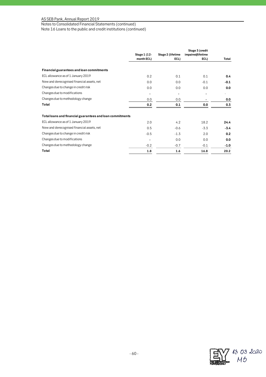Notes to Consolidated Financial Statements (continued)

Note 16 Loans to the public and credit institutions (continued)

|                                                           | Stage 1 (12-<br>month ECL) | Stage 2 (lifetime<br>ECL) | Stage 3 (credit<br>impaired/lifetime<br>ECL) | Total         |
|-----------------------------------------------------------|----------------------------|---------------------------|----------------------------------------------|---------------|
|                                                           |                            |                           |                                              |               |
| Financial guarantees and loan commitments                 |                            |                           |                                              |               |
| ECL allowance as of 1 January 2019                        | 0.2                        | 0.1                       | 0.1                                          | $0.4^{\circ}$ |
| New and derecognised financial assets, net                | 0.0                        | 0.0                       | $-0.1$                                       | $-0.1$        |
| Changes due to change in credit risk                      | 0.0                        | 0.0                       | 0.0                                          | 0.0           |
| Changes due to modifications                              | $\blacksquare$             | $\blacksquare$            |                                              |               |
| Changes due to methodology change                         | 0.0                        | 0.0                       |                                              | 0.0           |
| Total                                                     | 0.2                        | 0.1                       | 0.0                                          | 0.3           |
| Total loans and financial guarantees and loan commitments |                            |                           |                                              |               |
| ECL allowance as of 1 January 2019                        | 2.0                        | 4.2                       | 18.2                                         | 24.4          |
| New and derecognised financial assets, net                | 0.5                        | $-0.6$                    | $-3.3$                                       | $-3.4$        |
| Changes due to change in credit risk                      | $-0.5$                     | $-1.3$                    | 2.0                                          | 0.2           |
| Changes due to modifications                              |                            | 0.0                       | 0.0                                          | 0.0           |
| Changes due to methodology change                         | $-0.2$                     | $-0.7$                    | $-0.1$                                       | $-1.0$        |
| Total                                                     | 1.8                        | 1.6                       | 16.8                                         | 20.2          |

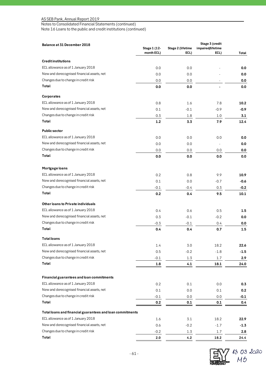Notes to Consolidated Financial Statements (continued)

Note 16 Loans to the public and credit institutions (continued)

| Balance at 31 December 2018                               | Stage 3 (credit            |                           |                           |        |  |
|-----------------------------------------------------------|----------------------------|---------------------------|---------------------------|--------|--|
|                                                           | Stage 1 (12-<br>month ECL) | Stage 2 (lifetime<br>ECL) | impaired/lifetime<br>ECL) | Total  |  |
| <b>Credit institutions</b>                                |                            |                           |                           |        |  |
| ECL allowance as of 1 January 2018                        | 0.0                        | 0.0                       |                           | 0.0    |  |
| New and derecognised financial assets, net                | 0.0                        | 0.0                       |                           | 0.0    |  |
| Changes due to change in credit risk                      | 0.0                        | 0.0                       |                           | 0.0    |  |
| Total                                                     | 0.0                        | 0.0                       |                           | 0.0    |  |
| Corporates                                                |                            |                           |                           |        |  |
| ECL allowance as of 1 January 2018                        | 0.8                        | 1.6                       | 7.8                       | 10.2   |  |
| New and derecognised financial assets, net                | 0.1                        | $-0.1$                    | $-0.9$                    | $-0.9$ |  |
| Changes due to change in credit risk                      | 0.3                        | 1.8                       | 1.0                       | 3.1    |  |
| Total                                                     | 1.2                        | 3.3                       | 7.9                       | 12.4   |  |
| <b>Public sector</b>                                      |                            |                           |                           |        |  |
| ECL allowance as of 1 January 2018                        | 0.0                        | 0.0                       | 0.0                       | 0.0    |  |
| New and derecognised financial assets, net                | 0.0                        | 0.0                       |                           | 0.0    |  |
| Changes due to change in credit risk                      | 0.0                        | 0.0                       | 0.0                       | 0.0    |  |
| Total                                                     | 0.0                        | 0.0                       | 0.0                       | 0.0    |  |
| Mortgage loans                                            |                            |                           |                           |        |  |
| ECL allowance as of 1 January 2018                        | 0.2                        | 0.8                       | 9.9                       | 10.9   |  |
| New and derecognised financial assets, net                | 0.1                        | 0.0                       | $-0.7$                    | $-0.6$ |  |
| Changes due to change in credit risk                      | $-0.1$                     | $-0.4$                    | 0.3                       | $-0.2$ |  |
| Total                                                     | 0.2                        | 0.4                       | 9.5                       | 10.1   |  |
| Other loans to Private individuals                        |                            |                           |                           |        |  |
| ECL allowance as of 1 January 2018                        | 0.4                        | 0.6                       | 0.5                       | 1.5    |  |
| New and derecognised financial assets, net                | 0.3                        | $-0.1$                    | $-0.2$                    | 0.0    |  |
| Changes due to change in credit risk                      | -0.3                       | $-0.1$                    | 0.4                       | 0.0    |  |
| Total                                                     | 0.4                        | 0.4                       | 0.7                       | 1.5    |  |
| Totalloans                                                |                            |                           |                           |        |  |
| ECL allowance as of 1 January 2018                        | 1.4                        | 3.0                       | 18.2                      | 22.6   |  |
| New and derecognised financial assets, net                | 0.5                        | $-0.2$                    | $-1.8$                    | $-1.5$ |  |
| Changes due to change in credit risk                      | $-0.1$                     | 1.3                       | $1.7\,$                   | 2.9    |  |
| Total                                                     | 1.8                        | 4.1                       | 18.1                      | 24.0   |  |
|                                                           |                            |                           |                           |        |  |
| Financial guarantees and loan commitments                 |                            |                           |                           |        |  |
| ECL allowance as of 1 January 2018                        | 0.2                        | 0.1                       | 0.0                       | 0.3    |  |
| New and derecognised financial assets, net                | $0.1\,$                    | 0.0                       | 0.1                       | 0.2    |  |
| Changes due to change in credit risk                      | $-0.1$                     | 0.0                       | 0.0                       | $-0.1$ |  |
| Total                                                     | $0.2\,$                    | $0.1\,$                   | $0.1\,$                   | 0.4    |  |
| Total loans and financial guarantees and loan commitments |                            |                           |                           |        |  |
| ECL allowance as of 1 January 2018                        | 1.6                        | 3.1                       | 18.2                      | 22.9   |  |
| New and derecognised financial assets, net                | 0.6                        | $-0.2$                    | $-1.7$                    | $-1.3$ |  |
| Changes due to change in credit risk                      | $-0.2$                     | 1.3                       | $1.7\,$                   | 2.8    |  |
| Total                                                     | 2.0                        | 4.2                       | 18.2                      | 24.4   |  |

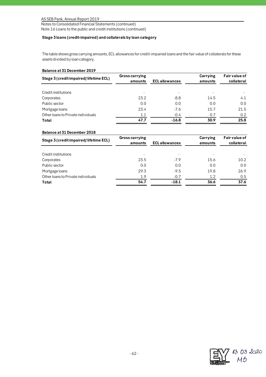Notes to Consolidated Financial Statements (continued) Note 16 Loans to the public and credit institutions (continued)

## **Stage 3 loans (credit-impaired) and collaterals by loan category**

The table shows gross carrying amounts, ECL allowances for credit-impaired loans and the fair value of collaterals for these assets divided by loan category.

## **Balance at 31 December 2019**

| <b>Gross carrying</b><br>amounts | <b>ECL allowances</b> | Carrying<br>amounts | Fair value of<br>collateral |
|----------------------------------|-----------------------|---------------------|-----------------------------|
|                                  |                       |                     |                             |
| 23.2                             | $-8.8$                | 14.5                | 4.1                         |
| 0.0                              | 0.0                   | 0.0                 | 0.0                         |
| 23.4                             | $-7.6$                | 15.7                | 21.5                        |
| 1.1                              | $-0.4$                | 0.7                 | 0.2                         |
| 47.7                             | $-16.8$               | 30.9                | 25.8                        |
|                                  |                       |                     |                             |

## **Balance at 31 December 2018**

| Stage 3 (credit impaired/lifetime ECL) | <b>Gross carrying</b><br>amounts | <b>ECL allowances</b> | Carrying<br>amounts | Fair value of<br>collateral |
|----------------------------------------|----------------------------------|-----------------------|---------------------|-----------------------------|
|                                        |                                  |                       |                     |                             |
| Credit institutions                    | ۰                                |                       |                     |                             |
| Corporates                             | 23.5                             | $-7.9$                | 15.6                | 10.2                        |
| Public sector                          | 0.0                              | 0.0                   | 0.0                 | 0.0                         |
| Mortgage loans                         | 29.3                             | $-9.5$                | 19.8                | 26.9                        |
| Other loans to Private individuals     | 1.9                              | $-0.7$                | 1.2                 | 0.5                         |
| Total                                  | 54.7                             | $-18.1$               | 36.6                | 37.6                        |
|                                        |                                  |                       |                     |                             |

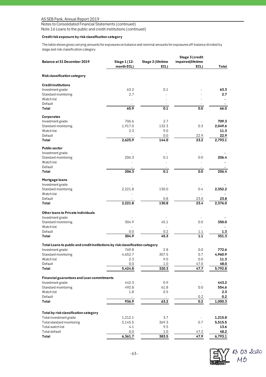Notes to Consolidated Financial Statements (continued)

Note 16 Loans to the public and credit institutions (continued)

## **Credit risk exposure by risk classification category**

The table shows gross carrying amounts for exposures on balance and nominal amounts for exposures off-balance divided by stage and risk classification category.

| Balance at 31 December 2019                                                   | Stage 1 (12-<br>month ECL) | Stage 2 (lifetime<br>ECL) | Stage 3 (credit<br>impaired/lifetime<br>ECL) | Total          |
|-------------------------------------------------------------------------------|----------------------------|---------------------------|----------------------------------------------|----------------|
| Risk classification category                                                  |                            |                           |                                              |                |
| <b>Credit institutions</b>                                                    |                            |                           |                                              |                |
| Investment grade                                                              | 63.2                       | 0.1                       |                                              | 63.3           |
| Standard monitoring                                                           | 2.7                        |                           |                                              | 2.7            |
| Watch list                                                                    |                            |                           |                                              |                |
| Default                                                                       |                            |                           |                                              |                |
| Total                                                                         | 65.9                       | 0.1                       | 0.0                                          | 66.0           |
| Corporates                                                                    |                            |                           |                                              |                |
| Investment grade                                                              | 706.6                      | 2.7                       |                                              | 709.3          |
| Standard monitoring                                                           | 1,917.0                    | 132.3                     | 0.3                                          | 2,049.6        |
| Watch list                                                                    | 2.3                        | 9.0                       |                                              | 11.3           |
| Default                                                                       | $\overline{\phantom{a}}$   | 0.0                       | 22.9                                         | 22.9           |
| Total                                                                         | 2,625.9                    | 144.0                     | 23.2                                         | 2,793.1        |
| <b>Public sector</b>                                                          |                            |                           |                                              |                |
| Investment grade<br>Standard monitoring                                       | 206.3                      | 0.1                       | 0.0                                          | 206.4          |
| Watch list                                                                    |                            |                           | $\overline{\phantom{a}}$                     |                |
| Default                                                                       |                            |                           |                                              |                |
| Total                                                                         | 206.3                      | 0.1                       | 0.0                                          | 206.4          |
| Mortgage loans                                                                |                            |                           |                                              |                |
| Investment grade                                                              |                            |                           |                                              |                |
| Standard monitoring                                                           | 2,221.8                    | 130.0                     | 0.4                                          | 2,352.2        |
| Watch list                                                                    |                            |                           | $\overline{\phantom{a}}$                     |                |
| Default                                                                       |                            | 0.8                       | 23.0                                         | 23.8           |
| Total                                                                         | 2,221.8                    | 130.8                     | 23.4                                         | 2,376.0        |
| Other loans to Private individuals                                            |                            |                           |                                              |                |
| Investment grade                                                              |                            |                           |                                              |                |
| Standard monitoring                                                           | 304.9                      | 45.1                      | 0.0                                          | 350.0          |
| Watch list                                                                    | $\sim$                     | $\overline{\phantom{a}}$  | $\overline{\phantom{a}}$                     |                |
| Default                                                                       | 0.0                        | 0.2                       | 1.1                                          | 1.3            |
| Total                                                                         | 304.9                      | 45.3                      | 1.1                                          | 351.3          |
| Total Loans to public and credit institutions by risk classification category |                            |                           |                                              |                |
| Investment grade                                                              | 769.8                      | 2.8                       | 0.0                                          | 772.6          |
| Standard monitoring                                                           | 4,652.7                    | 307.5                     | 0.7                                          | 4,960.9        |
| Watchlist<br>Default                                                          | 2.3<br>0.0                 | 9.0<br>1.0                | 0.0<br>47.0                                  | 11.3<br>48.0   |
| Total                                                                         | 5,424.8                    | 320.3                     | 47.7                                         | 5,792.8        |
|                                                                               |                            |                           |                                              |                |
| Financial guarantees and Loan commitments                                     |                            |                           |                                              |                |
| Investment grade                                                              | 442.3                      | 0.9                       |                                              | 443.2          |
| Standard monitoring                                                           | 492.8                      | 61.8                      | 0.0                                          | 554.6          |
| Watch list                                                                    | 1.8                        | 0.5                       |                                              | 2.3            |
| Default<br>Total                                                              | 936.9                      | $\sim$<br>63.2            | 0.2<br>0.2                                   | 0.2<br>1,000.3 |
|                                                                               |                            |                           |                                              |                |
| Total by risk classification category                                         |                            |                           |                                              |                |
| Total investment grade                                                        | 1,212.1                    | 3.7                       |                                              | 1,215.8        |
| Total standard monitoring                                                     | 5,145.5                    | 369.3                     | 0.7                                          | 5,515.5        |
| Total watch list                                                              | 4.1                        | 9.5                       |                                              | 13.6           |
| Total default<br>Total                                                        | 0.0<br>6,361.7             | $1.0$                     | 47.2<br>47.9                                 | 48.2           |
|                                                                               |                            | 383.5                     |                                              | 6,793.1        |

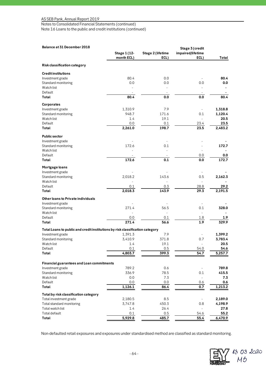Notes to Consolidated Financial Statements (continued)

Note 16 Loans to the public and credit institutions (continued)

## **Balance at 31 December 2018**

| Balance at 31 December 2018                                                   |                    |                   | Stage 3 (credit   |                    |
|-------------------------------------------------------------------------------|--------------------|-------------------|-------------------|--------------------|
|                                                                               | Stage 1 (12-       | Stage 2 (lifetime | impaired/lifetime |                    |
|                                                                               | month ECL)         | ECL)              | ECL)              | Total              |
| Risk classification category                                                  |                    |                   |                   |                    |
|                                                                               |                    |                   |                   |                    |
| <b>Credit institutions</b><br>Investment grade                                | 80.4               | 0.0               |                   | 80.4               |
| Standard monitoring                                                           | 0.0                | 0.0               | 0.0               | 0.0                |
| Watch list                                                                    |                    |                   |                   |                    |
| Default                                                                       |                    | $\sim$            | $\sim$            |                    |
| Total                                                                         | 80.4               | 0.0               | 0.0               | 80.4               |
| Corporates                                                                    |                    |                   |                   |                    |
| Investment grade                                                              | 1,310.9            | 7.9               |                   | 1,318.8            |
| Standard monitoring                                                           | 948.7              | 171.6             | 0.1               | 1,120.4            |
| Watch list                                                                    | 1.4                | 19.1              |                   | 20.5               |
| Default                                                                       | 0.0                | 0.1               | 23.4              | 23.5               |
| Total                                                                         | 2,261.0            | 198.7             | 23.5              | 2,483.2            |
|                                                                               |                    |                   |                   |                    |
| <b>Public sector</b>                                                          |                    |                   |                   |                    |
| Investment grade                                                              | 172.6              |                   |                   | 172.7              |
| Standard monitoring                                                           |                    | 0.1               |                   |                    |
| Watch list<br>Default                                                         |                    |                   |                   |                    |
| Total                                                                         | 172.6              | 0.1               | 0.0<br>0.0        | 0.0<br>172.7       |
|                                                                               |                    |                   |                   |                    |
| Mortgage loans                                                                |                    |                   |                   |                    |
| Investment grade                                                              |                    |                   |                   |                    |
| Standard monitoring                                                           | 2,018.2            | 143.6             | 0.5               | 2,162.3            |
| Watch list                                                                    |                    |                   |                   |                    |
| Default<br>Total                                                              | 0.1<br>2,018.3     | 0.3<br>143.9      | 28.8<br>29.3      | 29.2<br>2,191.5    |
|                                                                               |                    |                   |                   |                    |
| Other loans to Private individuals                                            |                    |                   |                   |                    |
| Investment grade                                                              |                    |                   |                   |                    |
| Standard monitoring                                                           | 271.4              | 56.5              | 0.1               | 328.0              |
| Watch list                                                                    | ÷,                 | $\sim$            |                   |                    |
| Default<br>Total                                                              | 0.0<br>271.4       | 0.1<br>56.6       | 1.8<br>1.9        | 1.9<br>329.9       |
|                                                                               |                    |                   |                   |                    |
| Total Loans to public and credit institutions by risk classification category |                    |                   |                   |                    |
| Investment grade                                                              | 1,391.3<br>3,410.9 | 7.9<br>371.8      | 0.7               | 1,399.2<br>3,783.4 |
| Standard monitoring<br>Watch list                                             | 1.4                | 19.1              |                   | 20.5               |
| Default                                                                       | 0.1                | 0.5               | 54.0              | 54.6               |
| Total                                                                         | 4,803.7            | 399.3             | 54.7              | 5,257.7            |
|                                                                               |                    |                   |                   |                    |
| <b>Financial guarantees and Loan commitments</b>                              |                    |                   |                   |                    |
| Investment grade                                                              | 789.2              | 0.6               |                   | 789.8              |
| Standard monitoring                                                           | 336.9              | 78.5              | 0.1               | 415.5              |
| Watch list                                                                    | 0.0                | 7.3               |                   | 7.3                |
| Default                                                                       | 0.0                | 0.0               | 0.6               | 0.6                |
| Total                                                                         | 1,126.1            | 86.4              | 0.7               | 1,213.2            |
| Total by risk classification category                                         |                    |                   |                   |                    |
| Total investment grade                                                        | 2,180.5            | 8.5               |                   | 2,189.0            |
| Total standard monitoring                                                     | 3,747.8            | 450.3             | 0.8               | 4,198.9            |
| Total watch list                                                              | 1.4                | 26.4              |                   | 27.8               |
| Total default                                                                 | 0.1                | 0.5               | 54.6              | 55.2               |
| Total                                                                         | 5,929.8            | 485.7             | 55.4              | 6,470.9            |

Non-defaulted retail exposures and exposures under standardised method are classified as standard monitoring.

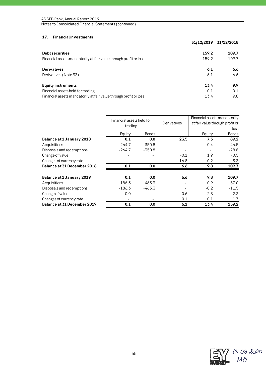## **17. Financial investments**

|                                                                   | 31/12/2019 | 31/12/2018 |
|-------------------------------------------------------------------|------------|------------|
| <b>Debt securities</b>                                            | 159.2      | 109.7      |
| Financial assets mandatorily at fair value through profit or loss | 159.2      | 109.7      |
| <b>Derivatives</b>                                                | 6.1        | 6.6        |
| Derivatives (Note 33)                                             | 6.1        | 6.6        |
| <b>Equity instruments</b>                                         | 13.4       | 9.9        |
| Financial assets held for trading                                 | 0.1        | 0.1        |
| Financial assets mandatorily at fair value through profit or loss | 13.4       | 9.8        |

|                             | Financial assets held for<br>trading |              | Derivatives | Financial assets mandatorily<br>at fair value through profit or<br>loss |              |
|-----------------------------|--------------------------------------|--------------|-------------|-------------------------------------------------------------------------|--------------|
|                             | Equity                               | <b>Bonds</b> |             | Equity                                                                  | <b>Bonds</b> |
| Balance at 1 January 2018   | 0.1                                  | 0.0          | 23.5        | 7.3                                                                     | 89.2         |
| Acquisitions                | 264.7                                | 350.8        |             | 0.4                                                                     | 46.5         |
| Disposals and redemptions   | $-264.7$                             | $-350.8$     |             |                                                                         | $-28.8$      |
| Change of value             |                                      |              | $-0.1$      | 1.9                                                                     | $-0.5$       |
| Changes of currency rate    |                                      |              | $-16.8$     | 0.2                                                                     | 3.3          |
| Balance at 31 December 2018 | 0.1                                  | 0.0          | 6.6         | 9.8                                                                     | 109.7        |
| Balance at 1 January 2019   | 0.1                                  | 0.0          | 6.6         | 9.8                                                                     | 109.7        |
| Acquisitions                | 186.3                                | 463.3        |             | 0.9                                                                     | 57.0         |
| Disposals and redemptions   | $-186.3$                             | $-463.3$     |             | $-0.2$                                                                  | $-11.5$      |
| Change of value             | 0.0                                  |              | $-0.6$      | 2.8                                                                     | 2.3          |
| Changes of currency rate    |                                      |              | 0.1         | 0.1                                                                     | 1.7          |
| Balance at 31 December 2019 | 0.1                                  | 0.0          | 6.1         | 13.4                                                                    | 159.2        |

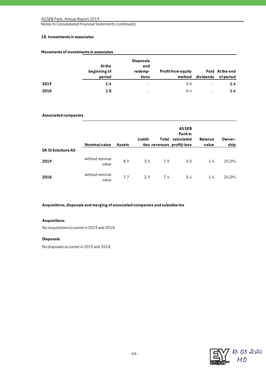Notes to Consolidated Financial Statements (continued)

## **18. Investments in associates**

|      | <b>At the</b><br>beginning of<br>period | <b>Disposals</b><br>and<br>redemp-<br>tions | <b>Profit from equity</b> | method dividends | Paid At the end<br>of period |
|------|-----------------------------------------|---------------------------------------------|---------------------------|------------------|------------------------------|
| 2019 | 1.4                                     | ٠                                           | 0.0                       |                  | $1.4^{\circ}$                |
| 2018 | 1.0                                     | ٠                                           | 0.4                       | ۰                | 1.4                          |

## **Movements of investments in associates**

## **Associated companies**

|                          | <b>Nominal value</b>     | <b>Assets</b> | Liabili- |     | <b>ASSEB</b><br><b>Pankin</b><br>Total calculated<br>ties revenues profit/-loss | <b>Balance</b><br>value | Owner-<br>ship |
|--------------------------|--------------------------|---------------|----------|-----|---------------------------------------------------------------------------------|-------------------------|----------------|
| <b>SKID Solutions AS</b> |                          |               |          |     |                                                                                 |                         |                |
| 2019                     | without nominal<br>value | 8.9           | 3.5      | 7.9 | 0.0                                                                             | 1.4                     | 25.0%          |
| 2018                     | without nominal<br>value | 7.7           | 2.3      | 7.4 | 0.4                                                                             | 1.4                     | 25.0%          |

**Acquisitions, disposals and merging of associated companies and subsidiaries**

## **Acquisitions**

No acquisitions occurred in 2019 and 2018.

## **Disposals**

No disposals occurred in 2019 and 2018.

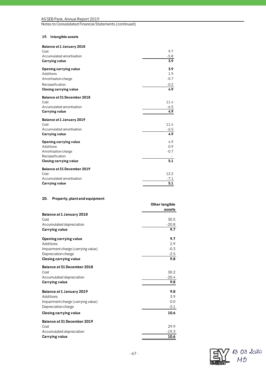Notes to Consolidated Financial Statements (continued)

## **19. Intangible assets**

| Balance at 1 January 2018   |        |
|-----------------------------|--------|
| Cost                        | 9.7    |
| Accumulated amortisation    | $-5.8$ |
| Carrying value              | 3.9    |
| Opening carrying value      | 3.9    |
| Additions                   | 1.9    |
| Amortisation charge         | $-0.7$ |
| Reclassification            | $-0.2$ |
| Closing carrying value      | 4.9    |
| Balance at 31 December 2018 |        |
| Cost                        | 11.4   |
| Accumulated amortisation    | $-6.5$ |
| Carrying value              | 4.9    |
| Balance at 1 January 2019   |        |
| Cost                        | 11.4   |
| Accumulated amortisation    | $-6.5$ |
| Carrying value              | 4.9    |
| Opening carrying value      | 4.9    |
| Additions                   | 0.9    |
| Amortisation charge         | $-0.7$ |
| Reclassification            |        |
| Closing carrying value      | 5.1    |
| Balance at 31 December 2019 |        |
| Cost                        | 12.2   |
| Accumulated amortisation    | $-7.1$ |
| Carrying value              | 5.1    |

## **20. Property, plant and equipment**

|                                    | Other tangible<br>assets |
|------------------------------------|--------------------------|
| Balance at 1 January 2018          |                          |
| Cost                               | 30.5                     |
| Accumulated depreciation           | $-20.8$                  |
| Carrying value                     | 9.7                      |
| Opening carrying value             | 9.7                      |
| Additions                          | 2.9                      |
| Impairment charge (carrying value) | $-0.3$                   |
| Depreciation charge                | $-2.5$                   |
| Closing carrying value             | 9.8                      |
| Balance at 31 December 2018        |                          |
| Cost                               | 30.2                     |
| Accumulated depreciation           | $-20.4$                  |
| Carrying value                     | 9.8                      |
| Balance at 1 January 2019          | 9.8                      |
| Additions                          | 3.9                      |
| Impairment charge (carrying value) | 0.0                      |
| Depreciation charge                | $-3.1$                   |
| Closing carrying value             | 10.6                     |
| Balance at 31 December 2019        |                          |
| Cost                               | 29.9                     |
| Accumulated depreciation           | $-19.3$                  |
| Carrying value                     | 10.6                     |

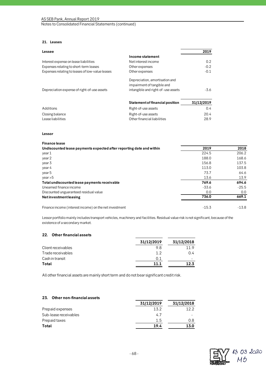## **21. Leases**

| Lessee                                          |                                    | 2019       |
|-------------------------------------------------|------------------------------------|------------|
|                                                 | Income statement                   |            |
| Interest expense on lease liabilities           | Net interest income                | 0.2        |
| Expenses relating to short-term leases          | Other expenses                     | $-0.2$     |
| Expenses relating to leases of low-value leases | Other expenses                     | $-0.1$     |
|                                                 | Depreciation, amortisation and     |            |
|                                                 | impairment of tangible and         |            |
| Depreciation expense of right-of-use assets     | intangible and right-of-use assets | $-3.6$     |
|                                                 | Statement of financial position    | 31/12/2019 |
| Additions                                       | Right-of-use assets                | 0.4        |
| Closing balance                                 | Right-of-use assets                | 20.4       |
| Lease liabilities                               | Other financial liabilities        | 28.9       |

**Lessor**

#### **Finance lease**

| Undiscounted lease payments expected after reporting date and within | 2019    | 2018    |
|----------------------------------------------------------------------|---------|---------|
| year 1                                                               | 224.5   | 206.2   |
| year 2                                                               | 188.0   | 168.6   |
| year 3                                                               | 156.8   | 137.5   |
| year 4                                                               | 113.0   | 103.8   |
| year 5                                                               | 73.7    | 64.6    |
| year > 5                                                             | 13.6    | 13.9    |
| Total undiscounted lease payments receivable                         | 769.6   | 694.6   |
| Unearned finance income                                              | $-33.6$ | $-25.5$ |
| Discounted unguaranteed residual value                               | 0.0     | 0.0     |
| Netinvestmentleasing                                                 | 736.0   | 669.1   |
| Finance income (interest income) on the net investment               | $-15.3$ | $-13.8$ |

Lessor portfolio mainly includes transport vehicles, machinery and facilities. Residual value risk is not significant, because of the existence of a secondary market.

## **22. Other financial assets**

|                    | 31/12/2019 | 31/12/2018 |
|--------------------|------------|------------|
| Client receivables | 9.8        | 11 Q       |
| Trade receivables  | 1.2        | 0.4        |
| Cash in transit    | 0.1        |            |
| Total              | 11.1       | 1つ ス       |

All other financial assets are mainly short term and do not bear significant credit risk.

## **23. Other non-financial assets 31/12/2019 31/12/2018** Prepaid expenses 13.2 12.2 Sub-lease receivables and the state of the state of the state of the state of the state of the state of the state of the state of the state of the state of the state of the state of the state of the state of the state of t Prepaid taxes  $\frac{1.5}{19.4}$   $\frac{0.8}{13.0}$ **Total 19.4 13.0**

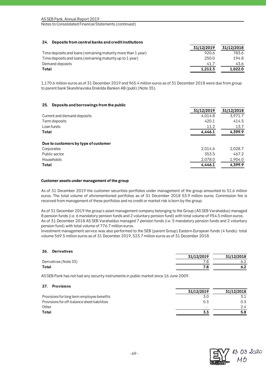## **24. Deposits from central banks and credit institutions**

|                                                               | 31/12/2019 | 31/12/2018 |
|---------------------------------------------------------------|------------|------------|
| Time deposits and loans (remaining maturity more than 1 year) | 920.6      | 783.6      |
| Time deposits and loans (remaining maturity up to 1 year)     | 250.0      | 194.8      |
| Demand deposits                                               | 41.7       | 43.6       |
| Total                                                         | 1.212.3    | 1.022.0    |

1,170.6 million euros as of 31 December 2019 and 965.4 million euros as of 31 December 2018 were due from group to parent bank Skandinaviska Enskilda Banken AB (publ) (Note 35).

## **25. Deposits and borrowings from the public**

|                                      | 31/12/2019 | 31/12/2018 |
|--------------------------------------|------------|------------|
| Current and demand deposits          | 4,014.8    | 3,971.7    |
| Term deposits                        | 420.1      | 414.5      |
| Loan funds                           | 11.2       | 13.7       |
| Total                                | 4,446.1    | 4,399.9    |
| Due to customers by type of customer |            |            |
| Corporates                           | 2,014.6    | 2,028.7    |
| Public sector                        | 353.5      | 467.2      |
| <b>Households</b>                    | 2,078.0    | 1,904.0    |
| Total                                | 4,446.1    | 4,399.9    |

### **Customer assets under management of the group**

As of 31 December 2019 the customer securities portfolios under management of the group amounted to 51.6 million euros. The total volume of aforementioned portfolios as of 31 December 2018 53.9 million euros. Commission fee is received from management of these portfolios and no credit or market risk is born by the group.

As of 31 December 2019 the group's asset management company belonging to the Group (AS SEB Varahaldus) managed 8 pension funds (i.e. 6 mandatory pension funds and 2 voluntary pension fund) with total volume of 954.5 million euros. As of 31 December 2018 AS SEB Varahaldus managed 7 pension funds (i.e. 5 mandatory pension funds and 2 voluntary pension fund) with total volume of 776.7 million euros.

Investment management service was also performed to the SEB (parent Group) Eastern-European funds (4 funds): total volume 569.5 million euros as of 31 December 2019, 523.7 million euros as of 31 December 2018.

| 20.<br><b>DELIVALIVES</b> |            |            |
|---------------------------|------------|------------|
|                           | 31/12/2019 | 31/12/2018 |
| Derivatives (Note 33)     |            |            |
| Total                     |            |            |
|                           |            |            |

AS SEB Pank has not had any security instruments in public market since 16 June 2009.

### **27. Provisions**

**26. Derivatives**

|     | 31/12/2018 |
|-----|------------|
|     |            |
| 0.3 | 0.3        |
|     | 24         |
|     | 5.8        |
|     | 31/12/2019 |

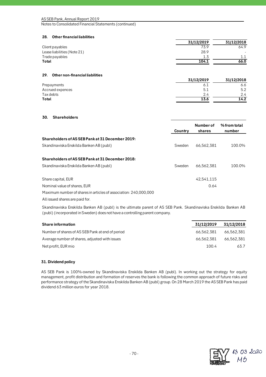Notes to Consolidated Financial Statements (continued)

## **28. Other financial liabilities**

|                             | 31/12/2019 | 31/12/2018 |
|-----------------------------|------------|------------|
| Client payables             | 73.9       | 64.9       |
| Lease liabilities (Note 21) | 28.9       |            |
| Trade payables              | 1.3        | 11         |
| Total                       | 104.1      | 66.0       |
|                             |            |            |

## **29. Other non-financial liabilities**

|                  | 31/12/2019 | 31/12/2018 |
|------------------|------------|------------|
| Prepayments      |            | 6.6        |
| Accrued expences | 5.1        | 5.2        |
| Tax debts        |            | 2.4        |
| Total            | 13.6       | 14.2       |

## **30. Shareholders**

|                                                                  | Country | Number of<br>shares | % from total<br>number |
|------------------------------------------------------------------|---------|---------------------|------------------------|
| Shareholders of AS SEB Pank at 31 December 2019:                 |         |                     |                        |
| Skandinaviska Enskilda Banken AB (publ)                          | Sweden  | 66.562.381          | 100.0%                 |
| Shareholders of AS SEB Pank at 31 December 2018:                 |         |                     |                        |
| Skandinaviska Enskilda Banken AB (publ)                          | Sweden  | 66,562,381          | 100.0%                 |
| Share capital, EUR                                               |         | 42.541.115          |                        |
| Nominal value of shares, EUR                                     |         | 0.64                |                        |
| Maximum number of shares in articles of association: 240,000,000 |         |                     |                        |

All issued shares are paid for.

Skandinaviska Enskilda Banken AB (publ) is the ultimate parent of AS SEB Pank. Skandinaviska Enskilda Banken AB (publ) (incorporated in Sweden) does not have a controlling parent company.

| <b>Share information</b>                         | 31/12/2019 | 31/12/2018 |
|--------------------------------------------------|------------|------------|
| Number of shares of AS SEB Pank at end of period | 66.562.381 | 66.562.381 |
| A verage number of shares, adjusted with issues  | 66.562.381 | 66.562.381 |
| Net profit, EUR mio                              | 100.4      | 63.7       |

## **31. Dividend policy**

AS SEB Pank is 100%-owned by Skandinaviska Enskilda Banken AB (publ). In working out the strategy for equity management, profit distribution and formation of reserves the bank is following the common approach of future risks and performance strategy of the Skandinaviska Enskilda Banken AB (publ) group. On 28 March 2019 the AS SEB Pank has paid dividend 63 million euros for year 2018.

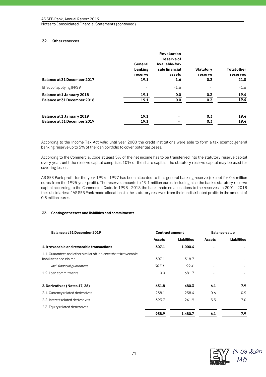## **32. Other reserves**

|                                                          | General<br>banking<br>reserve | <b>Revaluation</b><br>reserve of<br>Available-for-<br>sale financial<br>assets | Statutory<br>reserve | <b>Total other</b><br>reserves |
|----------------------------------------------------------|-------------------------------|--------------------------------------------------------------------------------|----------------------|--------------------------------|
| Balance at 31 December 2017                              | 19.1                          | 1.6                                                                            | 0.3                  | 21.0                           |
| Effect of applying IFRS9                                 |                               | $-1.6$                                                                         |                      | $-1.6$                         |
| Balance at 1 January 2018<br>Balance at 31 December 2018 | 19.1<br>19.1                  | 0.0<br>0.0                                                                     | 0.3<br>0.3           | 19.4<br>19.4                   |
| Balance at 1 January 2019<br>Balance at 31 December 2019 | 19.1<br>19.1                  |                                                                                | 0.3<br>0.3           | 19.4<br>19.4                   |

According to the Income Tax Act valid until year 2000 the credit institutions were able to form a tax exempt general banking reserve up to 5% of the loan portfolio to cover potential losses.

According to the Commercial Code at least 5% of the net income has to be transferred into the statutory reserve capital every year, until the reserve capital comprises 10% of the share capital. The statutory reserve capital may be used for covering losses.

AS SEB Pank profit for the year 1994 - 1997 has been allocated to that general banking reserve (except for 0.4 million euros from the 1995-year profit). The reserve amounts to 19.1 million euros, including also the bank's statutory reserve capital according to the Commercial Code. In 1998 - 2018 the bank made no allocations to the reserves. In 2001 - 2018 the subsidiaries of AS SEB Pank made allocations to the statutory reserves from their undistributed profits in the amount of 0.3 million euros.

## **33. Contingent assets and liabilities and commitments**

| Balance at 31 December 2019                                                                | <b>Contract amount</b> |                    | <b>Balance value</b> |             |
|--------------------------------------------------------------------------------------------|------------------------|--------------------|----------------------|-------------|
|                                                                                            | Assets                 | <b>Liabilities</b> | <b>Assets</b>        | Liabilities |
| 1. Irrevocable and revocable transactions                                                  | 307.1                  | 1,000.4            |                      |             |
| 1.1. Guarantees and other similar off-balance sheet irrovocable<br>liabilitieas and claims | 307.1                  | 318.7              |                      |             |
| incl. financial guarantees                                                                 | 307.1                  | 99.4               |                      |             |
| 1.2. Loan commitments                                                                      | 0.0                    | 681.7              |                      |             |
| 2. Derivatives (Notes 17, 26)                                                              | 631.8                  | 480.3              | 6.1                  | 7.9         |
| 2.1. Currency related derivatives                                                          | 238.1                  | 238.4              | 0.6                  | 0.9         |
| 2.2. Interest related derivatives                                                          | 393.7                  | 241.9              | 5.5                  | 7.0         |
| 2.3. Equity related derivatives                                                            |                        |                    |                      |             |
|                                                                                            | 938.9                  | 1,480.7            | 6.1                  | 7.9         |

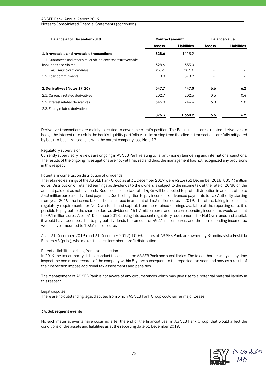| Balance at 31 December 2018                                     | <b>Contract amount</b> |             | <b>Balance value</b>            |               |
|-----------------------------------------------------------------|------------------------|-------------|---------------------------------|---------------|
|                                                                 | Assets                 | Liabilities | <b>Assets</b><br>$\blacksquare$ | Liabilities   |
| 1. Irrevocable and revocable transactions                       | 328.6                  | 1213.2      |                                 |               |
| 1.1. Guarantees and other similar off-balance sheet irrovocable |                        |             |                                 |               |
| liabilitieas and claims                                         | 328.6                  | 335.0       |                                 |               |
| incl. financial quarantees                                      | 328.6                  | 103.1       | $\overline{\phantom{a}}$        |               |
| 1.2. Loan commitments                                           | 0.0                    | 878.2       |                                 |               |
| 2. Derivatives (Notes 17, 26)                                   | 547.7                  | 447.0       | 6.6                             | 6.2           |
| 2.1. Currency related derivatives                               | 202.7                  | 202.6       | 0.6                             | $0.4^{\circ}$ |
| 2.2. Interest related derivatives                               | 345.0                  | 244.4       | 6.0                             | 5.8           |
| 2.3. Equity related derivatives                                 |                        |             |                                 |               |
|                                                                 | 876.3                  | 1,660.2     | 6.6                             | 6.2           |

Derivative transactions are mainly executed to cover the client's position. The Bank uses interest related derivatives to hedge the interest rate risk in the bank's liquidity portfolio.All risks arising from the client's transactions are fully mitigated by back-to-back transactions with the parent company, see Note 17.

## Regulatory supervision

Currently supervisory reviews are ongoing in AS SEB Pank relating to i.a. anti-money laundering and international sanctions. The results of the ongoing investigations are not yet finalized and thus, the management has not recognized any provisions in this respect.

## Potential income tax on distribution of dividends

The retained earnings of the AS SEB Pank Group as at 31 December 2019 were 921.4 (31 December 2018: 885.4) million euros. Distribution of retained earnings as dividends to the owners is subject to the income tax at the rate of 20/80 on the amount paid out as net dividends. Reduced income tax rate 14/86 will be applied to profit distribution in amount of up to 34.3 million euros net dividend payment. Due to obligation to pay income tax advanced payments to Tax Authority starting from year 2019, the income tax has been accrued in amount of 16.3 million euros in 2019. Therefore, taking into account regulatory requirements for Net Own funds and capital, from the retained earnings available at the reporting date, it is possible to pay out to the shareholders as dividends 451.7 million euros and the corresponding income tax would amount to 89.1 million euros. As of 31 December 2018, taking into account regulatory requirements for Net Own funds and capital, it would have been possible to pay out dividends the amount of 492.1 million euros, and the corresponding income tax would have amounted to 103.6 million euros.

As at 31 December 2019 (and 31 December 2019) 100% shares of AS SEB Pank are owned by Skandinaviska Enskilda Banken AB (publ), who makes the decisions about profit distribution.

### Potential liabilities arising from tax inspection

In 2019 the tax authority did not conduct tax audit in the AS SEB Pank and subsidiaries. The tax authorities may at any time inspect the books and records of the company within 5 years subsequent to the reported tax year, and may as a result of their inspection impose additional tax assessments and penalties.

The management of AS SEB Pank is not aware of any circumstances which may give rise to a potential material liability in this respect.

### Legal disputes

There are no outstanding legal disputes from which AS SEB Pank Group could suffer major losses.

### **34. Subsequent events**

No such material events have occurred after the end of the financial year in AS SEB Pank Group, that would affect the conditions of the assets and liabilities as at the reporting date 31 December 2019.

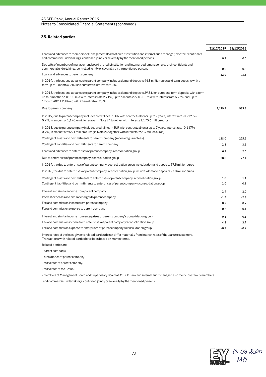## **35. Related parties**

|                                                                                                                                                                                                                                                                                                       |         | 31/12/2019 31/12/2018 |
|-------------------------------------------------------------------------------------------------------------------------------------------------------------------------------------------------------------------------------------------------------------------------------------------------------|---------|-----------------------|
| Loans and advances to members of Management Board of credit institution and internal audit manager, also their confidants<br>and commercial undertakings, controlled jointly or severally by the mentioned persons                                                                                    | 0.9     | 0.6                   |
| Deposits of members of management board of credit institution and internal audit manager, also their confidants and<br>commercial undertakings, controlled jointly or severally by the mentioned persons                                                                                              | 0.6     | 0.8                   |
| Loans and advances to parent company                                                                                                                                                                                                                                                                  | 52.9    | 73.6                  |
| In 2019, the loans and advances to parent company includes demand deposits 44.8 million euros and term deposits with a<br>term up to 1 month 6.9 million euros with interest rate 0%.                                                                                                                 |         |                       |
| In 2018, the loans and advances to parent company includes demand deposits 29.8 illion euros and term deposits with a term<br>up to 7 months 33.0 USD mio with interest rate 2.71%, up to 3 month 292.0 RUB mio with interest rate 6.95% and up to<br>1 month 402.1 RUB mio with interest rate 6.25%. |         |                       |
| Due to parent company                                                                                                                                                                                                                                                                                 | 1,179.8 | 985.8                 |
| In 2019, due to parent company includes credit lines in EUR with contractual tenor up to 7 years, interest rate -0.212% -<br>0.9%, in amount of 1,170.4 million euros (in Note 24 together with interests 1,170.6 million euros).                                                                     |         |                       |
| In 2018, due to parent company includes credit lines in EUR with contractual tenor up to 7 years, interest rate -0.147% -<br>0.9%, in amount of 965.1 million euros (in Note 24 together with interests 965.4 million euros).                                                                         |         |                       |
| Contingent assets and commitments to parent company (received guarantees)                                                                                                                                                                                                                             | 188.0   | 225.6                 |
| Contingent liabilities and commitments to parent company                                                                                                                                                                                                                                              | 2.8     | 3.6                   |
| Loans and advances to enterprises of parent company's consolidation group                                                                                                                                                                                                                             | 6.9     | 2.5                   |
| Due to enterprises of parent company's consolidation group                                                                                                                                                                                                                                            | 38.0    | 27.4                  |
| In 2019, the due to enterprises of parent company's consolidation group includes demand deposits 37.5 million euros.                                                                                                                                                                                  |         |                       |
| In 2018, the due to enterprises of parent company's consolidation group includes demand deposits 27.0 million euros.                                                                                                                                                                                  |         |                       |
| Contingent assets and commitments to enterprises of parent company's consolidation group                                                                                                                                                                                                              | 1.0     | 1.1                   |
| Contingent liabilities and commitments to enterprises of parent company's consolidation group                                                                                                                                                                                                         | 2.0     | 0.1                   |
| Interest and similar income from parent company                                                                                                                                                                                                                                                       | 2.4     | 2.0                   |
| Interest expenses and similar charges to parent company                                                                                                                                                                                                                                               | $-1.5$  | $-2.8$                |
| Fee and commission income from parent company                                                                                                                                                                                                                                                         | 0.7     | 0.7                   |
| Fee and commission expense to parent company                                                                                                                                                                                                                                                          | $-0.2$  | $-0.1$                |
| Interest and similar income from enterprises of parent company's consolidation group                                                                                                                                                                                                                  | 0.1     | 0.1                   |
| Fee and commission income from enterprises of parent company's consolidation group                                                                                                                                                                                                                    | 4.8     | 3.7                   |
| Fee and commission expense to enterprises of parent company's consolidation group                                                                                                                                                                                                                     | $-0.2$  | $-0.2$                |
| Interest rates of the loans given to related parties do not differ materially from interest rates of the loans to customers.                                                                                                                                                                          |         |                       |

Transactions with related parties have been based on market terms.

Related parties are:

- parent company;
- subsidiaries of parent company;
- associates of parent company;
- associates of the Group;

- members of Management Board and Supervisory Board of AS SEB Pank and internal audit manager, also their close family members

and commercial undertakings, controlled jointly or severally by the mentioned persons.

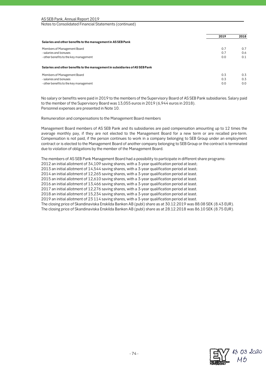| AS SEB Pank, Annual Report 2019 |
|---------------------------------|
|---------------------------------|

|                                                                              | 2019 | 2018 |
|------------------------------------------------------------------------------|------|------|
| Salaries and other benefits to the management in ASSEB Pank                  |      |      |
| Members of Management Board                                                  | 0.7  | 0.7  |
| - salaries and bonuses                                                       | 0.7  | 0.6  |
| - other benefits to the key management                                       | 0.0  | 0.1  |
| Salaries and other benefits to the management in subsidiaries of AS SEB Pank |      |      |
| Members of Management Board                                                  | 0.3  | 0.3  |
| - salaries and bonuses                                                       | 0.3  | 0.3  |
| - other benefits to the key management                                       | 0.0  | 0.0  |

No salary or benefits were paid in 2019 to the members of the Supervisory Board of AS SEB Pank subsidiaries. Salary paid to the member of the Supervisory Board was 13,055 euros in 2019 (6,944 euros in 2018). Personnel expenses are presented in Note 10.

Remuneration and compensations to the Management Board members

Management Board members of AS SEB Pank and its subsidiaries are paid compensation amounting up to 12 times the average monthly pay, if they are not elected to the Management Board for a new term or are recalled pre-term. Compensation is not paid, if the person continues to work in a company belonging to SEB Group under an employment contract or is elected to the Management Board of another company belonging to SEB Group or the contract is terminated due to violation of obligations by the member of the Management Board.

The members of AS SEB Pank Management Board had a possibility to participate in different share programs:

2012 an initial allotment of 34,109 saving shares, with a 3-year qualification period at least;

2013 an initial allotment of 14,544 saving shares, with a 3-year qualification period at least;

2014 an initial allotment of 12,265 saving shares, with a 3-year qualification period at least.

2015 an initial allotment of 12,610 saving shares, with a 3-year qualification period at least.

2016 an initial allotment of 13,466 saving shares, with a 3-year qualification period at least.

2017 an initial allotment of 12,276 saving shares, with a 3-year qualification period at least.

2018 an initial allotment of 15,234 saving shares, with a 3-year qualification period at least.

2019 an initial allotment of 23 114 saving shares, with a 3-year qualification period at least.

The closing price of Skandinaviska Enskilda Banken AB (publ) share as at 30.12.2019 was 88.08 SEK (8.43 EUR).

The closing price of Skandinaviska Enskilda Banken AB (publ) share as at 28.12.2018 was 86.10 SEK (8.75 EUR).

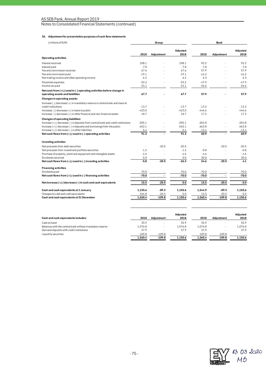#### **36. Adjustment for presentation purposes of cash flow statements**

| (millions of EUR)                                                                 | Group    |            |                  | Bank     |            |                  |
|-----------------------------------------------------------------------------------|----------|------------|------------------|----------|------------|------------------|
|                                                                                   | 2018     | Adjustment | Adjusted<br>2018 | 2018     | Adjustment | Adjusted<br>2018 |
| Operating activities                                                              |          |            |                  |          |            |                  |
| Interest received                                                                 | 108.1    |            | 108.1            | 92.2     |            | 92.2             |
| Interest paid                                                                     | $-7.8$   |            | $-7.8$           | $-7.8$   |            | $-7.8$           |
| Fee and commission received                                                       | 67.6     |            | 67.6             | 57.9     |            | 57.9             |
| Fee and commission paid                                                           | $-19.1$  |            | $-19.1$          | $-16.2$  |            | $-16.2$          |
| Net trading income and other operating income                                     | 6.2      |            | 6.2              | 6.3      |            | 6.3              |
| Personnel expenses                                                                | $-53.2$  |            | $-53.2$          | $-47.9$  |            | $-47.9$          |
| Income tax paid                                                                   | $-34.1$  |            | $-34.1$          | $-26.6$  |            | $-26.6$          |
| Net cash from (+) / used in (-) operating activities before change in             |          |            |                  |          |            |                  |
| operating assets and liabilities                                                  | 67.7     |            | 67.7             | 57.9     |            | 57.9             |
| Changes in operating assets:                                                      |          |            |                  |          |            |                  |
| Increase (-) /decrease (+) in mandatory reserve in central bank and loans to      |          |            |                  |          |            |                  |
| credit institutions                                                               | $-13.7$  |            | $-13.7$          | $-13.2$  |            | $-13.2$          |
| $Increase(-) / decrease(+)$ in loans to public                                    | $-423.0$ |            | $-423.0$         | $-446.6$ |            | $-446.6$         |
| Increase(-) / decrease (+) in other financial and non-financial assets            | 18.7     |            | 18.7             | 17.2     |            | 17.2             |
| Changes of operating liabilities:                                                 |          |            |                  |          |            |                  |
| Increase (+) / decrease (-) in deposits from central bank and credit institutions | $-205.1$ |            | $-205.1$         | $-204.8$ |            | $-204.8$         |
| $Increase (+) / decrease (-)$ in deposits and borrowings from the public          | 652.1    |            | 652.1            | 663.8    |            | 663.8            |
| $Increase (+) / decrease (-) in other liabilities$                                | $-5.4$   |            | $-5.4$           | $-13.4$  |            | $-13.4$          |
| Net cash flows from (+) / used in (-) operating activities                        | 91.3     |            | 91.3             | 60.9     |            | 60.9             |
| Investing activities                                                              |          |            |                  |          |            |                  |
| Net proceeds from debt securities                                                 |          | $-20.5$    | $-20.5$          |          | $-20.5$    | $-20.5$          |
| Net proceeds from investment portfolio securities                                 | $-1.2$   |            | $-1.2$           | $-0.8$   |            | $-0.8$           |
| Purchase of property, plant and equipment and intangible assets                   | $-4.6$   |            | $-4.6$           | $-4.6$   |            | $-4.6$           |
| Dividends received                                                                | 0.0      |            | 0.0              | 30.0     |            | 30.0             |
| Net cash flows from (+) / used in (-) investing activities                        | $-5.8$   | $-20.5$    | $-26.3$          | 24.6     | $-20.5$    | 4.1              |
| <b>Financing activities</b>                                                       |          |            |                  |          |            |                  |
| Dividends paid                                                                    | $-70.0$  |            | $-70.0$          | $-70.0$  |            | -70.0            |
| Net cash flows from (+) / used in (-) financing activities                        | $-70.0$  |            | $-70.0$          | $-70.0$  |            | $-70.0$          |
| Net increase (+) / decrease (-) in cash and cash equivalents                      | 15.5     | $-20.5$    | $-5.0$           | 15.5     | $-20.5$    | $-5.0$           |
| Cash and cash equivalents at 1 January                                            | 1,155.6  | $-89.3$    | 1.155.6          | 1.244.9  | $-89.3$    | 1.155.6          |
| Changes on cash and cash equivalents                                              | 104.8    | $-20.5$    | $-5.0$           | 15.5     | $-20.5$    | $-5.0$           |
| Cash and cash equivalents at 31 December                                          | 1,260.4  | $-109.8$   | 1,150.6          | 1,260.4  | $-109.8$   | 1,150.6          |
|                                                                                   | 0.000    |            | Adjusted         |          |            | Adjusted         |

|                                                          |         |            | Adiusted |         |            | Adiusted |
|----------------------------------------------------------|---------|------------|----------|---------|------------|----------|
| Cash and cash equivalents includes:                      | 2018    | Adiustment | 2018     | 2018    | Adiustment | 2018     |
| Cash on hand                                             | 35.9    |            | 35.9     | 35.9    |            | 35.9     |
| Balances with the central bank without mandatory reserve | 1.076.8 |            | 1.076.8  | 1.076.8 |            | 1,076.8  |
| Demand deposits with credit institutions                 | 37.9    |            | 37.9     | 37.9    |            | 37.9     |
| Liquidity securities                                     | 109.8   | $-109.8$   |          | 109.8   | $-109.8$   |          |
|                                                          | 1.260.4 | $-109.8$   | 1.150.6  | 1.260.4 | $-109.8$   | 1.150.6  |

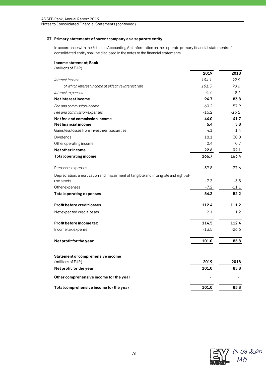## **37. Primary statements of parent company as a separate entity**

In accordance with the Estonian Accounting Act information on the separate primary financial statements of a consolidated entity shall be disclosed in the notes to the financial statements.

## **Income statement, Bank**

| (millions of EUR)                                                                  |         |         |
|------------------------------------------------------------------------------------|---------|---------|
|                                                                                    | 2019    | 2018    |
| Interest income                                                                    | 104.1   | 92.9    |
| of which interest income at effective interest rate                                | 101.5   | 90.6    |
| Interest expenses                                                                  | $-9.4$  | $-9.1$  |
| <b>Netinterestincome</b>                                                           | 94.7    | 83.8    |
| Fee and commission income                                                          | 60.2    | 57.9    |
| Fee and commission expenses                                                        | $-16.2$ | $-16.2$ |
| Net fee and commission income                                                      | 44.0    | 41.7    |
| Net financial income                                                               | 5.4     | 5.8     |
| Gains less losses from investment securities                                       | 4.1     | 1.4     |
| Dividends                                                                          | 18.1    | 30.0    |
| Other operating income                                                             | 0.4     | 0.7     |
| Net other income                                                                   | 22.6    | 32.1    |
| <b>Total operating income</b>                                                      | 166.7   | 163.4   |
| Personnel expenses                                                                 | $-39.8$ | $-37.6$ |
| Depreciation, amortization and impairment of tangible and intangible and right-of- |         |         |
| use assets                                                                         | $-7.3$  | $-3.5$  |
| Other expenses                                                                     | $-7.2$  | $-11.1$ |
| <b>Total operating expenses</b>                                                    | $-54.3$ | $-52.2$ |
| <b>Profit before credit losses</b>                                                 | 112.4   | 111.2   |
| Net expected credit losses                                                         | 2.1     | 1.2     |
| Profit before income tax                                                           | 114.5   | 112.4   |
| Income tax expense                                                                 | $-13.5$ | $-26.6$ |
| Net profit for the year                                                            | 101.0   | 85.8    |
| Statement of comprehensive income                                                  |         |         |
| (millions of EUR)                                                                  | 2019    | 2018    |
| Net profit for the year                                                            | 101.0   | 85.8    |
| Other comprehensive income for the year                                            |         |         |
| Total comprehensive income for the year                                            | 101.0   | 85.8    |

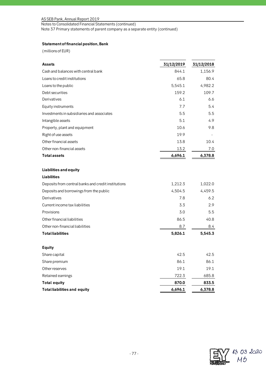# AS SEB Pank, Annual Report 2019

Notes to Consolidated Financial Statements (continued)

Note 37 Primary statements of parent company as a separate entity (continued)

# **Statement of financial position, Bank**

(millions of EUR)

| Assets                                              | 31/12/2019 | 31/12/2018 |
|-----------------------------------------------------|------------|------------|
| Cash and balances with central bank                 | 844.1      | 1,156.9    |
| Loans to credit institutions                        | 65.8       | 80.4       |
| Loans to the public                                 | 5,545.1    | 4,982.2    |
| Debt securities                                     | 159.2      | 109.7      |
| Derivatives                                         | 6.1        | 6.6        |
| Equity instruments                                  | 7.7        | 5.4        |
| Investments in subsidiaries and associates          | 5.5        | 5.5        |
| Intangible assets                                   | 5.1        | 4.9        |
| Property, plant and equipment                       | 10.6       | 9.8        |
| Right of use assets                                 | 19.9       |            |
| Other financial assets                              | 13.8       | 10.4       |
| Other non-financial assets                          | 13.2       | 7.0        |
| <b>Total assets</b>                                 | 6,696.1    | 6,378.8    |
| Liabilities and equity                              |            |            |
| <b>Liabilities</b>                                  |            |            |
| Deposits from central banks and credit institutions | 1,212.3    | 1,022.0    |
| Deposits and borrowings from the public             | 4,504.5    | 4,459.5    |
| Derivatives                                         | 7.8        | 6.2        |
| Current income tax liabilities                      | 3.3        | 2.9        |
| Provisions                                          | 3.0        | 5.5        |
| Other financial liabilities                         | 86.5       | 40.8       |
| Other non-financial liabilities                     | 8.7        | 8.4        |
| <b>Total liabilities</b>                            | 5,826.1    | 5,545.3    |
| <b>Equity</b>                                       |            |            |
| Share capital                                       | 42.5       | 42.5       |
| Share premium                                       | 86.1       | 86.1       |
| Other reserves                                      | 19.1       | 19.1       |
| Retained earnings                                   | 722.3      | 685.8      |
| <b>Total equity</b>                                 | 870.0      | 833.5      |
| <b>Total liabilities and equity</b>                 | 6,696.1    | 6,378.8    |

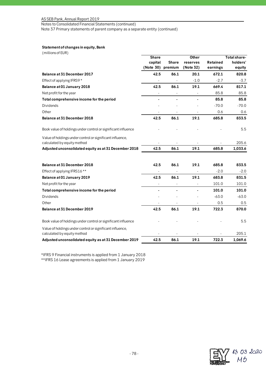## AS SEB Pank, Annual Report 2019

Notes to Consolidated Financial Statements (continued)

Note 37 Primary statements of parent company as a separate entity (continued)

# **Statement of changes in equity, Bank**

| (millions of EUR)                                                                        |                          |                |                |          |              |
|------------------------------------------------------------------------------------------|--------------------------|----------------|----------------|----------|--------------|
|                                                                                          | <b>Share</b>             |                | Other          |          | Total share- |
|                                                                                          | capital                  | <b>Share</b>   | reserves       | Retained | holders'     |
|                                                                                          | (Note 30) premium        |                | (Note 32)      | earnings | equity       |
| Balance at 31 December 2017                                                              | 42.5                     | 86.1           | 20.1           | 672.1    | 820.8        |
| Effect of applying IFRS9 *                                                               |                          |                | $-1.0$         | $-2.7$   | $-3.7$       |
| Balance at 01 January 2018                                                               | 42.5                     | 86.1           | 19.1           | 669.4    | 817.1        |
| Net profit for the year                                                                  | $\overline{\phantom{a}}$ | $\overline{a}$ |                | 85.8     | 85.8         |
| Total comprehensive income for the period                                                | $\blacksquare$           | $\blacksquare$ | $\blacksquare$ | 85.8     | 85.8         |
| Dividends                                                                                |                          |                |                | $-70.0$  | $-70.0$      |
| Other                                                                                    |                          |                |                | 0.6      | 0.6          |
| Balance at 31 December 2018                                                              | 42.5                     | 86.1           | 19.1           | 685.8    | 833.5        |
| Book value of holdings under control or significant influence                            |                          |                |                |          | 5.5          |
| Value of holdings under control or significant influence,<br>calculated by equity method |                          |                |                |          | 205.6        |
| Adjusted unconsolidated equity as at 31 December 2018                                    | 42.5                     | 86.1           | 19.1           | 685.8    | 1,033.6      |
|                                                                                          |                          |                |                |          |              |
| Balance at 31 December 2018                                                              | 42.5                     | 86.1           | 19.1           | 685.8    | 833.5        |
| Effect of applying IFRS16 **                                                             |                          |                |                | $-2.0$   | $-2.0$       |
| Balance at 01 January 2019                                                               | 42.5                     | 86.1           | 19.1           | 683.8    | 831.5        |
| Net profit for the year                                                                  |                          |                |                | 101.0    | 101.0        |
| Total comprehensive income for the period                                                |                          |                |                | 101.0    | 101.0        |
| Dividends                                                                                |                          |                |                | $-63.0$  | $-63.0$      |
| Other                                                                                    |                          |                |                | 0.5      | 0.5          |
| Balance at 31 December 2019                                                              | 42.5                     | 86.1           | 19.1           | 722.3    | 870.0        |
| Book value of holdings under control or significant influence                            |                          |                |                |          | 5.5          |
| Value of holdings under control or significant influence,                                |                          |                |                |          |              |
| calculated by equity method                                                              |                          |                |                |          | 205.1        |
| Adjusted unconsolidated equity as at 31 December 2019                                    | 42.5                     | 86.1           | 19.1           | 722.3    | 1,069.6      |

\*IFRS 9 Financial instruments is applied from 1 January 2018 \*\*IFRS 16 Lease agreements is applied from 1 January 2019

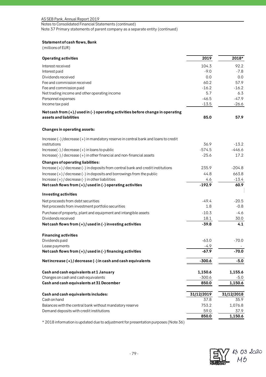# AS SEB Pank, Annual Report 2019

Notes to Consolidated Financial Statements (continued)

Note 37 Primary statements of parent company as a separate entity (continued)

# **Statement of cash flows, Bank**

(millions of EUR)

| <b>Operating activities</b>                                                                                                   | 2019            | 2018*           |
|-------------------------------------------------------------------------------------------------------------------------------|-----------------|-----------------|
| Interest received                                                                                                             | 104.3           | 92.2            |
| Interest paid                                                                                                                 | $-9.0$          | $-7.8$          |
| Dividends received                                                                                                            | 0.0             | 0.0             |
| Fee and commission received                                                                                                   | 60.2            | 57.9            |
| Fee and commission paid                                                                                                       | $-16.2$         | $-16.2$         |
| Net trading income and other operating income                                                                                 | 5.7             | 6.3             |
| Personnel expenses                                                                                                            | $-46.5$         | $-47.9$         |
| Income tax paid                                                                                                               | $-13.5$         | $-26.6$         |
| Net cash from (+) / used in (-) operating activities before change in operating                                               |                 |                 |
| assets and liabilities                                                                                                        | 85.0            | 57.9            |
| Changes in operating assets:                                                                                                  |                 |                 |
| Increase $(\cdot)$ /decrease $(+)$ in mandatory reserve in central bank and loans to credit                                   |                 |                 |
| institutions                                                                                                                  | 36.9            | $-13.2$         |
| $Increase(-)/decrease(+)$ in loans to public                                                                                  | $-574.5$        | $-446.6$        |
| Increase(-) / decrease (+) in other financial and non-financial assets                                                        | $-25.6$         | 17.2            |
| <b>Changes of operating liabilities:</b><br>Increase (+) / decrease (-) in deposits from central bank and credit institutions | 235.9           | $-204.8$        |
|                                                                                                                               | 44.8            | 663.8           |
| $Increase (+) / decrease (-) in deposits and borrowing from the public$                                                       |                 |                 |
| Increase $(+)$ / decrease $(-)$ in other liabilities<br>Net cash flows from $(+)$ / used in $(-)$ operating activities        | 4.6<br>$-192.9$ | $-13.4$<br>60.9 |
|                                                                                                                               |                 |                 |
| Investing activities                                                                                                          |                 |                 |
| Net proceeds from debt securities                                                                                             | $-49.4$         | $-20.5$         |
| Net proceeds from investment portfolio securities                                                                             | 1.8             | $-0.8$          |
| Purchase of property, plant and equipment and intangible assets                                                               | $-10.3$         | $-4.6$          |
| Dividends received                                                                                                            | 18.1            | 30.0            |
| Net cash flows from $(+)$ / used in $(-)$ investing activities                                                                | $-39.8$         | 4.1             |
| <b>Financing activities</b>                                                                                                   |                 |                 |
| Dividends paid                                                                                                                | $-63.0$         | $-70.0$         |
| Lease payments                                                                                                                | -4.9            |                 |
| Net cash flows from $(+)$ / used in $(-)$ financing activities                                                                | $-67.9$         | $-70.0$         |
| Net increase $(+)$ / decrease $(-)$ in cash and cash equivalents                                                              | $-300.6$        | $-5.0$          |
| Cash and cash equivalents at 1 January                                                                                        | 1,150.6         | 1,155.6         |
| Changes on cash and cash equivalents                                                                                          | $-300.6$        | $-5.0$          |
| Cash and cash equivalents at 31 December                                                                                      | 850.0           | 1,150.6         |
| Cash and cash equivalents includes:                                                                                           | 31/12/2019      | 31/12/2018      |
| Cash on hand                                                                                                                  | 37.8            | 35.9            |
| Balances with the central bank without mandatory reserve                                                                      | 753.2           | 1,076.8         |
| Demand deposits with credit institutions                                                                                      | 59.0            | 37.9            |
|                                                                                                                               | 850.0           | 1,150.6         |

\* 2018 information is updated due to adjustment for presentation purposes (Note 36)

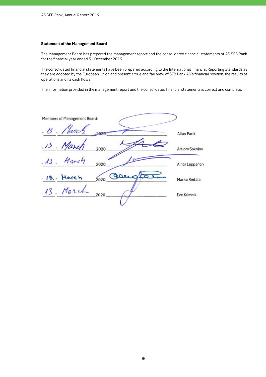#### **Statement of the Management Board**

The Management Board has prepared the management report and the consolidated financial statements of AS SEB Pank for the financial year ended 31 December 2019.

The consolidated financial statements have been prepared according to the International Financial Reporting Standards as they are adopted by the European Union and present a true and fair view of SEB Pank AS's financial position, the results of operations and its cash flows.

The information provided in the management report and the consolidated financial statements is correct and complete.

Members of Management Board: 2020 Allan Parik 2020 Artjom Sokolov March  $13 -$ 2020 Ainar Leppänen - 13. Harch OOL. 2020 Marko Rintala 13. March 2020 Eve Kümnik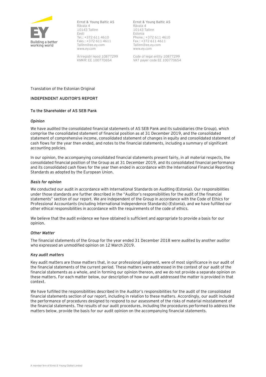

**Ernst & Young Baltic AS** Rävala 4 10143 Tallinn Eesti Tel.: +372 611 4610 Faks.: +372 611 4611 Tallinn@ee.ey.com www.ey.com

Äriregistri kood 10877299 KMKR: EE 100770654

**Ernst & Young Baltic AS** Rävala 4 10143 Tallinn Estonia Phone.: +372 611 4610 Fax.: +372 611 4611 Tallinn@ee.ey.com www.ey.com

Code of legal entity 10877299 VAT payer code EE 100770654

Translation of the Estonian Original

## **INDEPENDENT AUDITOR'S REPORT**

## **To the Shareholder of AS SEB Pank**

### *Opinion*

We have audited the consolidated financial statements of AS SEB Pank and its subsidiaries (the Group), which comprise the consolidated statement of financial position as at 31 December 2019, and the consolidated statement of comprehensive income, consolidated statement of changes in equity and consolidated statement of cash flows for the year then ended, and notes to the financial statements, including a summary of significant accounting policies.

In our opinion, the accompanying consolidated financial statements present fairly, in all material respects, the consolidated financial position of the Group as at 31 December 2019, and its consolidated financial performance and its consolidated cash flows for the year then ended in accordance with the International Financial Reporting Standards as adopted by the European Union.

### *Basis for opinion*

We conducted our audit in accordance with International Standards on Auditing (Estonia). Our responsibilities under those standards are further described in the "Auditor's responsibilities for the audit of the financial statements" section of our report. We are independent of the Group in accordance with the Code of Ethics for Professional Accountants (including International Independence Standards) (Estonia), and we have fulfilled our other ethical responsibilities in accordance with the requirements of the code of ethics.

We believe that the audit evidence we have obtained is sufficient and appropriate to provide a basis for our opinion.

### *Other Matter*

The financial statements of the Group for the year ended 31 December 2018 were audited by another auditor who expressed an unmodified opinion on 12 March 2019.

### *Key audit matters*

Key audit matters are those matters that, in our professional judgment, were of most significance in our audit of the financial statements of the current period. These matters were addressed in the context of our audit of the financial statements as a whole, and in forming our opinion thereon, and we do not provide a separate opinion on these matters. For each matter below, our description of how our audit addressed the matter is provided in that context.

We have fulfilled the responsibilities described in the Auditor's responsibilities for the audit of the consolidated financial statements section of our report, including in relation to these matters. Accordingly, our audit included the performance of procedures designed to respond to our assessment of the risks of material misstatement of the financial statements. The results of our audit procedures, including the procedures performed to address the matters below, provide the basis for our audit opinion on the accompanying financial statements.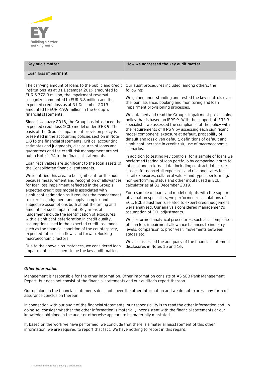

| Key audit matter                                                                                                                                                                                                                                                                                                                                                                                                   | How we addressed the key audit matter                                                                                                                                                                                                                                                                                                                                                                                                             |
|--------------------------------------------------------------------------------------------------------------------------------------------------------------------------------------------------------------------------------------------------------------------------------------------------------------------------------------------------------------------------------------------------------------------|---------------------------------------------------------------------------------------------------------------------------------------------------------------------------------------------------------------------------------------------------------------------------------------------------------------------------------------------------------------------------------------------------------------------------------------------------|
| Loan loss impairment                                                                                                                                                                                                                                                                                                                                                                                               |                                                                                                                                                                                                                                                                                                                                                                                                                                                   |
| The carrying amount of loans to the public and credit<br>institutions as at 31 December 2019 amounted to                                                                                                                                                                                                                                                                                                           | Our audit procedures included, among others, the<br>following:                                                                                                                                                                                                                                                                                                                                                                                    |
| EUR 5 772.9 million, the impairment reversal<br>recognized amounted to EUR 3.8 million and the<br>expected credit loss as at 31 December 2019<br>amounted to EUR -19.9 million in the Group's                                                                                                                                                                                                                      | We gained understanding and tested the key controls over<br>the loan issuance, booking and monitoring and loan<br>impairment provisioning processes.                                                                                                                                                                                                                                                                                              |
| financial statements.<br>Since 1 January 2018, the Group has introduced the<br>expected credit loss (ECL) model under IFRS 9. The<br>basis of the Group's impairment provision policy is<br>presented in the accounting policies section in Note<br>1.8 to the financial statements. Critical accounting<br>estimates and judgments, disclosures of loans and<br>guarantees and the credit risk management are set | We obtained and read the Group's Impairment provisioning<br>policy that is based on IFRS 9. With the support of IFRS 9<br>specialists, we assessed the compliance of the policy with<br>the requirements of IFRS 9 by assessing each significant<br>model component: exposure at default, probability of<br>default and loss given default, definitions of default and<br>significant increase in credit risk, use of macroeconomic<br>scenarios. |
| out in Note 1.24 to the financial statements.<br>Loan receivables are significant to the total assets of<br>the Consolidated financial statements.<br>We identified this area to be significant for the audit                                                                                                                                                                                                      | In addition to testing key controls, for a sample of loans we<br>performed testing of loan portfolio by comparing inputs to<br>internal and external data, including contract dates, risk<br>classes for non-retail exposures and risk pool rates for<br>retail exposures, collateral values and types, performing/                                                                                                                               |
| because measurement and recognition of allowances<br>for loan loss impairment reflected in the Group's                                                                                                                                                                                                                                                                                                             | non-performing status and other inputs used in ECL<br>calculator as at 31 December 2019.                                                                                                                                                                                                                                                                                                                                                          |
| expected credit loss model is associated with<br>significant estimation as it requires the management<br>to exercise judgement and apply complex and<br>subjective assumptions both about the timing and<br>amounts of such impairment. Key areas of<br>judgement include the identification of exposures                                                                                                          | For a sample of loans and model outputs with the support<br>of valuation specialists, we performed recalculations of<br>ECL. ECL adjustments related to expert credit judgement<br>were analysed. Our analysis considered management's<br>assumption of ECL adjustments.                                                                                                                                                                          |
| with a significant deterioration in credit quality,<br>assumptions used in the expected credit loss model<br>such as the financial condition of the counterparty,<br>expected future cash flows and forward-looking<br>macroeconomic factors.                                                                                                                                                                      | We performed analytical procedures, such as a comparison<br>of loan loss impairment allowance balances to industry<br>levels, comparison to prior year, movements between<br>stages etc.                                                                                                                                                                                                                                                          |
| Due to the above circumstances, we considered loan<br>impairment assessment to be the key audit matter.                                                                                                                                                                                                                                                                                                            | We also assessed the adequacy of the financial statement<br>disclosures in Notes 15 and 16.                                                                                                                                                                                                                                                                                                                                                       |

## *Other information*

Management is responsible for the other information. Other information consists of AS SEB Pank Management Report, but does not consist of the financial statements and our auditor's report thereon.

Our opinion on the financial statements does not cover the other information and we do not express any form of assurance conclusion thereon.

In connection with our audit of the financial statements, our responsibility is to read the other information and, in doing so, consider whether the other information is materially inconsistent with the financial statements or our knowledge obtained in the audit or otherwise appears to be materially misstated.

If, based on the work we have performed, we conclude that there is a material misstatement of this other information, we are required to report that fact. We have nothing to report in this regard.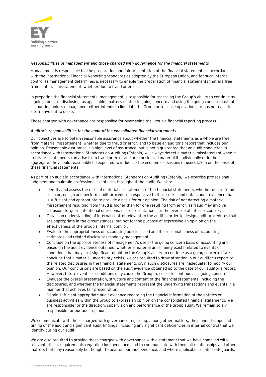

### *Responsibilities of management and those charged with governance for the financial statements*

Management is responsible for the preparation and fair presentation of the financial statements in accordance with the International Financial Reporting Standards as adopted by the European Union, and for such internal control as management determines is necessary to enable the preparation of financial statements that are free from material misstatement, whether due to fraud or error.

In preparing the financial statements, management is responsible for assessing the Group's ability to continue as a going concern, disclosing, as applicable, matters related to going concern and using the going concern basis of accounting unless management either intends to liquidate the Group or to cease operations, or has no realistic alternative but to do so.

Those charged with governance are responsible for overseeing the Group's financial reporting process.

## *Auditor's responsibilities for the audit of the consolidated financial statements*

Our objectives are to obtain reasonable assurance about whether the financial statements as a whole are free from material misstatement, whether due to fraud or error, and to issue an auditor's report that includes our opinion. Reasonable assurance is a high level of assurance, but is not a guarantee that an audit conducted in accordance with International Standards on Auditing (Estonia) will always detect a material misstatement when it exists. Misstatements can arise from fraud or error and are considered material if, individually or in the aggregate, they could reasonably be expected to influence the economic decisions of users taken on the basis of these financial statements.

As part of an audit in accordance with International Standards on Auditing (Estonia), we exercise professional judgment and maintain professional skepticism throughout the audit. We also:

- Identify and assess the risks of material misstatement of the financial statements, whether due to fraud or error, design and perform audit procedures responsive to those risks, and obtain audit evidence that is sufficient and appropriate to provide a basis for our opinion. The risk of not detecting a material misstatement resulting from fraud is higher than for one resulting from error, as fraud may involve collusion, forgery, intentional omissions, misrepresentations, or the override of internal control.
- Obtain an understanding of internal control relevant to the audit in order to design audit procedures that are appropriate in the circumstances, but not for the purpose of expressing an opinion on the effectiveness of the Group's internal control.
- Evaluate the appropriateness of accounting policies used and the reasonableness of accounting estimates and related disclosures made by management.
- Conclude on the appropriateness of management's use of the going concern basis of accounting and, based on the audit evidence obtained, whether a material uncertainty exists related to events or conditions that may cast significant doubt on the Group's ability to continue as a going concern. If we conclude that a material uncertainty exists, we are required to draw attention in our auditor's report to the related disclosures in the financial statements or, if such disclosures are inadequate, to modify our opinion. Our conclusions are based on the audit evidence obtained up to the date of our auditor's report. However, future events or conditions may cause the Group to cease to continue as a going concern.
- Evaluate the overall presentation, structure and content of the financial statements, including the disclosures, and whether the financial statements represent the underlying transactions and events in a manner that achieves fair presentation.
- Obtain sufficient appropriate audit evidence regarding the financial information of the entities or business activities within the Group to express an opinion on the consolidated financial statements. We are responsible for the direction, supervision and performance of the group audit. We remain solely responsible for our audit opinion.

We communicate with those charged with governance regarding, among other matters, the planned scope and timing of the audit and significant audit findings, including any significant deficiencies in internal control that we identify during our audit.

We are also required to provide those charged with governance with a statement that we have complied with relevant ethical requirements regarding independence, and to communicate with them all relationships and other matters that may reasonably be thought to bear on our independence, and where applicable, related safeguards.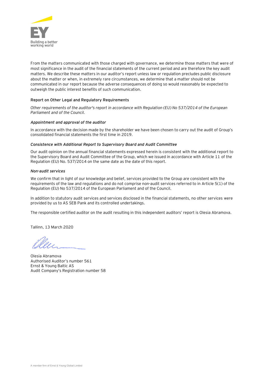

From the matters communicated with those charged with governance, we determine those matters that were of most significance in the audit of the financial statements of the current period and are therefore the key audit matters. We describe these matters in our auditor's report unless law or regulation precludes public disclosure about the matter or when, in extremely rare circumstances, we determine that a matter should not be communicated in our report because the adverse consequences of doing so would reasonably be expected to outweigh the public interest benefits of such communication.

## **Report on Other Legal and Regulatory Requirements**

*Other requirements of the auditor's report in accordance with Regulation (EU) No 537/2014 of the European Parliament and of the Council.*

### *Appointment and approval of the auditor*

In accordance with the decision made by the shareholder we have been chosen to carry out the audit of Group's consolidated financial statements the first time in 2019.

### *Consistence with Additional Report to Supervisory Board and Audit Committee*

Our audit opinion on the annual financial statements expressed herein is consistent with the additional report to the Supervisory Board and Audit Committee of the Group, which we issued in accordance with Article 11 of the Regulation (EU) No. 537/2014 on the same date as the date of this report.

#### *Non-audit services*

We confirm that in light of our knowledge and belief, services provided to the Group are consistent with the requirements of the law and regulations and do not comprise non-audit services referred to in Article 5(1) of the Regulation (EU) No 537/2014 of the European Parliament and of the Council.

In addition to statutory audit services and services disclosed in the financial statements, no other services were provided by us to AS SEB Pank and its controlled undertakings.

The responsible certified auditor on the audit resulting in this independent auditors' report is Olesia Abramova.

Tallinn, 13 March 2020

Olesia Abramova Authorised Auditor's number 561 Ernst & Young Baltic AS Audit Company's Registration number 58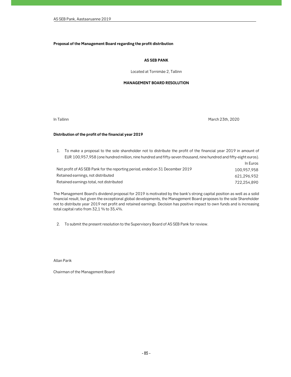#### Proposal of the Management Board regarding the profit distribution

#### AS SEB PANK

Located at Tornimäe 2, Tallinn

#### MANAGEMENT BOARD RESOLUTION

In Tallinn March 23th, 2020

#### Distribution of the profit of the financial year 2019

1. To make a proposal to the sole shareholder not to distribute the profit of the financial year 2019 in amount of EUR 100,957,958 (one hundred million, nine hundred and fifty-seven thousand, nine hundred and fifty-eight euros). In Euros Net profit of AS SEB Pank for the reporting period, ended on 31 December 2019 100,957,958 Retained earnings, not distributed 621,296,932 Retained earnings total, not distributed 722,254,890

The Management Board's dividend proposal for 2019 is motivated by the bank's strong capital position as well as a solid financial result, but given the exceptional global developments, the Management Board proposes to the sole Shareholder not to distribute year 2019 net profit and retained earnings. Decision has positive impact to own funds and is increasing total capital ratio from 32,1 % to 35,4%.

2. To submit the present resolution to the Supervisory Board of AS SEB Pank for review.

Allan Parik

Chairman of the Management Board